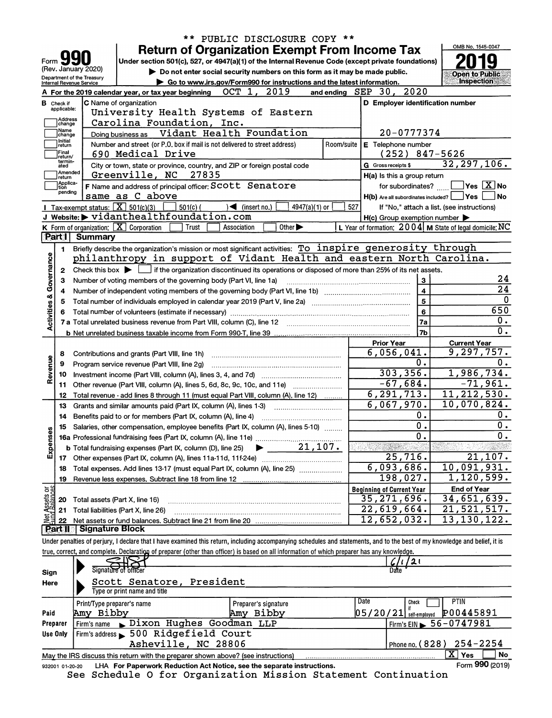|                                |                                                                                |                                                                                                                                                                                                                                     |                                                                                                                                            |                  | ** PUBLIC DISCLOSURE COPY **                                                |                             |            |                                                     |                   |                                                                                                                                                                            |  |  |  |  |
|--------------------------------|--------------------------------------------------------------------------------|-------------------------------------------------------------------------------------------------------------------------------------------------------------------------------------------------------------------------------------|--------------------------------------------------------------------------------------------------------------------------------------------|------------------|-----------------------------------------------------------------------------|-----------------------------|------------|-----------------------------------------------------|-------------------|----------------------------------------------------------------------------------------------------------------------------------------------------------------------------|--|--|--|--|
|                                |                                                                                |                                                                                                                                                                                                                                     |                                                                                                                                            |                  | <b>Return of Organization Exempt From Income Tax</b>                        |                             |            |                                                     |                   | OMB No. 1545-0047                                                                                                                                                          |  |  |  |  |
| Form                           |                                                                                |                                                                                                                                                                                                                                     | Under section 501(c), 527, or 4947(a)(1) of the Internal Revenue Code (except private foundations)                                         |                  |                                                                             |                             |            |                                                     |                   |                                                                                                                                                                            |  |  |  |  |
|                                |                                                                                | (Rev. January 2020)                                                                                                                                                                                                                 |                                                                                                                                            |                  | Do not enter social security numbers on this form as it may be made public. |                             |            |                                                     |                   | <b>Open to Public</b>                                                                                                                                                      |  |  |  |  |
|                                |                                                                                | Department of the Treasury<br>Internal Revenue Service                                                                                                                                                                              |                                                                                                                                            |                  | Go to www.irs.gov/Form990 for instructions and the latest information.      |                             |            |                                                     |                   | <b>Inspection</b>                                                                                                                                                          |  |  |  |  |
|                                |                                                                                |                                                                                                                                                                                                                                     | A For the 2019 calendar year, or tax year beginning                                                                                        |                  | OCT 1, 2019                                                                 |                             | and ending | $SEP 30$ ,                                          | 2020              |                                                                                                                                                                            |  |  |  |  |
|                                | <b>B</b> Check if                                                              |                                                                                                                                                                                                                                     | C Name of organization                                                                                                                     |                  |                                                                             |                             |            |                                                     |                   | D Employer identification number                                                                                                                                           |  |  |  |  |
|                                | applicable:                                                                    |                                                                                                                                                                                                                                     | University Health Systems of Eastern                                                                                                       |                  |                                                                             |                             |            |                                                     |                   |                                                                                                                                                                            |  |  |  |  |
|                                | Address<br>change                                                              |                                                                                                                                                                                                                                     | Carolina Foundation, Inc.                                                                                                                  |                  |                                                                             |                             |            |                                                     |                   |                                                                                                                                                                            |  |  |  |  |
|                                | Name<br>change                                                                 |                                                                                                                                                                                                                                     | Doing business as Vidant Health Foundation                                                                                                 |                  |                                                                             |                             |            |                                                     | 20-0777374        |                                                                                                                                                                            |  |  |  |  |
|                                | Initial<br>return                                                              | Number and street (or P.O. box if mail is not delivered to street address)                                                                                                                                                          | E Telephone number                                                                                                                         |                  |                                                                             |                             |            |                                                     |                   |                                                                                                                                                                            |  |  |  |  |
|                                | Final<br>return/                                                               | 690 Medical Drive                                                                                                                                                                                                                   |                                                                                                                                            | $(252)$ 847-5626 |                                                                             |                             |            |                                                     |                   |                                                                                                                                                                            |  |  |  |  |
|                                | termin-<br>ated                                                                |                                                                                                                                                                                                                                     | City or town, state or province, country, and ZIP or foreign postal code                                                                   |                  |                                                                             |                             |            | G Gross receipts \$                                 |                   | 32, 297, 106.                                                                                                                                                              |  |  |  |  |
|                                | Amended<br>return                                                              |                                                                                                                                                                                                                                     | Greenville, NC                                                                                                                             | 27835            |                                                                             |                             |            | H(a) Is this a group return                         |                   |                                                                                                                                                                            |  |  |  |  |
|                                | Applica-<br>tion                                                               |                                                                                                                                                                                                                                     | F Name and address of principal officer: SCOLL Senatore                                                                                    |                  |                                                                             |                             |            |                                                     | for subordinates? | $Yes$ $\boxed{X}$ No                                                                                                                                                       |  |  |  |  |
|                                | pending                                                                        |                                                                                                                                                                                                                                     | same as C above                                                                                                                            |                  |                                                                             |                             |            | $H(b)$ Are all subordinates included?               |                   | ∣Yes<br>  No                                                                                                                                                               |  |  |  |  |
|                                |                                                                                | Tax-exempt status: $\boxed{\textbf{X}}$ 501(c)(3)                                                                                                                                                                                   |                                                                                                                                            | $501(c)$ (       | $\sqrt{\frac{1}{1}}$ (insert no.)                                           | 4947(a)(1) or               | 527        |                                                     |                   | If "No," attach a list. (see instructions)                                                                                                                                 |  |  |  |  |
|                                |                                                                                |                                                                                                                                                                                                                                     | J Website: > vidanthealthfoundation.com                                                                                                    |                  |                                                                             |                             |            | $H(c)$ Group exemption number $\blacktriangleright$ |                   |                                                                                                                                                                            |  |  |  |  |
|                                |                                                                                |                                                                                                                                                                                                                                     | K Form of organization: $X$ Corporation                                                                                                    | Trust            | Association                                                                 | Other $\blacktriangleright$ |            |                                                     |                   | L Year of formation: 2004   M State of legal domicile: NC                                                                                                                  |  |  |  |  |
|                                | <b>Part I</b>                                                                  | <b>Summary</b>                                                                                                                                                                                                                      |                                                                                                                                            |                  |                                                                             |                             |            |                                                     |                   |                                                                                                                                                                            |  |  |  |  |
|                                | 1                                                                              |                                                                                                                                                                                                                                     | Briefly describe the organization's mission or most significant activities: To inspire generosity through                                  |                  |                                                                             |                             |            |                                                     |                   |                                                                                                                                                                            |  |  |  |  |
| Activities & Governance        |                                                                                |                                                                                                                                                                                                                                     | philanthropy in support of Vidant Health and eastern North Carolina.                                                                       |                  |                                                                             |                             |            |                                                     |                   |                                                                                                                                                                            |  |  |  |  |
|                                | $\mathbf{2}$                                                                   |                                                                                                                                                                                                                                     | Check this box $\blacktriangleright \Box$ if the organization discontinued its operations or disposed of more than 25% of its net assets.  |                  |                                                                             |                             |            |                                                     |                   |                                                                                                                                                                            |  |  |  |  |
|                                | З                                                                              |                                                                                                                                                                                                                                     | Number of voting members of the governing body (Part VI, line 1a)                                                                          |                  |                                                                             |                             |            |                                                     | 3                 | 24                                                                                                                                                                         |  |  |  |  |
|                                | 4                                                                              |                                                                                                                                                                                                                                     |                                                                                                                                            |                  |                                                                             |                             |            |                                                     | 4                 | 24                                                                                                                                                                         |  |  |  |  |
|                                | 5                                                                              |                                                                                                                                                                                                                                     |                                                                                                                                            |                  |                                                                             |                             |            |                                                     | 5                 | 0<br>650                                                                                                                                                                   |  |  |  |  |
|                                | 6                                                                              | 6<br>7 a Total unrelated business revenue from Part VIII, column (C), line 12 [2011] [2012] [2012] [2012] [2012] [2012] [2012] [2012] [2012] [2012] [2012] [2012] [2012] [2012] [2012] [2012] [2012] [2012] [2012] [2012] [2012] [2 |                                                                                                                                            |                  |                                                                             |                             |            |                                                     |                   |                                                                                                                                                                            |  |  |  |  |
|                                |                                                                                |                                                                                                                                                                                                                                     |                                                                                                                                            |                  |                                                                             |                             |            |                                                     | 7a                | $\overline{0}$ .                                                                                                                                                           |  |  |  |  |
|                                |                                                                                |                                                                                                                                                                                                                                     |                                                                                                                                            |                  |                                                                             |                             |            |                                                     | 7b                | $\overline{0}$ .                                                                                                                                                           |  |  |  |  |
|                                |                                                                                |                                                                                                                                                                                                                                     |                                                                                                                                            |                  |                                                                             |                             |            | <b>Prior Year</b>                                   |                   | <b>Current Year</b>                                                                                                                                                        |  |  |  |  |
|                                | 8                                                                              |                                                                                                                                                                                                                                     | Contributions and grants (Part VIII, line 1h)                                                                                              |                  |                                                                             |                             |            | 6,056,041.                                          |                   | $\overline{9,297,757}$ .                                                                                                                                                   |  |  |  |  |
| Revenue                        | 9                                                                              |                                                                                                                                                                                                                                     | Program service revenue (Part VIII, line 2g)                                                                                               |                  |                                                                             |                             | 0.         | Ο.                                                  |                   |                                                                                                                                                                            |  |  |  |  |
|                                | 10                                                                             |                                                                                                                                                                                                                                     |                                                                                                                                            |                  |                                                                             |                             | 303, 356.  | 1,986,734.                                          |                   |                                                                                                                                                                            |  |  |  |  |
|                                | Other revenue (Part VIII, column (A), lines 5, 6d, 8c, 9c, 10c, and 11e)<br>11 |                                                                                                                                                                                                                                     |                                                                                                                                            |                  |                                                                             |                             |            |                                                     | $-67,684.$        | $-71,961.$                                                                                                                                                                 |  |  |  |  |
|                                | 12                                                                             |                                                                                                                                                                                                                                     | Total revenue - add lines 8 through 11 (must equal Part VIII, column (A), line 12)                                                         |                  |                                                                             |                             |            | 6, 291, 713.                                        |                   | 11, 212, 530.                                                                                                                                                              |  |  |  |  |
|                                | 13                                                                             |                                                                                                                                                                                                                                     | Grants and similar amounts paid (Part IX, column (A), lines 1-3)                                                                           |                  |                                                                             |                             |            | 6,067,970.                                          |                   | 10,070,824.                                                                                                                                                                |  |  |  |  |
|                                | 14                                                                             |                                                                                                                                                                                                                                     | Benefits paid to or for members (Part IX, column (A), line 4)                                                                              |                  |                                                                             |                             |            |                                                     | $\mathbf 0$ .     | 0.<br>0.                                                                                                                                                                   |  |  |  |  |
|                                | 15                                                                             |                                                                                                                                                                                                                                     | Salaries, other compensation, employee benefits (Part IX, column (A), lines 5-10)                                                          |                  |                                                                             |                             |            | $\overline{\mathfrak{o}}$ .                         |                   |                                                                                                                                                                            |  |  |  |  |
|                                |                                                                                |                                                                                                                                                                                                                                     | 16a Professional fundraising fees (Part IX, column (A), line 11e)                                                                          |                  |                                                                             |                             |            |                                                     | $\mathbf 0$ .     | 0                                                                                                                                                                          |  |  |  |  |
| Expens                         |                                                                                |                                                                                                                                                                                                                                     | <b>b</b> Total fundraising expenses (Part IX, column (D), line 25)                                                                         |                  | ▶                                                                           | 21, 107.                    |            |                                                     |                   |                                                                                                                                                                            |  |  |  |  |
|                                |                                                                                |                                                                                                                                                                                                                                     |                                                                                                                                            |                  |                                                                             |                             |            |                                                     | 25,716.           | 21,107.                                                                                                                                                                    |  |  |  |  |
|                                | 18                                                                             |                                                                                                                                                                                                                                     | Total expenses. Add lines 13-17 (must equal Part IX, column (A), line 25) manu-                                                            |                  |                                                                             |                             |            | 6,093,686.                                          |                   | 10,091,931.                                                                                                                                                                |  |  |  |  |
|                                | 19                                                                             |                                                                                                                                                                                                                                     |                                                                                                                                            |                  |                                                                             |                             |            |                                                     | 198,027.          | 1,120,599.                                                                                                                                                                 |  |  |  |  |
| Net Assets or<br>Fund Balances |                                                                                |                                                                                                                                                                                                                                     |                                                                                                                                            |                  |                                                                             |                             |            | <b>Beginning of Current Year</b>                    |                   | <b>End of Year</b>                                                                                                                                                         |  |  |  |  |
|                                | 20                                                                             |                                                                                                                                                                                                                                     | Total assets (Part X, line 16)                                                                                                             |                  |                                                                             |                             |            | 35,271,696.                                         |                   | 34,651,639.                                                                                                                                                                |  |  |  |  |
|                                | 21                                                                             |                                                                                                                                                                                                                                     | Total liabilities (Part X, line 26)                                                                                                        |                  |                                                                             |                             |            | $\overline{22}$ , 619, 664.                         |                   | 21,521,517.                                                                                                                                                                |  |  |  |  |
|                                | 22                                                                             | <b>Signature Block</b>                                                                                                                                                                                                              |                                                                                                                                            |                  |                                                                             |                             |            | 12,652,032.                                         |                   | 13, 130, 122.                                                                                                                                                              |  |  |  |  |
|                                | <b>Partilli</b>                                                                |                                                                                                                                                                                                                                     |                                                                                                                                            |                  |                                                                             |                             |            |                                                     |                   |                                                                                                                                                                            |  |  |  |  |
|                                |                                                                                |                                                                                                                                                                                                                                     |                                                                                                                                            |                  |                                                                             |                             |            |                                                     |                   | Under penalties of perjury, I declare that I have examined this return, including accompanying schedules and statements, and to the best of my knowledge and belief, it is |  |  |  |  |
|                                |                                                                                |                                                                                                                                                                                                                                     | true, correct, and complete. Declaration of preparer (other than officer) is based on all information of which preparer has any knowledge. |                  |                                                                             |                             |            |                                                     |                   |                                                                                                                                                                            |  |  |  |  |
|                                |                                                                                |                                                                                                                                                                                                                                     | Signature of officer                                                                                                                       |                  |                                                                             |                             |            | Date                                                | 21                |                                                                                                                                                                            |  |  |  |  |
| Sign                           |                                                                                |                                                                                                                                                                                                                                     |                                                                                                                                            |                  |                                                                             |                             |            |                                                     |                   |                                                                                                                                                                            |  |  |  |  |
| Here                           |                                                                                |                                                                                                                                                                                                                                     | Scott Senatore, President<br>Type or print name and title                                                                                  |                  |                                                                             |                             |            |                                                     |                   |                                                                                                                                                                            |  |  |  |  |
|                                |                                                                                |                                                                                                                                                                                                                                     |                                                                                                                                            |                  |                                                                             |                             |            | Date                                                | Check             | <b>PTIN</b>                                                                                                                                                                |  |  |  |  |
|                                |                                                                                | Print/Type preparer's name                                                                                                                                                                                                          |                                                                                                                                            |                  | Preparer's signature                                                        |                             |            |                                                     |                   |                                                                                                                                                                            |  |  |  |  |
| Paid                           |                                                                                | Amy Bibby                                                                                                                                                                                                                           |                                                                                                                                            |                  | Amy Bibby                                                                   |                             |            | $05/20/21$ self-employed                            |                   | P00445891                                                                                                                                                                  |  |  |  |  |
|                                | Preparer                                                                       | Firm's name                                                                                                                                                                                                                         | Dixon Hughes Goodman LLP<br>Firm's address 500 Ridgefield Court                                                                            |                  |                                                                             |                             |            |                                                     |                   | Firm's EIN $\triangleright$ 56-0747981                                                                                                                                     |  |  |  |  |
|                                | Use Only                                                                       |                                                                                                                                                                                                                                     | Asheville, NC 28806                                                                                                                        |                  |                                                                             |                             |            |                                                     | Phone no. (828)   | $254 - 2254$                                                                                                                                                               |  |  |  |  |
|                                |                                                                                |                                                                                                                                                                                                                                     |                                                                                                                                            |                  |                                                                             |                             |            |                                                     |                   | $\overline{\mathbf{X}}$ Yes<br>No                                                                                                                                          |  |  |  |  |
|                                |                                                                                |                                                                                                                                                                                                                                     | May the IRS discuss this return with the preparer shown above? (see instructions)                                                          |                  |                                                                             |                             |            |                                                     |                   |                                                                                                                                                                            |  |  |  |  |

932001 01-20-20 **LHA For Paperwork Reduction Act Notice, see the separate instructions. Form 1990 (2019) Form 990** See Schedule O for Organization Mission Statement Continuation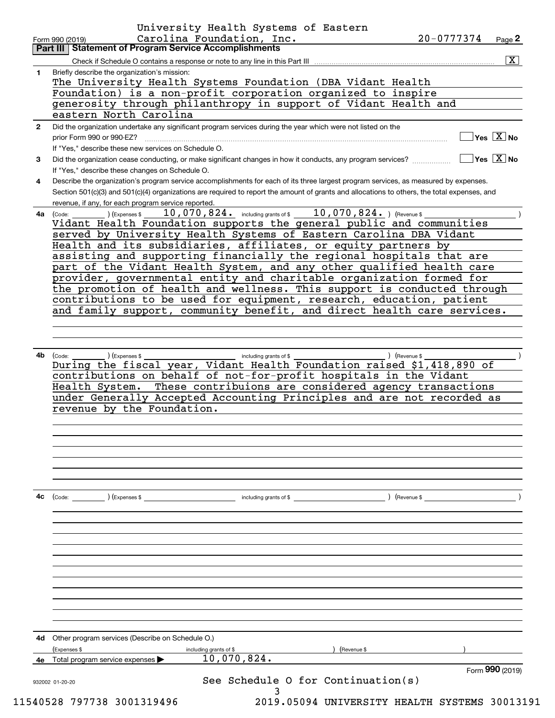|              | Carolina Foundation, Inc.<br>Page 2<br>Form 990 (2019)<br>Part III   Statement of Program Service Accomplishments                                                                                                                                 |  |  |  |  |  |  |  |  |  |
|--------------|---------------------------------------------------------------------------------------------------------------------------------------------------------------------------------------------------------------------------------------------------|--|--|--|--|--|--|--|--|--|
|              | $\overline{\mathbf{x}}$                                                                                                                                                                                                                           |  |  |  |  |  |  |  |  |  |
| 1.           | Check if Schedule O contains a response or note to any line in this Part III<br>Briefly describe the organization's mission:                                                                                                                      |  |  |  |  |  |  |  |  |  |
|              | The University Health Systems Foundation (DBA Vidant Health                                                                                                                                                                                       |  |  |  |  |  |  |  |  |  |
|              | Foundation) is a non-profit corporation organized to inspire                                                                                                                                                                                      |  |  |  |  |  |  |  |  |  |
|              | generosity through philanthropy in support of Vidant Health and                                                                                                                                                                                   |  |  |  |  |  |  |  |  |  |
|              | eastern North Carolina                                                                                                                                                                                                                            |  |  |  |  |  |  |  |  |  |
| $\mathbf{2}$ | Did the organization undertake any significant program services during the year which were not listed on the                                                                                                                                      |  |  |  |  |  |  |  |  |  |
|              | $\overline{\mathsf{Yes} \ \mathbb{X}}$ No<br>prior Form 990 or 990-EZ?                                                                                                                                                                            |  |  |  |  |  |  |  |  |  |
|              | If "Yes," describe these new services on Schedule O.                                                                                                                                                                                              |  |  |  |  |  |  |  |  |  |
| 3            | $\overline{\mathsf{Y}}$ es $\overline{\mathsf{X}}$ No<br>Did the organization cease conducting, or make significant changes in how it conducts, any program services?                                                                             |  |  |  |  |  |  |  |  |  |
|              | If "Yes," describe these changes on Schedule O.                                                                                                                                                                                                   |  |  |  |  |  |  |  |  |  |
| 4            | Describe the organization's program service accomplishments for each of its three largest program services, as measured by expenses.                                                                                                              |  |  |  |  |  |  |  |  |  |
|              | Section 501(c)(3) and 501(c)(4) organizations are required to report the amount of grants and allocations to others, the total expenses, and                                                                                                      |  |  |  |  |  |  |  |  |  |
|              | revenue, if any, for each program service reported.                                                                                                                                                                                               |  |  |  |  |  |  |  |  |  |
| 4a l         | 10,070,824. including grants of \$10,070,824. ) (Revenue \$<br>(Expenses \$<br>(Code:                                                                                                                                                             |  |  |  |  |  |  |  |  |  |
|              | Vidant Health Foundation supports the general public and communities                                                                                                                                                                              |  |  |  |  |  |  |  |  |  |
|              | served by University Health Systems of Eastern Carolina DBA Vidant                                                                                                                                                                                |  |  |  |  |  |  |  |  |  |
|              | Health and its subsidiaries, affiliates, or equity partners by<br>assisting and supporting financially the regional hospitals that are                                                                                                            |  |  |  |  |  |  |  |  |  |
|              | part of the Vidant Health System, and any other qualified health care                                                                                                                                                                             |  |  |  |  |  |  |  |  |  |
|              | provider, governmental entity and charitable organization formed for                                                                                                                                                                              |  |  |  |  |  |  |  |  |  |
|              | the promotion of health and wellness. This support is conducted through                                                                                                                                                                           |  |  |  |  |  |  |  |  |  |
|              | contributions to be used for equipment, research, education, patient                                                                                                                                                                              |  |  |  |  |  |  |  |  |  |
|              | and family support, community benefit, and direct health care services.                                                                                                                                                                           |  |  |  |  |  |  |  |  |  |
|              |                                                                                                                                                                                                                                                   |  |  |  |  |  |  |  |  |  |
|              |                                                                                                                                                                                                                                                   |  |  |  |  |  |  |  |  |  |
|              | During the fiscal year, Vidant Health Foundation raised \$1,418,890 of                                                                                                                                                                            |  |  |  |  |  |  |  |  |  |
|              | contributions on behalf of not-for-profit hospitals in the Vidant<br>Health System. These contribuions are considered agency transactions<br>under Generally Accepted Accounting Principles and are not recorded as<br>revenue by the Foundation. |  |  |  |  |  |  |  |  |  |
|              |                                                                                                                                                                                                                                                   |  |  |  |  |  |  |  |  |  |
|              |                                                                                                                                                                                                                                                   |  |  |  |  |  |  |  |  |  |
| 4c           | $\left(\text{Code:}\right)$ $\left(\text{Expenses $}\right)$<br>including grants of \$<br>) (Revenue \$                                                                                                                                           |  |  |  |  |  |  |  |  |  |
|              |                                                                                                                                                                                                                                                   |  |  |  |  |  |  |  |  |  |
|              |                                                                                                                                                                                                                                                   |  |  |  |  |  |  |  |  |  |
| 4d           | Other program services (Describe on Schedule O.)                                                                                                                                                                                                  |  |  |  |  |  |  |  |  |  |
|              | (Expenses \$<br>Revenue \$<br>including grants of \$                                                                                                                                                                                              |  |  |  |  |  |  |  |  |  |
|              | 10,070,824.<br>4e Total program service expenses<br>Form 990 (2019)                                                                                                                                                                               |  |  |  |  |  |  |  |  |  |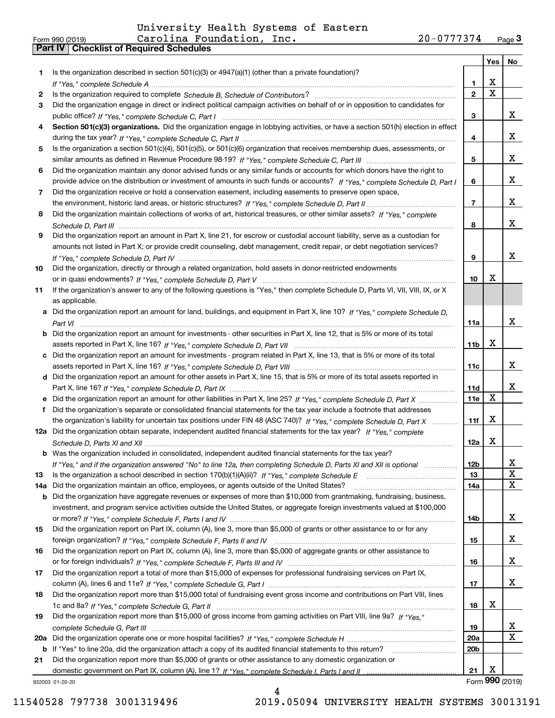|     |                                                                                                                                                                                                                                                     |                  | Yes         | No              |
|-----|-----------------------------------------------------------------------------------------------------------------------------------------------------------------------------------------------------------------------------------------------------|------------------|-------------|-----------------|
| 1.  | Is the organization described in section $501(c)(3)$ or $4947(a)(1)$ (other than a private foundation)?                                                                                                                                             |                  |             |                 |
|     |                                                                                                                                                                                                                                                     | $\mathbf{1}$     | х           |                 |
| 2   |                                                                                                                                                                                                                                                     | $\mathbf{2}$     | $\mathbf X$ |                 |
| 3   | Did the organization engage in direct or indirect political campaign activities on behalf of or in opposition to candidates for                                                                                                                     |                  |             |                 |
|     |                                                                                                                                                                                                                                                     | 3                |             | x               |
| 4   | Section 501(c)(3) organizations. Did the organization engage in lobbying activities, or have a section 501(h) election in effect                                                                                                                    |                  |             |                 |
|     |                                                                                                                                                                                                                                                     | 4                |             | x               |
| 5   | Is the organization a section 501(c)(4), 501(c)(5), or 501(c)(6) organization that receives membership dues, assessments, or                                                                                                                        |                  |             |                 |
|     |                                                                                                                                                                                                                                                     | 5                |             | x               |
| 6   | Did the organization maintain any donor advised funds or any similar funds or accounts for which donors have the right to                                                                                                                           |                  |             | x               |
|     | provide advice on the distribution or investment of amounts in such funds or accounts? If "Yes," complete Schedule D, Part I                                                                                                                        | 6                |             |                 |
| 7   | Did the organization receive or hold a conservation easement, including easements to preserve open space,                                                                                                                                           | $\overline{7}$   |             | x               |
| 8   | Did the organization maintain collections of works of art, historical treasures, or other similar assets? If "Yes," complete                                                                                                                        |                  |             |                 |
|     |                                                                                                                                                                                                                                                     | 8                |             | x               |
| 9   | Did the organization report an amount in Part X, line 21, for escrow or custodial account liability, serve as a custodian for                                                                                                                       |                  |             |                 |
|     | amounts not listed in Part X; or provide credit counseling, debt management, credit repair, or debt negotiation services?                                                                                                                           |                  |             |                 |
|     |                                                                                                                                                                                                                                                     | 9                |             | x               |
| 10  | Did the organization, directly or through a related organization, hold assets in donor-restricted endowments                                                                                                                                        |                  |             |                 |
|     |                                                                                                                                                                                                                                                     | 10 <sup>10</sup> | X           |                 |
| 11  | If the organization's answer to any of the following questions is "Yes," then complete Schedule D, Parts VI, VII, VIII, IX, or X                                                                                                                    |                  |             |                 |
|     | as applicable.                                                                                                                                                                                                                                      |                  |             |                 |
|     | a Did the organization report an amount for land, buildings, and equipment in Part X, line 10? If "Yes," complete Schedule D,                                                                                                                       |                  |             |                 |
|     |                                                                                                                                                                                                                                                     | 11a              |             | x               |
|     | <b>b</b> Did the organization report an amount for investments - other securities in Part X, line 12, that is 5% or more of its total                                                                                                               |                  |             |                 |
|     |                                                                                                                                                                                                                                                     | 11 <sub>b</sub>  | X           |                 |
|     | c Did the organization report an amount for investments - program related in Part X, line 13, that is 5% or more of its total                                                                                                                       |                  |             |                 |
|     |                                                                                                                                                                                                                                                     | 11c              |             | x               |
|     | d Did the organization report an amount for other assets in Part X, line 15, that is 5% or more of its total assets reported in                                                                                                                     |                  |             |                 |
|     |                                                                                                                                                                                                                                                     | 11d              | $\mathbf X$ | x               |
|     | e Did the organization report an amount for other liabilities in Part X, line 25? If "Yes," complete Schedule D, Part X                                                                                                                             | 11e              |             |                 |
|     | f Did the organization's separate or consolidated financial statements for the tax year include a footnote that addresses<br>the organization's liability for uncertain tax positions under FIN 48 (ASC 740)? If "Yes," complete Schedule D, Part X | 11f              | X           |                 |
|     | 12a Did the organization obtain separate, independent audited financial statements for the tax year? If "Yes," complete                                                                                                                             |                  |             |                 |
|     |                                                                                                                                                                                                                                                     | 12a              | X           |                 |
|     | <b>b</b> Was the organization included in consolidated, independent audited financial statements for the tax year?                                                                                                                                  |                  |             |                 |
|     | If "Yes," and if the organization answered "No" to line 12a, then completing Schedule D, Parts XI and XII is optional manum                                                                                                                         | 12 <sub>b</sub>  |             | x.              |
| 13  |                                                                                                                                                                                                                                                     | 13               |             | X               |
| 14a | Did the organization maintain an office, employees, or agents outside of the United States?                                                                                                                                                         | 14a              |             | X               |
|     | b Did the organization have aggregate revenues or expenses of more than \$10,000 from grantmaking, fundraising, business,                                                                                                                           |                  |             |                 |
|     | investment, and program service activities outside the United States, or aggregate foreign investments valued at \$100,000                                                                                                                          |                  |             |                 |
|     |                                                                                                                                                                                                                                                     | 14b              |             | x               |
| 15  | Did the organization report on Part IX, column (A), line 3, more than \$5,000 of grants or other assistance to or for any                                                                                                                           |                  |             |                 |
|     |                                                                                                                                                                                                                                                     | 15               |             | x               |
| 16  | Did the organization report on Part IX, column (A), line 3, more than \$5,000 of aggregate grants or other assistance to                                                                                                                            |                  |             |                 |
|     |                                                                                                                                                                                                                                                     | 16               |             | X               |
| 17  | Did the organization report a total of more than \$15,000 of expenses for professional fundraising services on Part IX,                                                                                                                             |                  |             | X               |
|     |                                                                                                                                                                                                                                                     | 17               |             |                 |
| 18  | Did the organization report more than \$15,000 total of fundraising event gross income and contributions on Part VIII, lines                                                                                                                        | 18               | х           |                 |
| 19  | Did the organization report more than \$15,000 of gross income from gaming activities on Part VIII, line 9a? If "Yes."                                                                                                                              |                  |             |                 |
|     |                                                                                                                                                                                                                                                     | 19               |             | x               |
| 20a |                                                                                                                                                                                                                                                     | 20a              |             | x               |
| b   | If "Yes" to line 20a, did the organization attach a copy of its audited financial statements to this return?                                                                                                                                        | 20b              |             |                 |
| 21  | Did the organization report more than \$5,000 of grants or other assistance to any domestic organization or                                                                                                                                         |                  |             |                 |
|     |                                                                                                                                                                                                                                                     | 21               | х           |                 |
|     | 932003 01-20-20                                                                                                                                                                                                                                     |                  |             | Form 990 (2019) |

932003 01-20-20

4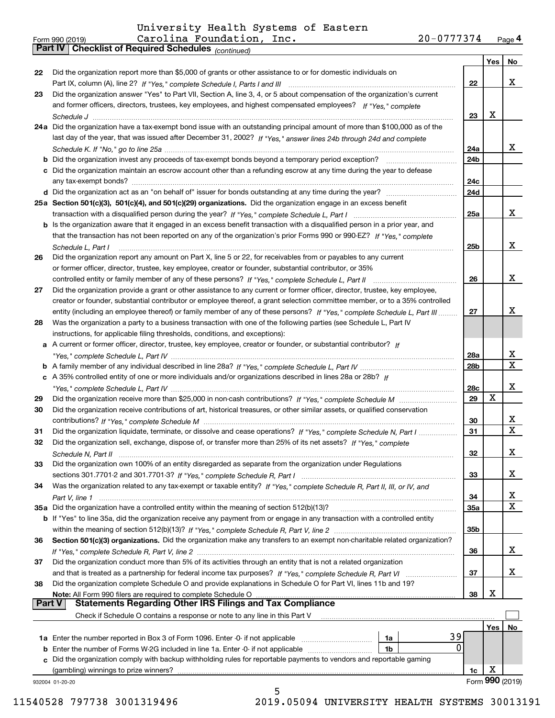*(continued)*

|               |                                                                                                                              |           | Yes         | No                           |
|---------------|------------------------------------------------------------------------------------------------------------------------------|-----------|-------------|------------------------------|
| 22            | Did the organization report more than \$5,000 of grants or other assistance to or for domestic individuals on                |           |             |                              |
|               |                                                                                                                              | 22        |             | x                            |
| 23            | Did the organization answer "Yes" to Part VII, Section A, line 3, 4, or 5 about compensation of the organization's current   |           |             |                              |
|               | and former officers, directors, trustees, key employees, and highest compensated employees? If "Yes." complete               |           |             |                              |
|               |                                                                                                                              | 23        | X           |                              |
|               | 24a Did the organization have a tax-exempt bond issue with an outstanding principal amount of more than \$100,000 as of the  |           |             |                              |
|               | last day of the year, that was issued after December 31, 2002? If "Yes," answer lines 24b through 24d and complete           |           |             |                              |
|               |                                                                                                                              | 24a       |             | x                            |
|               | <b>b</b> Did the organization invest any proceeds of tax-exempt bonds beyond a temporary period exception?                   | 24b       |             |                              |
|               | c Did the organization maintain an escrow account other than a refunding escrow at any time during the year to defease       |           |             |                              |
|               |                                                                                                                              | 24c       |             |                              |
|               |                                                                                                                              | 24d       |             |                              |
|               | 25a Section 501(c)(3), 501(c)(4), and 501(c)(29) organizations. Did the organization engage in an excess benefit             |           |             |                              |
|               |                                                                                                                              | 25a       |             | x                            |
|               | b Is the organization aware that it engaged in an excess benefit transaction with a disqualified person in a prior year, and |           |             |                              |
|               | that the transaction has not been reported on any of the organization's prior Forms 990 or 990-EZ? If "Yes," complete        |           |             |                              |
|               | Schedule L, Part I                                                                                                           | 25b       |             | x                            |
| 26            | Did the organization report any amount on Part X, line 5 or 22, for receivables from or payables to any current              |           |             |                              |
|               | or former officer, director, trustee, key employee, creator or founder, substantial contributor, or 35%                      |           |             |                              |
|               | controlled entity or family member of any of these persons? If "Yes," complete Schedule L, Part II                           | 26        |             | x                            |
| 27            | Did the organization provide a grant or other assistance to any current or former officer, director, trustee, key employee,  |           |             |                              |
|               | creator or founder, substantial contributor or employee thereof, a grant selection committee member, or to a 35% controlled  |           |             |                              |
|               | entity (including an employee thereof) or family member of any of these persons? If "Yes," complete Schedule L, Part III     | 27        |             | x                            |
| 28            | Was the organization a party to a business transaction with one of the following parties (see Schedule L, Part IV            |           |             |                              |
|               | instructions, for applicable filing thresholds, conditions, and exceptions):                                                 |           |             |                              |
| а             | A current or former officer, director, trustee, key employee, creator or founder, or substantial contributor? If             |           |             |                              |
|               |                                                                                                                              | 28a       |             | X<br>$\overline{\mathbf{X}}$ |
|               |                                                                                                                              | 28b       |             |                              |
|               | c A 35% controlled entity of one or more individuals and/or organizations described in lines 28a or 28b? If                  |           |             | x                            |
|               |                                                                                                                              | 28c<br>29 | $\mathbf X$ |                              |
| 29<br>30      |                                                                                                                              |           |             |                              |
|               | Did the organization receive contributions of art, historical treasures, or other similar assets, or qualified conservation  | 30        |             | х                            |
| 31            | Did the organization liquidate, terminate, or dissolve and cease operations? If "Yes," complete Schedule N, Part I           | 31        |             | $\overline{\mathbf{X}}$      |
| 32            | Did the organization sell, exchange, dispose of, or transfer more than 25% of its net assets? If "Yes," complete             |           |             |                              |
|               |                                                                                                                              | 32        |             | х                            |
| 33            | Did the organization own 100% of an entity disregarded as separate from the organization under Regulations                   |           |             |                              |
|               |                                                                                                                              | 33        |             | x                            |
| 34            | Was the organization related to any tax-exempt or taxable entity? If "Yes," complete Schedule R, Part II, III, or IV, and    |           |             |                              |
|               |                                                                                                                              | 34        |             | x                            |
|               | 35a Did the organization have a controlled entity within the meaning of section 512(b)(13)?                                  | 35a       |             | $\mathbf X$                  |
|               | b If "Yes" to line 35a, did the organization receive any payment from or engage in any transaction with a controlled entity  |           |             |                              |
|               |                                                                                                                              | 35b       |             |                              |
| 36            | Section 501(c)(3) organizations. Did the organization make any transfers to an exempt non-charitable related organization?   |           |             |                              |
|               |                                                                                                                              | 36        |             | x                            |
| 37            | Did the organization conduct more than 5% of its activities through an entity that is not a related organization             |           |             |                              |
|               |                                                                                                                              | 37        |             | x                            |
| 38            | Did the organization complete Schedule O and provide explanations in Schedule O for Part VI, lines 11b and 19?               |           |             |                              |
|               | Note: All Form 990 filers are required to complete Schedule O                                                                | 38        | х           |                              |
| <b>Part V</b> | <b>Statements Regarding Other IRS Filings and Tax Compliance</b>                                                             |           |             |                              |
|               | Check if Schedule O contains a response or note to any line in this Part V                                                   |           |             |                              |
|               |                                                                                                                              |           | Yes         | No                           |
|               | 39<br>1a Enter the number reported in Box 3 of Form 1096. Enter -0- if not applicable<br>1a                                  |           |             |                              |
| b             | 0<br>Enter the number of Forms W-2G included in line 1a. Enter -0- if not applicable<br>1b                                   |           |             |                              |
|               | c Did the organization comply with backup withholding rules for reportable payments to vendors and reportable gaming         |           |             |                              |
|               | (gambling) winnings to prize winners?                                                                                        | 1c        | х           |                              |
|               | 932004 01-20-20                                                                                                              |           |             | Form 990 (2019)              |
|               | 5                                                                                                                            |           |             |                              |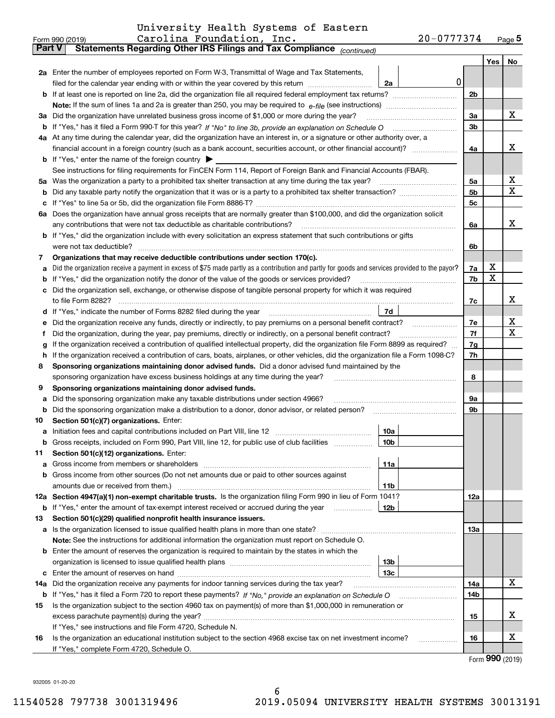|  | University Health Systems of Eastern |  |
|--|--------------------------------------|--|
|  |                                      |  |

|               | 20-0777374<br>Carolina Foundation, Inc.<br>Form 990 (2019)                                                                                      |                |     | $_{\text{Page}}$ 5 |  |  |  |  |  |  |
|---------------|-------------------------------------------------------------------------------------------------------------------------------------------------|----------------|-----|--------------------|--|--|--|--|--|--|
| <b>Part V</b> | Statements Regarding Other IRS Filings and Tax Compliance (continued)                                                                           |                |     |                    |  |  |  |  |  |  |
|               |                                                                                                                                                 |                | Yes | No                 |  |  |  |  |  |  |
|               | 2a Enter the number of employees reported on Form W-3, Transmittal of Wage and Tax Statements,                                                  |                |     |                    |  |  |  |  |  |  |
|               | 0<br>filed for the calendar year ending with or within the year covered by this return<br>2a                                                    |                |     |                    |  |  |  |  |  |  |
|               |                                                                                                                                                 | 2 <sub>b</sub> |     |                    |  |  |  |  |  |  |
|               |                                                                                                                                                 |                |     |                    |  |  |  |  |  |  |
|               | 3a Did the organization have unrelated business gross income of \$1,000 or more during the year?                                                |                |     |                    |  |  |  |  |  |  |
|               |                                                                                                                                                 | 3b             |     |                    |  |  |  |  |  |  |
|               | 4a At any time during the calendar year, did the organization have an interest in, or a signature or other authority over, a                    |                |     |                    |  |  |  |  |  |  |
|               |                                                                                                                                                 | 4a             |     | х                  |  |  |  |  |  |  |
|               | <b>b</b> If "Yes," enter the name of the foreign country $\triangleright$                                                                       |                |     |                    |  |  |  |  |  |  |
|               | See instructions for filing requirements for FinCEN Form 114, Report of Foreign Bank and Financial Accounts (FBAR).                             |                |     |                    |  |  |  |  |  |  |
|               |                                                                                                                                                 | 5а             |     | х                  |  |  |  |  |  |  |
| b             |                                                                                                                                                 | 5 <sub>b</sub> |     | Χ                  |  |  |  |  |  |  |
| c             |                                                                                                                                                 | 5c             |     |                    |  |  |  |  |  |  |
|               | 6a Does the organization have annual gross receipts that are normally greater than \$100,000, and did the organization solicit                  |                |     |                    |  |  |  |  |  |  |
|               |                                                                                                                                                 | 6a             |     | х                  |  |  |  |  |  |  |
|               | <b>b</b> If "Yes," did the organization include with every solicitation an express statement that such contributions or gifts                   |                |     |                    |  |  |  |  |  |  |
|               | were not tax deductible?                                                                                                                        | 6b             |     |                    |  |  |  |  |  |  |
| 7             | Organizations that may receive deductible contributions under section 170(c).                                                                   |                |     |                    |  |  |  |  |  |  |
| а             | Did the organization receive a payment in excess of \$75 made partly as a contribution and partly for goods and services provided to the payor? | 7a             | х   |                    |  |  |  |  |  |  |
| b             | If "Yes," did the organization notify the donor of the value of the goods or services provided?                                                 | 7b             | Χ   |                    |  |  |  |  |  |  |
|               | c Did the organization sell, exchange, or otherwise dispose of tangible personal property for which it was required                             |                |     |                    |  |  |  |  |  |  |
|               |                                                                                                                                                 | 7c             |     | х                  |  |  |  |  |  |  |
|               | 7d                                                                                                                                              |                |     |                    |  |  |  |  |  |  |
| е             | Did the organization receive any funds, directly or indirectly, to pay premiums on a personal benefit contract?                                 | 7е             |     | X                  |  |  |  |  |  |  |
| f             | Did the organization, during the year, pay premiums, directly or indirectly, on a personal benefit contract?                                    | 7f             |     | Χ                  |  |  |  |  |  |  |
| g             | If the organization received a contribution of qualified intellectual property, did the organization file Form 8899 as required?                | 7g             |     |                    |  |  |  |  |  |  |
| h             | If the organization received a contribution of cars, boats, airplanes, or other vehicles, did the organization file a Form 1098-C?              |                |     |                    |  |  |  |  |  |  |
| 8             | Sponsoring organizations maintaining donor advised funds. Did a donor advised fund maintained by the                                            |                |     |                    |  |  |  |  |  |  |
|               | sponsoring organization have excess business holdings at any time during the year?                                                              | 8              |     |                    |  |  |  |  |  |  |
| 9             | Sponsoring organizations maintaining donor advised funds.                                                                                       |                |     |                    |  |  |  |  |  |  |
| а             | Did the sponsoring organization make any taxable distributions under section 4966?                                                              | 9а             |     |                    |  |  |  |  |  |  |
| b             | Did the sponsoring organization make a distribution to a donor, donor advisor, or related person?                                               | 9b             |     |                    |  |  |  |  |  |  |
| 10            | Section 501(c)(7) organizations. Enter:                                                                                                         |                |     |                    |  |  |  |  |  |  |
|               | 10a                                                                                                                                             |                |     |                    |  |  |  |  |  |  |
|               | 10 <sub>b</sub><br>Gross receipts, included on Form 990, Part VIII, line 12, for public use of club facilities                                  |                |     |                    |  |  |  |  |  |  |
| 11            | Section 501(c)(12) organizations. Enter:                                                                                                        |                |     |                    |  |  |  |  |  |  |
|               | 11a                                                                                                                                             |                |     |                    |  |  |  |  |  |  |
|               | b Gross income from other sources (Do not net amounts due or paid to other sources against                                                      |                |     |                    |  |  |  |  |  |  |
|               | 11b                                                                                                                                             |                |     |                    |  |  |  |  |  |  |
|               | 12a Section 4947(a)(1) non-exempt charitable trusts. Is the organization filing Form 990 in lieu of Form 1041?                                  | 12a            |     |                    |  |  |  |  |  |  |
|               | 12b<br><b>b</b> If "Yes," enter the amount of tax-exempt interest received or accrued during the year                                           |                |     |                    |  |  |  |  |  |  |
| 13            | Section 501(c)(29) qualified nonprofit health insurance issuers.                                                                                |                |     |                    |  |  |  |  |  |  |
|               | a Is the organization licensed to issue qualified health plans in more than one state?                                                          | 13a            |     |                    |  |  |  |  |  |  |
|               | Note: See the instructions for additional information the organization must report on Schedule O.                                               |                |     |                    |  |  |  |  |  |  |
|               | <b>b</b> Enter the amount of reserves the organization is required to maintain by the states in which the<br>13b                                |                |     |                    |  |  |  |  |  |  |
|               | 13 <sub>c</sub>                                                                                                                                 |                |     |                    |  |  |  |  |  |  |
| 14a           | Did the organization receive any payments for indoor tanning services during the tax year?                                                      | 14a            |     | x                  |  |  |  |  |  |  |
| b             | If "Yes," has it filed a Form 720 to report these payments? If "No," provide an explanation on Schedule O                                       | 14b            |     |                    |  |  |  |  |  |  |
| 15            | Is the organization subject to the section 4960 tax on payment(s) of more than \$1,000,000 in remuneration or                                   |                |     |                    |  |  |  |  |  |  |
|               |                                                                                                                                                 | 15             |     | х                  |  |  |  |  |  |  |
|               | If "Yes," see instructions and file Form 4720, Schedule N.                                                                                      |                |     |                    |  |  |  |  |  |  |
| 16            | Is the organization an educational institution subject to the section 4968 excise tax on net investment income?                                 | 16             |     | х                  |  |  |  |  |  |  |
|               | If "Yes," complete Form 4720, Schedule O.                                                                                                       |                |     |                    |  |  |  |  |  |  |
|               |                                                                                                                                                 |                |     |                    |  |  |  |  |  |  |

Form (2019) **990**

932005 01-20-20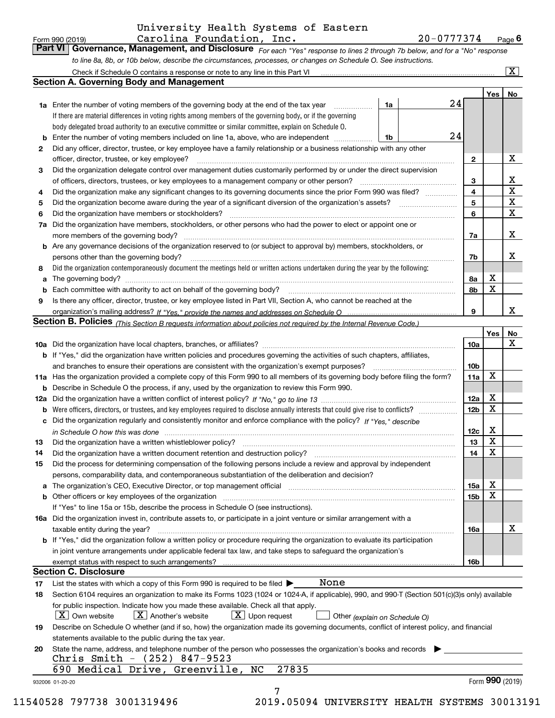|      | Carolina Foundation, Inc.<br>Form 990 (2019)                                                                                                     |    | 20-0777374 |                 |                         | $Page$ 6              |
|------|--------------------------------------------------------------------------------------------------------------------------------------------------|----|------------|-----------------|-------------------------|-----------------------|
|      | Part VI<br>Governance, Management, and Disclosure For each "Yes" response to lines 2 through 7b below, and for a "No" response                   |    |            |                 |                         |                       |
|      | to line 8a, 8b, or 10b below, describe the circumstances, processes, or changes on Schedule O. See instructions.                                 |    |            |                 |                         |                       |
|      |                                                                                                                                                  |    |            |                 |                         | $\overline{\text{X}}$ |
|      | <b>Section A. Governing Body and Management</b>                                                                                                  |    |            |                 |                         |                       |
|      |                                                                                                                                                  |    |            |                 | Yes                     | No                    |
|      | <b>1a</b> Enter the number of voting members of the governing body at the end of the tax year                                                    | 1a |            | 24              |                         |                       |
|      | If there are material differences in voting rights among members of the governing body, or if the governing                                      |    |            |                 |                         |                       |
|      | body delegated broad authority to an executive committee or similar committee, explain on Schedule O.                                            |    |            |                 |                         |                       |
|      | <b>b</b> Enter the number of voting members included on line 1a, above, who are independent                                                      | 1b |            | 24              |                         |                       |
| 2    | Did any officer, director, trustee, or key employee have a family relationship or a business relationship with any other                         |    |            |                 |                         |                       |
|      | officer, director, trustee, or key employee?                                                                                                     |    |            | $\mathbf{2}$    |                         | X                     |
| З    | Did the organization delegate control over management duties customarily performed by or under the direct supervision                            |    |            |                 |                         |                       |
|      | of officers, directors, trustees, or key employees to a management company or other person?                                                      |    |            | 3               |                         | х                     |
| 4    | Did the organization make any significant changes to its governing documents since the prior Form 990 was filed?                                 |    |            | 4               |                         | $\mathbf X$           |
| 5    | Did the organization become aware during the year of a significant diversion of the organization's assets?                                       |    |            | 5               |                         | $\mathbf X$           |
| 6    | Did the organization have members or stockholders?                                                                                               |    |            | 6               |                         | $\mathbf X$           |
|      | 7a Did the organization have members, stockholders, or other persons who had the power to elect or appoint one or                                |    |            |                 |                         |                       |
|      |                                                                                                                                                  |    |            | 7a              |                         | x                     |
|      | b Are any governance decisions of the organization reserved to (or subject to approval by) members, stockholders, or                             |    |            |                 |                         |                       |
|      | persons other than the governing body?                                                                                                           |    |            | 7b              |                         | x                     |
|      | Did the organization contemporaneously document the meetings held or written actions undertaken during the year by the following:                |    |            |                 |                         |                       |
| 8    |                                                                                                                                                  |    |            |                 | X                       |                       |
| a    |                                                                                                                                                  |    |            | 8a              | X                       |                       |
| b    |                                                                                                                                                  |    |            | 8b              |                         |                       |
| 9    | Is there any officer, director, trustee, or key employee listed in Part VII, Section A, who cannot be reached at the                             |    |            |                 |                         | x                     |
|      |                                                                                                                                                  |    |            | 9               |                         |                       |
|      | <b>Section B. Policies</b> (This Section B requests information about policies not required by the Internal Revenue Code.)                       |    |            |                 |                         |                       |
|      |                                                                                                                                                  |    |            |                 | Yes                     | No<br>х               |
|      |                                                                                                                                                  |    |            | 10a             |                         |                       |
|      | <b>b</b> If "Yes," did the organization have written policies and procedures governing the activities of such chapters, affiliates,              |    |            |                 |                         |                       |
|      | and branches to ensure their operations are consistent with the organization's exempt purposes?                                                  |    |            | 10 <sub>b</sub> |                         |                       |
|      | 11a Has the organization provided a complete copy of this Form 990 to all members of its governing body before filing the form?                  |    |            | 11a             | X                       |                       |
|      | <b>b</b> Describe in Schedule O the process, if any, used by the organization to review this Form 990.                                           |    |            |                 |                         |                       |
|      |                                                                                                                                                  |    |            | 12a             | X                       |                       |
|      |                                                                                                                                                  |    |            | 12 <sub>b</sub> | X                       |                       |
|      | c Did the organization regularly and consistently monitor and enforce compliance with the policy? If "Yes," describe                             |    |            |                 |                         |                       |
|      | in Schedule O how this was done measurement control to the state of the state of the state of the state of the                                   |    |            | 12c             | х                       |                       |
| 13 - |                                                                                                                                                  |    |            | 13              | $\overline{\textbf{X}}$ |                       |
| 14   | Did the organization have a written document retention and destruction policy?                                                                   |    |            | 14              | X                       |                       |
| 15   | Did the process for determining compensation of the following persons include a review and approval by independent                               |    |            |                 |                         |                       |
|      | persons, comparability data, and contemporaneous substantiation of the deliberation and decision?                                                |    |            |                 |                         |                       |
|      | a The organization's CEO, Executive Director, or top management official manufactured contains and contained an                                  |    |            | 15a             | X                       |                       |
|      |                                                                                                                                                  |    |            | 15 <sub>b</sub> | x                       |                       |
|      | If "Yes" to line 15a or 15b, describe the process in Schedule O (see instructions).                                                              |    |            |                 |                         |                       |
|      | 16a Did the organization invest in, contribute assets to, or participate in a joint venture or similar arrangement with a                        |    |            |                 |                         |                       |
|      | taxable entity during the year?                                                                                                                  |    |            | 16a             |                         | х                     |
|      | b If "Yes," did the organization follow a written policy or procedure requiring the organization to evaluate its participation                   |    |            |                 |                         |                       |
|      | in joint venture arrangements under applicable federal tax law, and take steps to safeguard the organization's                                   |    |            |                 |                         |                       |
|      |                                                                                                                                                  |    |            | 16b             |                         |                       |
|      | <b>Section C. Disclosure</b>                                                                                                                     |    |            |                 |                         |                       |
| 17   | None<br>List the states with which a copy of this Form 990 is required to be filed $\blacktriangleright$                                         |    |            |                 |                         |                       |
| 18   | Section 6104 requires an organization to make its Forms 1023 (1024 or 1024-A, if applicable), 990, and 990-T (Section 501(c)(3)s only) available |    |            |                 |                         |                       |
|      | for public inspection. Indicate how you made these available. Check all that apply.                                                              |    |            |                 |                         |                       |
|      | $ \mathbf{X} $ Own website<br>$X$ Another's website<br>$X$ Upon request<br>Other (explain on Schedule O)                                         |    |            |                 |                         |                       |
| 19   | Describe on Schedule O whether (and if so, how) the organization made its governing documents, conflict of interest policy, and financial        |    |            |                 |                         |                       |
|      | statements available to the public during the tax year.                                                                                          |    |            |                 |                         |                       |
| 20   | State the name, address, and telephone number of the person who possesses the organization's books and records                                   |    |            |                 |                         |                       |
|      | Chris Smith - (252) 847-9523                                                                                                                     |    |            |                 |                         |                       |
|      | 27835<br>690 Medical Drive, Greenville, NC                                                                                                       |    |            |                 |                         |                       |
|      | 932006 01-20-20                                                                                                                                  |    |            |                 |                         | Form 990 (2019)       |

7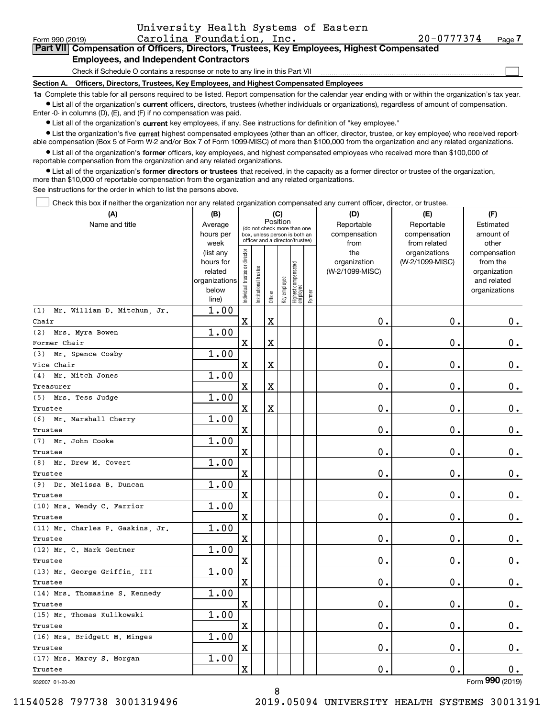| University Health Systems of Eastern |  |  |
|--------------------------------------|--|--|
|                                      |  |  |

 $\mathcal{L}^{\text{max}}$ 

| Form 990 (2019) |                                                                                            | Carolina Foundation, Inc. | $20 - 0777374$ | Page 7 |
|-----------------|--------------------------------------------------------------------------------------------|---------------------------|----------------|--------|
|                 | Part VII Compensation of Officers, Directors, Trustees, Key Employees, Highest Compensated |                           |                |        |
|                 | <b>Employees, and Independent Contractors</b>                                              |                           |                |        |

**Employees, and Independent Contractors**

Check if Schedule O contains a response or note to any line in this Part VII

**Section A. Officers, Directors, Trustees, Key Employees, and Highest Compensated Employees**

**1a**  Complete this table for all persons required to be listed. Report compensation for the calendar year ending with or within the organization's tax year. **•** List all of the organization's current officers, directors, trustees (whether individuals or organizations), regardless of amount of compensation.

Enter -0- in columns (D), (E), and (F) if no compensation was paid.

 $\bullet$  List all of the organization's  $\,$ current key employees, if any. See instructions for definition of "key employee."

**•** List the organization's five current highest compensated employees (other than an officer, director, trustee, or key employee) who received reportable compensation (Box 5 of Form W-2 and/or Box 7 of Form 1099-MISC) of more than \$100,000 from the organization and any related organizations.

**•** List all of the organization's former officers, key employees, and highest compensated employees who received more than \$100,000 of reportable compensation from the organization and any related organizations.

**former directors or trustees**  ¥ List all of the organization's that received, in the capacity as a former director or trustee of the organization, more than \$10,000 of reportable compensation from the organization and any related organizations.

See instructions for the order in which to list the persons above.

Check this box if neither the organization nor any related organization compensated any current officer, director, or trustee.  $\mathcal{L}^{\text{max}}$ 

| (A)                                | (B)                                                                          |                               |                                                              | (C)                     |              |                                   |        | (D)                                            | (E)                                              | (F)                                                                               |
|------------------------------------|------------------------------------------------------------------------------|-------------------------------|--------------------------------------------------------------|-------------------------|--------------|-----------------------------------|--------|------------------------------------------------|--------------------------------------------------|-----------------------------------------------------------------------------------|
| Name and title                     | Average<br>hours per                                                         |                               | (do not check more than one<br>box, unless person is both an | Position                |              |                                   |        | Reportable<br>compensation                     | Reportable<br>compensation                       | Estimated<br>amount of                                                            |
|                                    | week<br>(list any<br>hours for<br>related<br>organizations<br>below<br>line) | ndividual trustee or director | officer and a director/trustee)<br>nstitutional trustee      | Officer                 | Key employee | Highest compensated<br>  employee | Former | from<br>the<br>organization<br>(W-2/1099-MISC) | from related<br>organizations<br>(W-2/1099-MISC) | other<br>compensation<br>from the<br>organization<br>and related<br>organizations |
| (1)<br>Mr. William D. Mitchum, Jr. | 1.00                                                                         |                               |                                                              |                         |              |                                   |        |                                                |                                                  |                                                                                   |
| Chair                              |                                                                              | $\mathbf X$                   |                                                              | X                       |              |                                   |        | $0$ .                                          | $\mathbf 0$ .                                    | 0.                                                                                |
| (2)<br>Mrs. Myra Bowen             | 1.00                                                                         |                               |                                                              |                         |              |                                   |        |                                                |                                                  |                                                                                   |
| Former Chair                       |                                                                              | $\mathbf X$                   |                                                              | X                       |              |                                   |        | 0.                                             | $\mathbf 0$ .                                    | 0.                                                                                |
| Mr. Spence Cosby<br>(3)            | 1.00                                                                         |                               |                                                              |                         |              |                                   |        |                                                |                                                  |                                                                                   |
| Vice Chair                         |                                                                              | $\mathbf X$                   |                                                              | X                       |              |                                   |        | 0.                                             | $\mathbf 0$ .                                    | $0_{.}$                                                                           |
| (4)<br>Mr. Mitch Jones             | 1.00                                                                         |                               |                                                              |                         |              |                                   |        |                                                |                                                  |                                                                                   |
| Treasurer                          |                                                                              | $\mathbf x$                   |                                                              | $\overline{\text{X}}$   |              |                                   |        | 0.                                             | $\mathbf 0$ .                                    | $\mathbf 0$ .                                                                     |
| (5) Mrs. Tess Judge                | 1.00                                                                         |                               |                                                              |                         |              |                                   |        |                                                |                                                  |                                                                                   |
| Trustee                            |                                                                              | $\mathbf X$                   |                                                              | $\overline{\textbf{X}}$ |              |                                   |        | 0.                                             | $\mathbf 0$ .                                    | $\boldsymbol{0}$ .                                                                |
| (6) Mr. Marshall Cherry            | 1.00                                                                         |                               |                                                              |                         |              |                                   |        |                                                |                                                  |                                                                                   |
| Trustee                            |                                                                              | $\mathbf X$                   |                                                              |                         |              |                                   |        | $\mathbf 0$ .                                  | $\mathbf 0$ .                                    | $\mathbf 0$ .                                                                     |
| (7) Mr. John Cooke                 | 1.00                                                                         |                               |                                                              |                         |              |                                   |        |                                                |                                                  |                                                                                   |
| Trustee                            |                                                                              | X                             |                                                              |                         |              |                                   |        | $\mathbf 0$ .                                  | $\mathbf 0$ .                                    | $\mathbf 0$ .                                                                     |
| (8) Mr. Drew M. Covert             | 1.00                                                                         |                               |                                                              |                         |              |                                   |        |                                                |                                                  |                                                                                   |
| Trustee                            |                                                                              | $\mathbf X$                   |                                                              |                         |              |                                   |        | 0.                                             | $\mathbf 0$ .                                    | $\mathbf 0$ .                                                                     |
| (9) Dr. Melissa B. Duncan          | 1.00                                                                         |                               |                                                              |                         |              |                                   |        |                                                |                                                  |                                                                                   |
| Trustee                            |                                                                              | X                             |                                                              |                         |              |                                   |        | 0.                                             | $\mathbf 0$ .                                    | $\mathbf 0$ .                                                                     |
| (10) Mrs. Wendy C. Farrior         | 1.00                                                                         |                               |                                                              |                         |              |                                   |        |                                                |                                                  |                                                                                   |
| Trustee                            |                                                                              | $\mathbf X$                   |                                                              |                         |              |                                   |        | 0.                                             | $\mathbf 0$ .                                    | $0_{.}$                                                                           |
| (11) Mr. Charles P. Gaskins, Jr.   | 1.00                                                                         |                               |                                                              |                         |              |                                   |        |                                                |                                                  |                                                                                   |
| Trustee                            |                                                                              | X                             |                                                              |                         |              |                                   |        | 0.                                             | $\mathbf 0$ .                                    | $\mathbf 0$ .                                                                     |
| (12) Mr. C. Mark Gentner           | 1.00                                                                         |                               |                                                              |                         |              |                                   |        |                                                |                                                  |                                                                                   |
| Trustee                            |                                                                              | $\mathbf X$                   |                                                              |                         |              |                                   |        | 0.                                             | $\mathbf 0$ .                                    | $\mathbf 0$ .                                                                     |
| (13) Mr. George Griffin, III       | 1.00                                                                         |                               |                                                              |                         |              |                                   |        |                                                |                                                  |                                                                                   |
| Trustee                            |                                                                              | Χ                             |                                                              |                         |              |                                   |        | 0.                                             | 0.                                               | 0.                                                                                |
| (14) Mrs. Thomasine S. Kennedy     | 1.00                                                                         |                               |                                                              |                         |              |                                   |        |                                                |                                                  |                                                                                   |
| Trustee                            |                                                                              | X                             |                                                              |                         |              |                                   |        | 0.                                             | $\mathbf 0$ .                                    | $0$ .                                                                             |
| (15) Mr. Thomas Kulikowski         | 1.00                                                                         |                               |                                                              |                         |              |                                   |        |                                                |                                                  |                                                                                   |
| Trustee                            |                                                                              | X                             |                                                              |                         |              |                                   |        | 0.                                             | $\mathbf 0$ .                                    | 0.                                                                                |
| (16) Mrs. Bridgett M. Minges       | 1.00                                                                         |                               |                                                              |                         |              |                                   |        |                                                |                                                  |                                                                                   |
| Trustee                            |                                                                              | $\mathbf X$                   |                                                              |                         |              |                                   |        | 0.                                             | $\mathbf 0$ .                                    | $\mathbf 0$ .                                                                     |
| (17) Mrs. Marcy S. Morgan          | 1.00                                                                         |                               |                                                              |                         |              |                                   |        |                                                |                                                  |                                                                                   |
| Trustee                            |                                                                              | X                             |                                                              |                         |              |                                   |        | $0$ .                                          | 0.                                               | 0.                                                                                |
|                                    |                                                                              |                               |                                                              |                         |              |                                   |        |                                                |                                                  | <b>non</b>                                                                        |

932007 01-20-20

Form (2019) **990**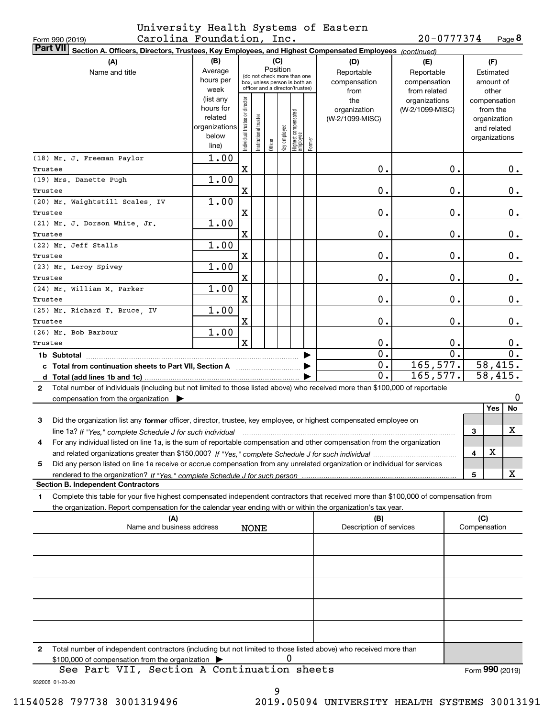#### Form 990 (2019) Carolina Foundation, Inc. 20-0777374 Page University Health Systems of Eastern

**8**20-0777374

| <b>Part VII</b><br>Section A. Officers, Directors, Trustees, Key Employees, and Highest Compensated Employees (continued)                    |                        |                                |                       |          |              |                                 |        |                         |                                  |                          |
|----------------------------------------------------------------------------------------------------------------------------------------------|------------------------|--------------------------------|-----------------------|----------|--------------|---------------------------------|--------|-------------------------|----------------------------------|--------------------------|
| (B)<br>(C)<br>(A)                                                                                                                            |                        |                                |                       |          |              |                                 | (D)    | (E)                     | (F)                              |                          |
| Name and title                                                                                                                               | Average                |                                |                       | Position |              | (do not check more than one     |        | Reportable              | Reportable                       | Estimated                |
|                                                                                                                                              | hours per              |                                |                       |          |              | box, unless person is both an   |        | compensation            | compensation                     | amount of                |
|                                                                                                                                              | week                   |                                |                       |          |              | officer and a director/trustee) |        | from                    | from related                     | other                    |
|                                                                                                                                              | (list any<br>hours for | Individual trustee or director |                       |          |              |                                 |        | the<br>organization     | organizations<br>(W-2/1099-MISC) | compensation<br>from the |
|                                                                                                                                              | related                |                                |                       |          |              |                                 |        | (W-2/1099-MISC)         |                                  | organization             |
|                                                                                                                                              | organizations          |                                | Institutional trustee |          |              | Highest compensated<br>employee |        |                         |                                  | and related              |
|                                                                                                                                              | below                  |                                |                       |          | key employee |                                 |        |                         |                                  | organizations            |
|                                                                                                                                              | line)                  |                                |                       | Officer  |              |                                 | Former |                         |                                  |                          |
| (18) Mr. J. Freeman Paylor                                                                                                                   | 1.00                   |                                |                       |          |              |                                 |        |                         |                                  |                          |
| Trustee                                                                                                                                      |                        | $\mathbf X$                    |                       |          |              |                                 |        | 0.                      | 0.                               | $0$ .                    |
| (19) Mrs. Danette Pugh                                                                                                                       | 1.00                   |                                |                       |          |              |                                 |        |                         |                                  |                          |
| Trustee                                                                                                                                      |                        | X                              |                       |          |              |                                 |        | 0.                      | 0.                               | 0.                       |
| (20) Mr. Waightstill Scales, IV                                                                                                              | 1.00                   |                                |                       |          |              |                                 |        |                         |                                  |                          |
| Trustee                                                                                                                                      |                        | X                              |                       |          |              |                                 |        | 0.                      | 0.                               | $0$ .                    |
| (21) Mr. J. Dorson White, Jr.                                                                                                                | 1.00                   |                                |                       |          |              |                                 |        |                         |                                  |                          |
| Trustee                                                                                                                                      |                        | X                              |                       |          |              |                                 |        | 0.                      | 0.                               | $0$ .                    |
| (22) Mr. Jeff Stalls                                                                                                                         | 1.00                   |                                |                       |          |              |                                 |        |                         |                                  |                          |
| Trustee                                                                                                                                      |                        | X                              |                       |          |              |                                 |        | 0.                      | 0.                               | 0.                       |
| (23) Mr. Leroy Spivey                                                                                                                        | 1.00                   |                                |                       |          |              |                                 |        |                         |                                  |                          |
| Trustee                                                                                                                                      |                        | X                              |                       |          |              |                                 |        | 0.                      | 0.                               | 0.                       |
| (24) Mr. William M. Parker                                                                                                                   | 1.00                   | X                              |                       |          |              |                                 |        | 0.                      | 0.                               | 0.                       |
| Trustee<br>(25) Mr. Richard T. Bruce, IV                                                                                                     | 1.00                   |                                |                       |          |              |                                 |        |                         |                                  |                          |
| Trustee                                                                                                                                      |                        | X                              |                       |          |              |                                 |        | 0.                      | 0.                               | 0.                       |
| (26) Mr. Bob Barbour                                                                                                                         | 1.00                   |                                |                       |          |              |                                 |        |                         |                                  |                          |
| Trustee                                                                                                                                      |                        | $\mathbf x$                    |                       |          |              |                                 |        | 0.                      | 0.                               | 0.                       |
| 1b Subtotal                                                                                                                                  |                        |                                |                       |          |              |                                 |        | 0.                      | $\overline{0}$ .                 | $\overline{0}$ .         |
| c Total from continuation sheets to Part VII, Section A manufactured and response Total in Total and Total and                               |                        |                                |                       |          |              |                                 |        | 0.                      | 165,577.                         | 58,415.                  |
|                                                                                                                                              |                        |                                |                       |          |              |                                 |        | 0.                      | 165,577.                         | 58,415.                  |
| Total number of individuals (including but not limited to those listed above) who received more than \$100,000 of reportable<br>$\mathbf{2}$ |                        |                                |                       |          |              |                                 |        |                         |                                  |                          |
| compensation from the organization $\blacktriangleright$                                                                                     |                        |                                |                       |          |              |                                 |        |                         |                                  | 0                        |
|                                                                                                                                              |                        |                                |                       |          |              |                                 |        |                         |                                  | Yes<br>No                |
| 3<br>Did the organization list any former officer, director, trustee, key employee, or highest compensated employee on                       |                        |                                |                       |          |              |                                 |        |                         |                                  |                          |
| line 1a? If "Yes," complete Schedule J for such individual                                                                                   |                        |                                |                       |          |              |                                 |        |                         |                                  | X<br>3                   |
| For any individual listed on line 1a, is the sum of reportable compensation and other compensation from the organization<br>4                |                        |                                |                       |          |              |                                 |        |                         |                                  |                          |
|                                                                                                                                              |                        |                                |                       |          |              |                                 |        |                         |                                  | X,<br>4                  |
| Did any person listed on line 1a receive or accrue compensation from any unrelated organization or individual for services<br>5              |                        |                                |                       |          |              |                                 |        |                         |                                  |                          |
|                                                                                                                                              |                        |                                |                       |          |              |                                 |        |                         |                                  | X<br>5                   |
| <b>Section B. Independent Contractors</b>                                                                                                    |                        |                                |                       |          |              |                                 |        |                         |                                  |                          |
| Complete this table for your five highest compensated independent contractors that received more than \$100,000 of compensation from<br>1.   |                        |                                |                       |          |              |                                 |        |                         |                                  |                          |
| the organization. Report compensation for the calendar year ending with or within the organization's tax year.                               |                        |                                |                       |          |              |                                 |        |                         |                                  |                          |
| (A)                                                                                                                                          |                        |                                |                       |          |              |                                 |        | (B)                     |                                  | (C)                      |
| Name and business address                                                                                                                    |                        |                                | <b>NONE</b>           |          |              |                                 |        | Description of services |                                  | Compensation             |
|                                                                                                                                              |                        |                                |                       |          |              |                                 |        |                         |                                  |                          |
|                                                                                                                                              |                        |                                |                       |          |              |                                 |        |                         |                                  |                          |
|                                                                                                                                              |                        |                                |                       |          |              |                                 |        |                         |                                  |                          |
|                                                                                                                                              |                        |                                |                       |          |              |                                 |        |                         |                                  |                          |
|                                                                                                                                              |                        |                                |                       |          |              |                                 |        |                         |                                  |                          |
|                                                                                                                                              |                        |                                |                       |          |              |                                 |        |                         |                                  |                          |
|                                                                                                                                              |                        |                                |                       |          |              |                                 |        |                         |                                  |                          |
|                                                                                                                                              |                        |                                |                       |          |              |                                 |        |                         |                                  |                          |
|                                                                                                                                              |                        |                                |                       |          |              |                                 |        |                         |                                  |                          |
| Total number of independent contractors (including but not limited to those listed above) who received more than<br>2                        |                        |                                |                       |          |              |                                 |        |                         |                                  |                          |
| \$100,000 of compensation from the organization                                                                                              |                        |                                |                       |          | Ü            |                                 |        |                         |                                  |                          |
| See Part VII, Section A Continuation sheets                                                                                                  |                        |                                |                       |          |              |                                 |        |                         |                                  | Form 990 (2019)          |

932008 01-20-20

9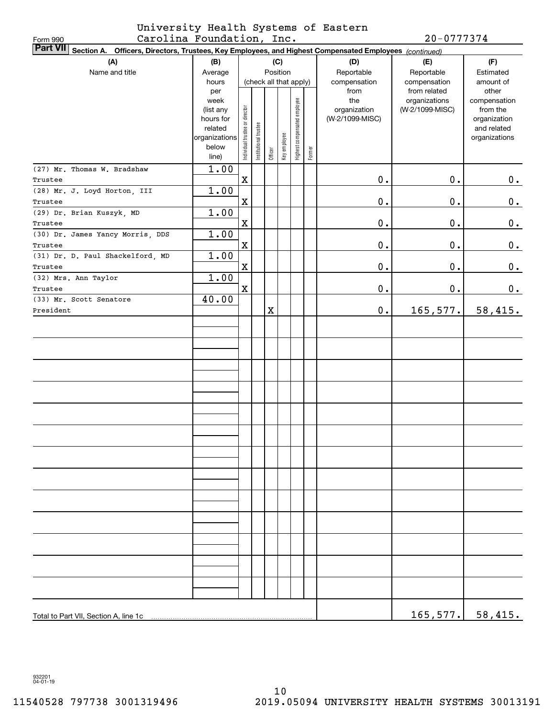

| Form 990  | Carolina Foundation, Inc.                                                                                       |                          |                                |                        |          |              |                              |        |                 | $20 - 0777374$  |                              |  |  |  |
|-----------|-----------------------------------------------------------------------------------------------------------------|--------------------------|--------------------------------|------------------------|----------|--------------|------------------------------|--------|-----------------|-----------------|------------------------------|--|--|--|
|           | Part VII Section A. Officers, Directors, Trustees, Key Employees, and Highest Compensated Employees (continued) |                          |                                |                        |          |              |                              |        |                 |                 |                              |  |  |  |
|           | (A)                                                                                                             | (B)                      |                                |                        |          | (C)          |                              |        | (D)             | (E)             | (F)                          |  |  |  |
|           | Name and title                                                                                                  | Average                  |                                |                        | Position |              |                              |        | Reportable      | Reportable      | Estimated                    |  |  |  |
|           |                                                                                                                 | hours                    |                                | (check all that apply) |          |              |                              |        | compensation    | compensation    | amount of                    |  |  |  |
|           |                                                                                                                 | per                      |                                |                        |          |              |                              |        | from            | from related    | other                        |  |  |  |
|           |                                                                                                                 | week                     |                                |                        |          |              |                              |        | the             | organizations   | compensation                 |  |  |  |
|           |                                                                                                                 | (list any                |                                |                        |          |              |                              |        | organization    | (W-2/1099-MISC) | from the                     |  |  |  |
|           |                                                                                                                 | hours for                |                                |                        |          |              |                              |        | (W-2/1099-MISC) |                 | organization                 |  |  |  |
|           |                                                                                                                 | related<br>organizations |                                |                        |          |              |                              |        |                 |                 | and related<br>organizations |  |  |  |
|           |                                                                                                                 | below                    |                                |                        |          |              |                              |        |                 |                 |                              |  |  |  |
|           |                                                                                                                 | line)                    | Individual trustee or director | Institutional trustee  | Officer  | Key employee | Highest compensated employee | Former |                 |                 |                              |  |  |  |
|           | (27) Mr. Thomas W. Bradshaw                                                                                     | 1.00                     |                                |                        |          |              |                              |        |                 |                 |                              |  |  |  |
| Trustee   |                                                                                                                 |                          | $\mathbf X$                    |                        |          |              |                              |        | 0.              | $\mathbf 0$ .   | 0.                           |  |  |  |
|           | (28) Mr. J. Loyd Horton, III                                                                                    | 1.00                     |                                |                        |          |              |                              |        |                 |                 |                              |  |  |  |
| Trustee   |                                                                                                                 |                          | $\mathbf X$                    |                        |          |              |                              |        | $0$ .           | $\mathbf 0$ .   | 0.                           |  |  |  |
|           | (29) Dr. Brian Kuszyk, MD                                                                                       | 1.00                     |                                |                        |          |              |                              |        |                 |                 |                              |  |  |  |
| Trustee   |                                                                                                                 |                          | $\mathbf X$                    |                        |          |              |                              |        | $0$ .           | $\mathbf 0$ .   | 0.                           |  |  |  |
|           | (30) Dr. James Yancy Morris, DDS                                                                                | 1.00                     |                                |                        |          |              |                              |        |                 |                 |                              |  |  |  |
|           |                                                                                                                 |                          | $\mathbf X$                    |                        |          |              |                              |        | $0$ .           | $\mathbf 0$ .   | 0.                           |  |  |  |
| Trustee   |                                                                                                                 | 1.00                     |                                |                        |          |              |                              |        |                 |                 |                              |  |  |  |
|           | (31) Dr. D. Paul Shackelford, MD                                                                                |                          |                                |                        |          |              |                              |        |                 |                 |                              |  |  |  |
| Trustee   |                                                                                                                 |                          | $\mathbf X$                    |                        |          |              |                              |        | $0$ .           | $\mathbf 0$ .   | 0.                           |  |  |  |
|           | (32) Mrs. Ann Taylor                                                                                            | 1.00                     |                                |                        |          |              |                              |        |                 |                 |                              |  |  |  |
| Trustee   |                                                                                                                 |                          | $\mathbf X$                    |                        |          |              |                              |        | $\mathbf 0$ .   | $\mathbf 0$ .   | 0.                           |  |  |  |
|           | (33) Mr. Scott Senatore                                                                                         | 40.00                    |                                |                        |          |              |                              |        |                 |                 |                              |  |  |  |
| President |                                                                                                                 |                          |                                |                        | X        |              |                              |        | $\mathbf 0$ .   | 165, 577.       | 58,415.                      |  |  |  |
|           |                                                                                                                 |                          |                                |                        |          |              |                              |        |                 |                 |                              |  |  |  |
|           |                                                                                                                 |                          |                                |                        |          |              |                              |        |                 |                 |                              |  |  |  |
|           |                                                                                                                 |                          |                                |                        |          |              |                              |        |                 |                 |                              |  |  |  |
|           |                                                                                                                 |                          |                                |                        |          |              |                              |        |                 |                 |                              |  |  |  |
|           |                                                                                                                 |                          |                                |                        |          |              |                              |        |                 |                 |                              |  |  |  |
|           |                                                                                                                 |                          |                                |                        |          |              |                              |        |                 |                 |                              |  |  |  |
|           |                                                                                                                 |                          |                                |                        |          |              |                              |        |                 |                 |                              |  |  |  |
|           |                                                                                                                 |                          |                                |                        |          |              |                              |        |                 |                 |                              |  |  |  |
|           |                                                                                                                 |                          |                                |                        |          |              |                              |        |                 |                 |                              |  |  |  |
|           |                                                                                                                 |                          |                                |                        |          |              |                              |        |                 |                 |                              |  |  |  |
|           |                                                                                                                 |                          |                                |                        |          |              |                              |        |                 |                 |                              |  |  |  |
|           |                                                                                                                 |                          |                                |                        |          |              |                              |        |                 |                 |                              |  |  |  |
|           |                                                                                                                 |                          |                                |                        |          |              |                              |        |                 |                 |                              |  |  |  |
|           |                                                                                                                 |                          |                                |                        |          |              |                              |        |                 |                 |                              |  |  |  |
|           |                                                                                                                 |                          |                                |                        |          |              |                              |        |                 |                 |                              |  |  |  |
|           |                                                                                                                 |                          |                                |                        |          |              |                              |        |                 |                 |                              |  |  |  |
|           |                                                                                                                 |                          |                                |                        |          |              |                              |        |                 |                 |                              |  |  |  |
|           |                                                                                                                 |                          |                                |                        |          |              |                              |        |                 |                 |                              |  |  |  |
|           |                                                                                                                 |                          |                                |                        |          |              |                              |        |                 |                 |                              |  |  |  |
|           |                                                                                                                 |                          |                                |                        |          |              |                              |        |                 |                 |                              |  |  |  |
|           |                                                                                                                 |                          |                                |                        |          |              |                              |        |                 |                 |                              |  |  |  |
|           |                                                                                                                 |                          |                                |                        |          |              |                              |        |                 |                 |                              |  |  |  |
|           |                                                                                                                 |                          |                                |                        |          |              |                              |        |                 |                 |                              |  |  |  |
|           |                                                                                                                 |                          |                                |                        |          |              |                              |        |                 |                 |                              |  |  |  |
|           |                                                                                                                 |                          |                                |                        |          |              |                              |        |                 |                 |                              |  |  |  |
|           |                                                                                                                 |                          |                                |                        |          |              |                              |        |                 |                 |                              |  |  |  |
|           |                                                                                                                 |                          |                                |                        |          |              |                              |        |                 |                 |                              |  |  |  |
|           | Total to Part VII, Section A, line 1c                                                                           |                          |                                |                        |          |              |                              |        |                 | 165, 577.       | 58,415.                      |  |  |  |

932201 04-01-19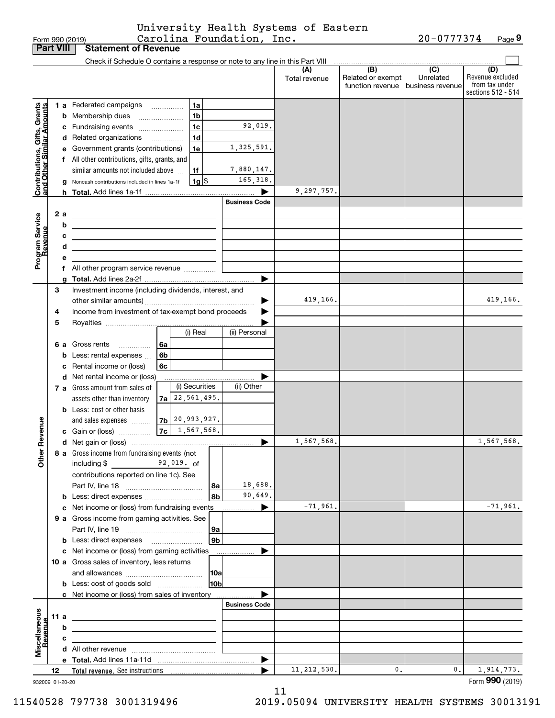|                 | University Health Systems of Eastern |                     |  |
|-----------------|--------------------------------------|---------------------|--|
| Form 990 (2019) | Carolina Foundation, Inc.            | $20 - 0777374$ Page |  |

|                                                           |    |      | Form 990 (2019)                                                               |                             | Carolina Foundation, Inc. |                      |                                              | 20-0777374                                      | Page 9                                                          |
|-----------------------------------------------------------|----|------|-------------------------------------------------------------------------------|-----------------------------|---------------------------|----------------------|----------------------------------------------|-------------------------------------------------|-----------------------------------------------------------------|
| <b>Part VIII</b>                                          |    |      | <b>Statement of Revenue</b>                                                   |                             |                           |                      |                                              |                                                 |                                                                 |
|                                                           |    |      | Check if Schedule O contains a response or note to any line in this Part VIII |                             |                           |                      |                                              |                                                 |                                                                 |
|                                                           |    |      |                                                                               |                             |                           | (A)<br>Total revenue | (B)<br>Related or exempt<br>function revenue | $\overline{C}$<br>Unrelated<br>business revenue | (D)<br>Revenue excluded<br>from tax under<br>sections 512 - 514 |
|                                                           |    |      |                                                                               | 1a                          |                           |                      |                                              |                                                 |                                                                 |
| Contributions, Gifts, Grants<br>and Other Similar Amounts |    |      | 1 a Federated campaigns                                                       | 1 <sub>b</sub>              |                           |                      |                                              |                                                 |                                                                 |
|                                                           |    |      | <b>b</b> Membership dues<br>$\ldots \ldots \ldots \ldots \ldots$              | 1 <sub>c</sub>              | 92,019.                   |                      |                                              |                                                 |                                                                 |
|                                                           |    |      | c Fundraising events                                                          | 1 <sub>d</sub>              |                           |                      |                                              |                                                 |                                                                 |
|                                                           |    |      | d Related organizations                                                       |                             | 1,325,591.                |                      |                                              |                                                 |                                                                 |
|                                                           |    |      | e Government grants (contributions)                                           | 1e                          |                           |                      |                                              |                                                 |                                                                 |
|                                                           |    |      | f All other contributions, gifts, grants, and                                 |                             |                           |                      |                                              |                                                 |                                                                 |
|                                                           |    |      | similar amounts not included above                                            | 1f                          | 7,880,147.                |                      |                                              |                                                 |                                                                 |
|                                                           |    |      | g Noncash contributions included in lines 1a-1f                               | $1g$ \$                     | 165,318.                  |                      |                                              |                                                 |                                                                 |
|                                                           |    |      |                                                                               |                             | <b>Business Code</b>      | 9,297,757.           |                                              |                                                 |                                                                 |
|                                                           |    |      |                                                                               |                             |                           |                      |                                              |                                                 |                                                                 |
| Program Service<br>Revenue                                |    | 2 a  |                                                                               |                             |                           |                      |                                              |                                                 |                                                                 |
|                                                           |    | b    | <u> 1980 - Andrea Andrew Maria (h. 1980).</u>                                 |                             |                           |                      |                                              |                                                 |                                                                 |
|                                                           |    | с    | <u> 1989 - Jan Sterling Start, fransk politik (d. 1989)</u>                   |                             |                           |                      |                                              |                                                 |                                                                 |
|                                                           |    | d    |                                                                               |                             |                           |                      |                                              |                                                 |                                                                 |
|                                                           |    | е    |                                                                               |                             |                           |                      |                                              |                                                 |                                                                 |
|                                                           |    |      | f All other program service revenue                                           |                             | ▶                         |                      |                                              |                                                 |                                                                 |
|                                                           | З  |      | Investment income (including dividends, interest, and                         |                             |                           |                      |                                              |                                                 |                                                                 |
|                                                           |    |      |                                                                               |                             | ▶                         | 419,166.             |                                              |                                                 | 419,166.                                                        |
|                                                           | 4  |      | Income from investment of tax-exempt bond proceeds                            |                             |                           |                      |                                              |                                                 |                                                                 |
|                                                           | 5  |      |                                                                               |                             |                           |                      |                                              |                                                 |                                                                 |
|                                                           |    |      |                                                                               | (i) Real                    | (ii) Personal             |                      |                                              |                                                 |                                                                 |
|                                                           |    |      | 6 a Gross rents<br>6a<br>.                                                    |                             |                           |                      |                                              |                                                 |                                                                 |
|                                                           |    |      | 6b<br><b>b</b> Less: rental expenses                                          |                             |                           |                      |                                              |                                                 |                                                                 |
|                                                           |    |      | 6c<br>c Rental income or (loss)                                               |                             |                           |                      |                                              |                                                 |                                                                 |
|                                                           |    |      | d Net rental income or (loss)                                                 |                             |                           |                      |                                              |                                                 |                                                                 |
|                                                           |    |      | 7 a Gross amount from sales of                                                | (i) Securities              | (ii) Other                |                      |                                              |                                                 |                                                                 |
|                                                           |    |      | assets other than inventory                                                   | $7a$ 22, 561, 495.          |                           |                      |                                              |                                                 |                                                                 |
|                                                           |    |      | <b>b</b> Less: cost or other basis                                            |                             |                           |                      |                                              |                                                 |                                                                 |
|                                                           |    |      | and sales expenses                                                            | $7b$ 20, 993, 927.          |                           |                      |                                              |                                                 |                                                                 |
| anue                                                      |    |      | c Gain or (loss)                                                              | 7c   1,567,568.             |                           |                      |                                              |                                                 |                                                                 |
|                                                           |    |      |                                                                               |                             | ▶                         | 1,567,568.           |                                              |                                                 | 1,567,568.                                                      |
| Other Re                                                  |    |      | 8 a Gross income from fundraising events (not                                 |                             |                           |                      |                                              |                                                 |                                                                 |
|                                                           |    |      | including $$$ 92,019. of                                                      |                             |                           |                      |                                              |                                                 |                                                                 |
|                                                           |    |      | contributions reported on line 1c). See                                       |                             |                           |                      |                                              |                                                 |                                                                 |
|                                                           |    |      |                                                                               | 8а                          | 18,688.                   |                      |                                              |                                                 |                                                                 |
|                                                           |    |      | <b>b</b> Less: direct expenses                                                | 8b                          | 90,649.                   |                      |                                              |                                                 |                                                                 |
|                                                           |    |      | c Net income or (loss) from fundraising events                                |                             | ▶                         | $-71,961.$           |                                              |                                                 | $-71,961.$                                                      |
|                                                           |    |      | 9 a Gross income from gaming activities. See                                  |                             |                           |                      |                                              |                                                 |                                                                 |
|                                                           |    |      |                                                                               | <b>9a</b><br>9 <sub>b</sub> |                           |                      |                                              |                                                 |                                                                 |
|                                                           |    |      | c Net income or (loss) from gaming activities                                 |                             | ▶                         |                      |                                              |                                                 |                                                                 |
|                                                           |    |      | 10 a Gross sales of inventory, less returns                                   |                             |                           |                      |                                              |                                                 |                                                                 |
|                                                           |    |      |                                                                               | 10a                         |                           |                      |                                              |                                                 |                                                                 |
|                                                           |    |      | <b>b</b> Less: cost of goods sold                                             | 10 <sub>b</sub>             |                           |                      |                                              |                                                 |                                                                 |
|                                                           |    |      | c Net income or (loss) from sales of inventory                                |                             |                           |                      |                                              |                                                 |                                                                 |
|                                                           |    |      |                                                                               |                             | <b>Business Code</b>      |                      |                                              |                                                 |                                                                 |
| Miscellaneous<br>Revenue                                  |    | 11 a |                                                                               |                             |                           |                      |                                              |                                                 |                                                                 |
|                                                           |    | b    |                                                                               |                             |                           |                      |                                              |                                                 |                                                                 |
|                                                           |    | с    |                                                                               |                             |                           |                      |                                              |                                                 |                                                                 |
|                                                           |    |      |                                                                               |                             |                           |                      |                                              |                                                 |                                                                 |
|                                                           |    |      |                                                                               |                             | ▶                         |                      |                                              |                                                 |                                                                 |
|                                                           | 12 |      |                                                                               |                             |                           | 11, 212, 530.        | 0.                                           | 0.                                              | 1,914,773.                                                      |
| 932009 01-20-20                                           |    |      |                                                                               |                             |                           |                      |                                              |                                                 | Form 990 (2019)                                                 |

932009 01-20-20

11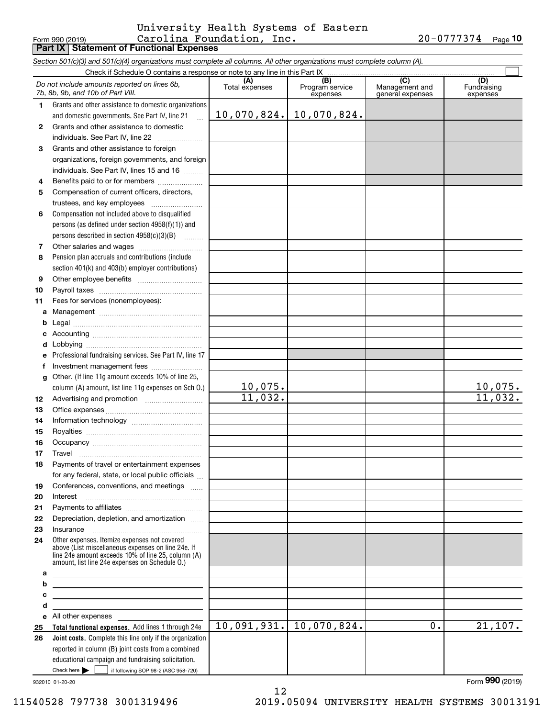#### Form 990 (2019) Carolina Foundation, Inc. 20-0777374 <sub>Page</sub> **Part IX Statement of Functional Expenses** University Health Systems of Eastern

**10**

|              | Section 501(c)(3) and 501(c)(4) organizations must complete all columns. All other organizations must complete column (A).                                 |                       |                                    |                                           |                                |
|--------------|------------------------------------------------------------------------------------------------------------------------------------------------------------|-----------------------|------------------------------------|-------------------------------------------|--------------------------------|
|              | Check if Schedule O contains a response or note to any line in this Part IX.                                                                               |                       |                                    |                                           |                                |
|              | Do not include amounts reported on lines 6b,<br>7b, 8b, 9b, and 10b of Part VIII.                                                                          | (A)<br>Total expenses | (B)<br>Program service<br>expenses | (C)<br>Management and<br>general expenses | (D)<br>Fundraising<br>expenses |
| $\mathbf 1$  | Grants and other assistance to domestic organizations                                                                                                      |                       |                                    |                                           |                                |
|              | and domestic governments. See Part IV, line 21                                                                                                             | 10,070,824.           | 10,070,824.                        |                                           |                                |
| $\mathbf{2}$ | Grants and other assistance to domestic                                                                                                                    |                       |                                    |                                           |                                |
|              | individuals. See Part IV, line 22<br><u> 1986 - Johann Stoff, Amerikaansk politike</u> r                                                                   |                       |                                    |                                           |                                |
| 3            | Grants and other assistance to foreign                                                                                                                     |                       |                                    |                                           |                                |
|              | organizations, foreign governments, and foreign                                                                                                            |                       |                                    |                                           |                                |
|              | individuals. See Part IV, lines 15 and 16                                                                                                                  |                       |                                    |                                           |                                |
| 4            | Benefits paid to or for members                                                                                                                            |                       |                                    |                                           |                                |
| 5            | Compensation of current officers, directors,                                                                                                               |                       |                                    |                                           |                                |
|              | trustees, and key employees                                                                                                                                |                       |                                    |                                           |                                |
| 6            | Compensation not included above to disqualified                                                                                                            |                       |                                    |                                           |                                |
|              | persons (as defined under section 4958(f)(1)) and                                                                                                          |                       |                                    |                                           |                                |
|              | persons described in section 4958(c)(3)(B)                                                                                                                 |                       |                                    |                                           |                                |
| 7            |                                                                                                                                                            |                       |                                    |                                           |                                |
| 8            | Pension plan accruals and contributions (include                                                                                                           |                       |                                    |                                           |                                |
|              | section 401(k) and 403(b) employer contributions)                                                                                                          |                       |                                    |                                           |                                |
| 9            |                                                                                                                                                            |                       |                                    |                                           |                                |
| 10           |                                                                                                                                                            |                       |                                    |                                           |                                |
| 11           | Fees for services (nonemployees):                                                                                                                          |                       |                                    |                                           |                                |
| a            |                                                                                                                                                            |                       |                                    |                                           |                                |
| b            |                                                                                                                                                            |                       |                                    |                                           |                                |
|              |                                                                                                                                                            |                       |                                    |                                           |                                |
|              |                                                                                                                                                            |                       |                                    |                                           |                                |
|              | Professional fundraising services. See Part IV, line 17                                                                                                    |                       |                                    |                                           |                                |
|              |                                                                                                                                                            |                       |                                    |                                           |                                |
| g            | Other. (If line 11g amount exceeds 10% of line 25,                                                                                                         |                       |                                    |                                           |                                |
|              | column (A) amount, list line 11g expenses on Sch O.)                                                                                                       | <u> 10,075.</u>       |                                    |                                           |                                |
| 12           |                                                                                                                                                            | 11,032.               |                                    |                                           | $\frac{10,075.}{11,032.}$      |
| 13           |                                                                                                                                                            |                       |                                    |                                           |                                |
| 14           |                                                                                                                                                            |                       |                                    |                                           |                                |
| 15           |                                                                                                                                                            |                       |                                    |                                           |                                |
| 16           |                                                                                                                                                            |                       |                                    |                                           |                                |
| 17           |                                                                                                                                                            |                       |                                    |                                           |                                |
| 18           | Payments of travel or entertainment expenses                                                                                                               |                       |                                    |                                           |                                |
|              | for any federal, state, or local public officials                                                                                                          |                       |                                    |                                           |                                |
| 19           | Conferences, conventions, and meetings                                                                                                                     |                       |                                    |                                           |                                |
| 20           | Interest                                                                                                                                                   |                       |                                    |                                           |                                |
| 21           |                                                                                                                                                            |                       |                                    |                                           |                                |
| 22           | Depreciation, depletion, and amortization                                                                                                                  |                       |                                    |                                           |                                |
| 23           |                                                                                                                                                            |                       |                                    |                                           |                                |
| 24           | Other expenses. Itemize expenses not covered                                                                                                               |                       |                                    |                                           |                                |
|              | above (List miscellaneous expenses on line 24e. If<br>line 24e amount exceeds 10% of line 25, column (A)<br>amount, list line 24e expenses on Schedule O.) |                       |                                    |                                           |                                |
| а            |                                                                                                                                                            |                       |                                    |                                           |                                |
| b            |                                                                                                                                                            |                       |                                    |                                           |                                |
| с            |                                                                                                                                                            |                       |                                    |                                           |                                |
| d            |                                                                                                                                                            |                       |                                    |                                           |                                |
|              | e All other expenses                                                                                                                                       |                       |                                    |                                           |                                |
| 25           | Total functional expenses. Add lines 1 through 24e                                                                                                         | 10,091,931.           | 10,070,824.                        | 0.                                        | 21,107.                        |
| 26           | Joint costs. Complete this line only if the organization                                                                                                   |                       |                                    |                                           |                                |
|              | reported in column (B) joint costs from a combined                                                                                                         |                       |                                    |                                           |                                |
|              | educational campaign and fundraising solicitation.                                                                                                         |                       |                                    |                                           |                                |
|              | Check here $\blacktriangleright$<br>if following SOP 98-2 (ASC 958-720)                                                                                    |                       |                                    |                                           |                                |

932010 01-20-20

12 11540528 797738 3001319496 2019.05094 UNIVERSITY HEALTH SYSTEMS 30013191

Form (2019) **990**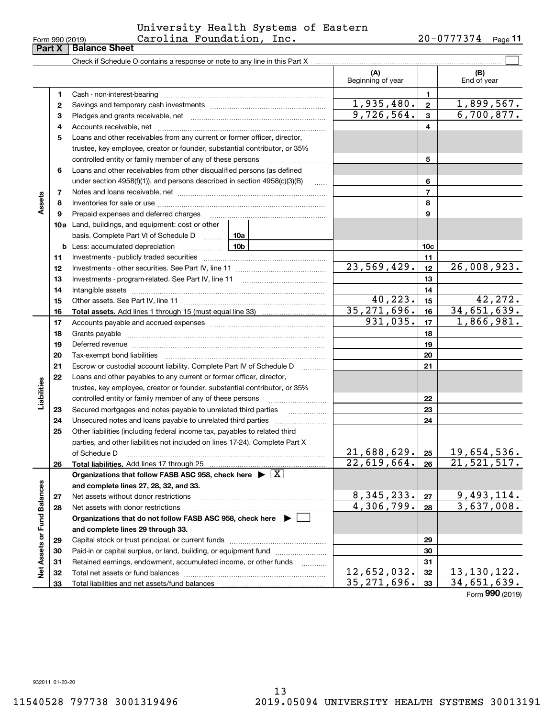#### Form 990 (2019) Carolina Foundation, Inc. 20-0777374 <sub>Page</sub> University Health Systems of Eastern

| (A)<br>(B)<br>Beginning of year<br>End of year<br>1<br>Cash - non-interest-bearing<br>1<br>1,935,480.<br>$\mathbf{2}$<br>2<br>9,726,564.<br>3<br>з<br>4<br>4<br>Loans and other receivables from any current or former officer, director,<br>5<br>trustee, key employee, creator or founder, substantial contributor, or 35%<br>controlled entity or family member of any of these persons<br>5                                                                   | 1,899,567.<br>6,700,877. |
|-------------------------------------------------------------------------------------------------------------------------------------------------------------------------------------------------------------------------------------------------------------------------------------------------------------------------------------------------------------------------------------------------------------------------------------------------------------------|--------------------------|
|                                                                                                                                                                                                                                                                                                                                                                                                                                                                   |                          |
|                                                                                                                                                                                                                                                                                                                                                                                                                                                                   |                          |
|                                                                                                                                                                                                                                                                                                                                                                                                                                                                   |                          |
|                                                                                                                                                                                                                                                                                                                                                                                                                                                                   |                          |
|                                                                                                                                                                                                                                                                                                                                                                                                                                                                   |                          |
|                                                                                                                                                                                                                                                                                                                                                                                                                                                                   |                          |
|                                                                                                                                                                                                                                                                                                                                                                                                                                                                   |                          |
|                                                                                                                                                                                                                                                                                                                                                                                                                                                                   |                          |
|                                                                                                                                                                                                                                                                                                                                                                                                                                                                   |                          |
| Loans and other receivables from other disqualified persons (as defined<br>6                                                                                                                                                                                                                                                                                                                                                                                      |                          |
| under section $4958(f)(1)$ , and persons described in section $4958(c)(3)(B)$<br>6<br>$\ldots$                                                                                                                                                                                                                                                                                                                                                                    |                          |
| 7<br>7                                                                                                                                                                                                                                                                                                                                                                                                                                                            |                          |
| Assets<br>8<br>8                                                                                                                                                                                                                                                                                                                                                                                                                                                  |                          |
| Prepaid expenses and deferred charges<br>9<br>9                                                                                                                                                                                                                                                                                                                                                                                                                   |                          |
| 10a<br>Land, buildings, and equipment: cost or other                                                                                                                                                                                                                                                                                                                                                                                                              |                          |
| basis. Complete Part VI of Schedule D  10a                                                                                                                                                                                                                                                                                                                                                                                                                        |                          |
| 10 <sub>b</sub><br><b>b</b> Less: accumulated depreciation<br>10 <sub>c</sub><br>. 1                                                                                                                                                                                                                                                                                                                                                                              |                          |
| 11<br>11                                                                                                                                                                                                                                                                                                                                                                                                                                                          |                          |
| 23,569,429.<br>26,008,923.<br>12<br>12                                                                                                                                                                                                                                                                                                                                                                                                                            |                          |
| 13<br>13                                                                                                                                                                                                                                                                                                                                                                                                                                                          |                          |
| 14<br>14                                                                                                                                                                                                                                                                                                                                                                                                                                                          |                          |
| 40,223.<br>15<br>15                                                                                                                                                                                                                                                                                                                                                                                                                                               | 42,272.                  |
| 35, 271, 696.<br>34,651,639.<br>16<br>16                                                                                                                                                                                                                                                                                                                                                                                                                          |                          |
| 931,035.<br>17<br>17                                                                                                                                                                                                                                                                                                                                                                                                                                              | 1,866,981.               |
| 18<br>18                                                                                                                                                                                                                                                                                                                                                                                                                                                          |                          |
| 19<br>19<br>Deferred revenue material contracts and a contract of the contract of the contract of the contract of the contract of the contract of the contract of the contract of the contract of the contract of the contract of the cont                                                                                                                                                                                                                        |                          |
| 20<br>20                                                                                                                                                                                                                                                                                                                                                                                                                                                          |                          |
| 21<br>Escrow or custodial account liability. Complete Part IV of Schedule D<br>21                                                                                                                                                                                                                                                                                                                                                                                 |                          |
| Loans and other payables to any current or former officer, director,<br>22                                                                                                                                                                                                                                                                                                                                                                                        |                          |
| trustee, key employee, creator or founder, substantial contributor, or 35%                                                                                                                                                                                                                                                                                                                                                                                        |                          |
| Liabilities<br>controlled entity or family member of any of these persons<br>22                                                                                                                                                                                                                                                                                                                                                                                   |                          |
| Secured mortgages and notes payable to unrelated third parties<br>23<br>23<br>.                                                                                                                                                                                                                                                                                                                                                                                   |                          |
| 24<br>24                                                                                                                                                                                                                                                                                                                                                                                                                                                          |                          |
| 25<br>Other liabilities (including federal income tax, payables to related third                                                                                                                                                                                                                                                                                                                                                                                  |                          |
| parties, and other liabilities not included on lines 17-24). Complete Part X                                                                                                                                                                                                                                                                                                                                                                                      |                          |
| 21,688,629. 25 <br>19,654,536.<br>of Schedule D<br>$\begin{bmatrix} \rule{0mm}{6mm} \rule{0mm}{6mm} \rule{0mm}{6mm} \rule{0mm}{6mm} \rule{0mm}{6mm} \rule{0mm}{6mm} \rule{0mm}{6mm} \rule{0mm}{6mm} \rule{0mm}{6mm} \rule{0mm}{6mm} \rule{0mm}{6mm} \rule{0mm}{6mm} \rule{0mm}{6mm} \rule{0mm}{6mm} \rule{0mm}{6mm} \rule{0mm}{6mm} \rule{0mm}{6mm} \rule{0mm}{6mm} \rule{0mm}{6mm} \rule{0mm}{6mm} \rule{0mm}{6mm} \rule{0mm}{6mm} \rule{0mm}{6mm} \rule{0mm}{6$ |                          |
| 22,619,664.<br>21,521,517.<br>26<br>Total liabilities. Add lines 17 through 25<br>26                                                                                                                                                                                                                                                                                                                                                                              |                          |
| Organizations that follow FASB ASC 958, check here $\blacktriangleright \boxed{X}$                                                                                                                                                                                                                                                                                                                                                                                |                          |
| and complete lines 27, 28, 32, and 33.                                                                                                                                                                                                                                                                                                                                                                                                                            |                          |
| 8,345,233.<br>27<br>Net assets without donor restrictions<br>27                                                                                                                                                                                                                                                                                                                                                                                                   | 9, 493, 114.             |
| 4,306,799.<br>28<br>28                                                                                                                                                                                                                                                                                                                                                                                                                                            | 3,637,008.               |
| Organizations that do not follow FASB ASC 958, check here $\blacktriangleright$                                                                                                                                                                                                                                                                                                                                                                                   |                          |
| and complete lines 29 through 33.                                                                                                                                                                                                                                                                                                                                                                                                                                 |                          |
| 29<br>29                                                                                                                                                                                                                                                                                                                                                                                                                                                          |                          |
| Paid-in or capital surplus, or land, building, or equipment fund<br>30<br>30                                                                                                                                                                                                                                                                                                                                                                                      |                          |
| Retained earnings, endowment, accumulated income, or other funds<br>31<br>31<br>.                                                                                                                                                                                                                                                                                                                                                                                 |                          |
| Net Assets or Fund Balances<br>12,652,032.<br>13, 130, 122.<br>32<br>Total net assets or fund balances<br>32                                                                                                                                                                                                                                                                                                                                                      |                          |
| 35, 271, 696.<br>34,651,639.<br>33<br>33                                                                                                                                                                                                                                                                                                                                                                                                                          |                          |

Form (2019) **990**

932011 01-20-20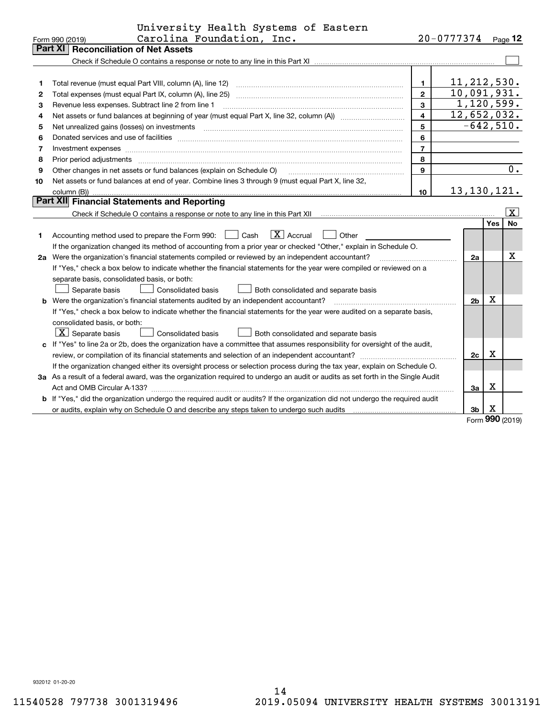|    | University Health Systems of Eastern                                                                                                                                                                                          |                |                |             |                 |
|----|-------------------------------------------------------------------------------------------------------------------------------------------------------------------------------------------------------------------------------|----------------|----------------|-------------|-----------------|
|    | Carolina Foundation, Inc.<br>Form 990 (2019)                                                                                                                                                                                  |                | 20-0777374     |             | Page $12$       |
|    | Part XI<br><b>Reconciliation of Net Assets</b>                                                                                                                                                                                |                |                |             |                 |
|    |                                                                                                                                                                                                                               |                |                |             |                 |
|    |                                                                                                                                                                                                                               |                |                |             |                 |
| 1  | Total revenue (must equal Part VIII, column (A), line 12)                                                                                                                                                                     | $\mathbf{1}$   | 11, 212, 530.  |             |                 |
| 2  | Total expenses (must equal Part IX, column (A), line 25)                                                                                                                                                                      | $\overline{2}$ | 10,091,931.    |             |                 |
| 3  | Revenue less expenses. Subtract line 2 from line 1                                                                                                                                                                            | 3              | 1,120,599.     |             |                 |
| 4  |                                                                                                                                                                                                                               | $\overline{4}$ | 12,652,032.    |             |                 |
| 5  | Net unrealized gains (losses) on investments [11] matter continuum matter and all the set of the set of the set of the set of the set of the set of the set of the set of the set of the set of the set of the set of the set | 5              | $-642,510.$    |             |                 |
| 6  |                                                                                                                                                                                                                               | 6              |                |             |                 |
| 7  |                                                                                                                                                                                                                               | $\overline{7}$ |                |             |                 |
| 8  | Prior period adjustments                                                                                                                                                                                                      | 8              |                |             |                 |
| 9  | Other changes in net assets or fund balances (explain on Schedule O)                                                                                                                                                          | 9              |                |             | 0.              |
| 10 | Net assets or fund balances at end of year. Combine lines 3 through 9 (must equal Part X, line 32,                                                                                                                            |                |                |             |                 |
|    | column (B))                                                                                                                                                                                                                   | 10             | 13, 130, 121.  |             |                 |
|    | Part XII Financial Statements and Reporting                                                                                                                                                                                   |                |                |             |                 |
|    |                                                                                                                                                                                                                               |                |                |             | $\vert x \vert$ |
|    |                                                                                                                                                                                                                               |                |                | Yes         | <b>No</b>       |
| 1  | $\boxed{\mathbf{X}}$ Accrual<br>$\Box$ Cash<br>Other<br>Accounting method used to prepare the Form 990:                                                                                                                       |                |                |             |                 |
|    | If the organization changed its method of accounting from a prior year or checked "Other," explain in Schedule O.                                                                                                             |                |                |             |                 |
|    | 2a Were the organization's financial statements compiled or reviewed by an independent accountant?                                                                                                                            |                | 2a             |             | x               |
|    | If "Yes," check a box below to indicate whether the financial statements for the year were compiled or reviewed on a                                                                                                          |                |                |             |                 |
|    | separate basis, consolidated basis, or both:                                                                                                                                                                                  |                |                |             |                 |
|    | Separate basis<br>Consolidated basis<br>Both consolidated and separate basis                                                                                                                                                  |                |                |             |                 |
|    | <b>b</b> Were the organization's financial statements audited by an independent accountant?                                                                                                                                   |                | 2 <sub>b</sub> | $\mathbf X$ |                 |
|    | If "Yes," check a box below to indicate whether the financial statements for the year were audited on a separate basis,                                                                                                       |                |                |             |                 |
|    | consolidated basis, or both:                                                                                                                                                                                                  |                |                |             |                 |
|    | $\vert$ X $\vert$ Separate basis<br>Consolidated basis<br>Both consolidated and separate basis                                                                                                                                |                |                |             |                 |
|    | c If "Yes" to line 2a or 2b, does the organization have a committee that assumes responsibility for oversight of the audit,                                                                                                   |                |                |             |                 |
|    |                                                                                                                                                                                                                               |                | 2c             | х           |                 |
|    | If the organization changed either its oversight process or selection process during the tax year, explain on Schedule O.                                                                                                     |                |                |             |                 |
|    | 3a As a result of a federal award, was the organization required to undergo an audit or audits as set forth in the Single Audit                                                                                               |                |                |             |                 |
|    |                                                                                                                                                                                                                               |                | За             | х           |                 |
|    | b If "Yes," did the organization undergo the required audit or audits? If the organization did not undergo the required audit                                                                                                 |                |                |             |                 |
|    |                                                                                                                                                                                                                               |                | 3b             | X           |                 |
|    |                                                                                                                                                                                                                               |                |                | nnn         |                 |

Form (2019) **990**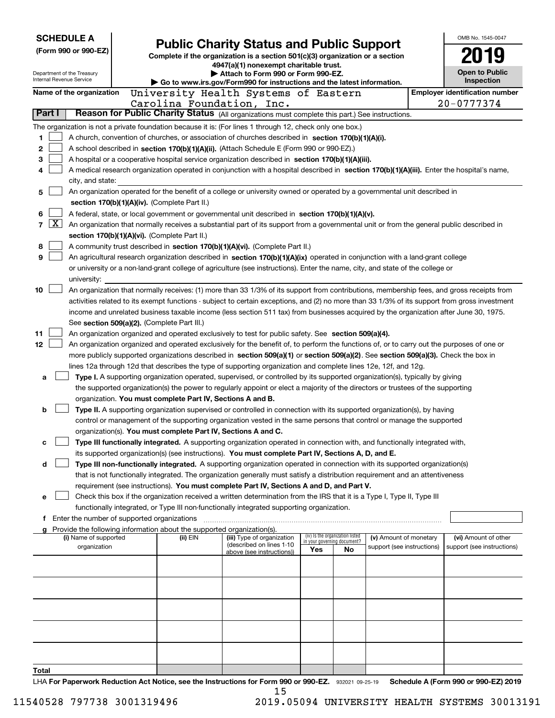|                      | <b>SCHEDULE A</b>                                      |  |                                                                        |                                                                                                                                                                                                                                  |                             |                                 |                            | OMB No. 1545-0047                     |
|----------------------|--------------------------------------------------------|--|------------------------------------------------------------------------|----------------------------------------------------------------------------------------------------------------------------------------------------------------------------------------------------------------------------------|-----------------------------|---------------------------------|----------------------------|---------------------------------------|
| (Form 990 or 990-EZ) |                                                        |  |                                                                        | <b>Public Charity Status and Public Support</b><br>Complete if the organization is a section 501(c)(3) organization or a section                                                                                                 |                             |                                 |                            |                                       |
|                      |                                                        |  |                                                                        | 4947(a)(1) nonexempt charitable trust.                                                                                                                                                                                           |                             |                                 |                            |                                       |
|                      | Department of the Treasury<br>Internal Revenue Service |  |                                                                        | Attach to Form 990 or Form 990-EZ.                                                                                                                                                                                               |                             |                                 |                            | Open to Public                        |
|                      |                                                        |  |                                                                        | Go to www.irs.gov/Form990 for instructions and the latest information.                                                                                                                                                           |                             |                                 |                            | Inspection                            |
|                      | Name of the organization                               |  |                                                                        | University Health Systems of Eastern                                                                                                                                                                                             |                             |                                 |                            | <b>Employer identification number</b> |
| Part I               |                                                        |  |                                                                        | Carolina Foundation, Inc.<br>Reason for Public Charity Status (All organizations must complete this part.) See instructions.                                                                                                     |                             |                                 |                            | 20-0777374                            |
|                      |                                                        |  |                                                                        |                                                                                                                                                                                                                                  |                             |                                 |                            |                                       |
| 1                    |                                                        |  |                                                                        | The organization is not a private foundation because it is: (For lines 1 through 12, check only one box.)<br>A church, convention of churches, or association of churches described in section 170(b)(1)(A)(i).                  |                             |                                 |                            |                                       |
| 2                    |                                                        |  |                                                                        | A school described in section 170(b)(1)(A)(ii). (Attach Schedule E (Form 990 or 990-EZ).)                                                                                                                                        |                             |                                 |                            |                                       |
| 3                    |                                                        |  |                                                                        | A hospital or a cooperative hospital service organization described in section 170(b)(1)(A)(iii).                                                                                                                                |                             |                                 |                            |                                       |
| 4                    |                                                        |  |                                                                        | A medical research organization operated in conjunction with a hospital described in section 170(b)(1)(A)(iii). Enter the hospital's name,                                                                                       |                             |                                 |                            |                                       |
|                      | city, and state:                                       |  |                                                                        |                                                                                                                                                                                                                                  |                             |                                 |                            |                                       |
| 5                    |                                                        |  |                                                                        | An organization operated for the benefit of a college or university owned or operated by a governmental unit described in                                                                                                        |                             |                                 |                            |                                       |
|                      |                                                        |  | section 170(b)(1)(A)(iv). (Complete Part II.)                          |                                                                                                                                                                                                                                  |                             |                                 |                            |                                       |
| 6                    |                                                        |  |                                                                        | A federal, state, or local government or governmental unit described in section 170(b)(1)(A)(v).                                                                                                                                 |                             |                                 |                            |                                       |
| 7                    | ΙX                                                     |  |                                                                        | An organization that normally receives a substantial part of its support from a governmental unit or from the general public described in                                                                                        |                             |                                 |                            |                                       |
|                      |                                                        |  | section 170(b)(1)(A)(vi). (Complete Part II.)                          |                                                                                                                                                                                                                                  |                             |                                 |                            |                                       |
| 8                    |                                                        |  |                                                                        | A community trust described in section 170(b)(1)(A)(vi). (Complete Part II.)                                                                                                                                                     |                             |                                 |                            |                                       |
| 9                    |                                                        |  |                                                                        | An agricultural research organization described in section 170(b)(1)(A)(ix) operated in conjunction with a land-grant college                                                                                                    |                             |                                 |                            |                                       |
|                      |                                                        |  |                                                                        | or university or a non-land-grant college of agriculture (see instructions). Enter the name, city, and state of the college or                                                                                                   |                             |                                 |                            |                                       |
|                      | university:                                            |  |                                                                        |                                                                                                                                                                                                                                  |                             |                                 |                            |                                       |
| 10                   |                                                        |  |                                                                        | An organization that normally receives: (1) more than 33 1/3% of its support from contributions, membership fees, and gross receipts from                                                                                        |                             |                                 |                            |                                       |
|                      |                                                        |  |                                                                        | activities related to its exempt functions - subject to certain exceptions, and (2) no more than 33 1/3% of its support from gross investment                                                                                    |                             |                                 |                            |                                       |
|                      |                                                        |  |                                                                        | income and unrelated business taxable income (less section 511 tax) from businesses acquired by the organization after June 30, 1975.                                                                                            |                             |                                 |                            |                                       |
|                      |                                                        |  | See section 509(a)(2). (Complete Part III.)                            |                                                                                                                                                                                                                                  |                             |                                 |                            |                                       |
| 11                   |                                                        |  |                                                                        | An organization organized and operated exclusively to test for public safety. See section 509(a)(4).                                                                                                                             |                             |                                 |                            |                                       |
| 12                   |                                                        |  |                                                                        | An organization organized and operated exclusively for the benefit of, to perform the functions of, or to carry out the purposes of one or                                                                                       |                             |                                 |                            |                                       |
|                      |                                                        |  |                                                                        | more publicly supported organizations described in section 509(a)(1) or section 509(a)(2). See section 509(a)(3). Check the box in                                                                                               |                             |                                 |                            |                                       |
|                      |                                                        |  |                                                                        | lines 12a through 12d that describes the type of supporting organization and complete lines 12e, 12f, and 12g.                                                                                                                   |                             |                                 |                            |                                       |
| a                    |                                                        |  |                                                                        | Type I. A supporting organization operated, supervised, or controlled by its supported organization(s), typically by giving                                                                                                      |                             |                                 |                            |                                       |
|                      |                                                        |  |                                                                        | the supported organization(s) the power to regularly appoint or elect a majority of the directors or trustees of the supporting                                                                                                  |                             |                                 |                            |                                       |
|                      |                                                        |  | organization. You must complete Part IV, Sections A and B.             |                                                                                                                                                                                                                                  |                             |                                 |                            |                                       |
| b                    |                                                        |  |                                                                        | Type II. A supporting organization supervised or controlled in connection with its supported organization(s), by having                                                                                                          |                             |                                 |                            |                                       |
|                      |                                                        |  |                                                                        | control or management of the supporting organization vested in the same persons that control or manage the supported                                                                                                             |                             |                                 |                            |                                       |
|                      |                                                        |  | organization(s). You must complete Part IV, Sections A and C.          |                                                                                                                                                                                                                                  |                             |                                 |                            |                                       |
| с                    |                                                        |  |                                                                        | Type III functionally integrated. A supporting organization operated in connection with, and functionally integrated with,<br>its supported organization(s) (see instructions). You must complete Part IV, Sections A, D, and E. |                             |                                 |                            |                                       |
| d                    |                                                        |  |                                                                        | Type III non-functionally integrated. A supporting organization operated in connection with its supported organization(s)                                                                                                        |                             |                                 |                            |                                       |
|                      |                                                        |  |                                                                        | that is not functionally integrated. The organization generally must satisfy a distribution requirement and an attentiveness                                                                                                     |                             |                                 |                            |                                       |
|                      |                                                        |  |                                                                        | requirement (see instructions). You must complete Part IV, Sections A and D, and Part V.                                                                                                                                         |                             |                                 |                            |                                       |
| е                    |                                                        |  |                                                                        | Check this box if the organization received a written determination from the IRS that it is a Type I, Type II, Type III                                                                                                          |                             |                                 |                            |                                       |
|                      |                                                        |  |                                                                        | functionally integrated, or Type III non-functionally integrated supporting organization.                                                                                                                                        |                             |                                 |                            |                                       |
|                      | f Enter the number of supported organizations          |  |                                                                        |                                                                                                                                                                                                                                  |                             |                                 |                            |                                       |
|                      |                                                        |  | Provide the following information about the supported organization(s). |                                                                                                                                                                                                                                  |                             |                                 |                            |                                       |
|                      | (i) Name of supported                                  |  | (ii) EIN                                                               | (iii) Type of organization<br>(described on lines 1-10                                                                                                                                                                           | in your governing document? | (iv) Is the organization listed | (v) Amount of monetary     | (vi) Amount of other                  |
|                      | organization                                           |  |                                                                        | above (see instructions))                                                                                                                                                                                                        | Yes                         | No                              | support (see instructions) | support (see instructions)            |
|                      |                                                        |  |                                                                        |                                                                                                                                                                                                                                  |                             |                                 |                            |                                       |
|                      |                                                        |  |                                                                        |                                                                                                                                                                                                                                  |                             |                                 |                            |                                       |
|                      |                                                        |  |                                                                        |                                                                                                                                                                                                                                  |                             |                                 |                            |                                       |
|                      |                                                        |  |                                                                        |                                                                                                                                                                                                                                  |                             |                                 |                            |                                       |
|                      |                                                        |  |                                                                        |                                                                                                                                                                                                                                  |                             |                                 |                            |                                       |
|                      |                                                        |  |                                                                        |                                                                                                                                                                                                                                  |                             |                                 |                            |                                       |
|                      |                                                        |  |                                                                        |                                                                                                                                                                                                                                  |                             |                                 |                            |                                       |
|                      |                                                        |  |                                                                        |                                                                                                                                                                                                                                  |                             |                                 |                            |                                       |
|                      |                                                        |  |                                                                        |                                                                                                                                                                                                                                  |                             |                                 |                            |                                       |
|                      |                                                        |  |                                                                        |                                                                                                                                                                                                                                  |                             |                                 |                            |                                       |
| Total                |                                                        |  |                                                                        | UA For Danarwark Baduation Act Notice, and the Instructions for Form 000 or 000 F7 - 200004 00 05:40                                                                                                                             |                             |                                 |                            | Schodule A (Form 000 or 000 FZ) 2010  |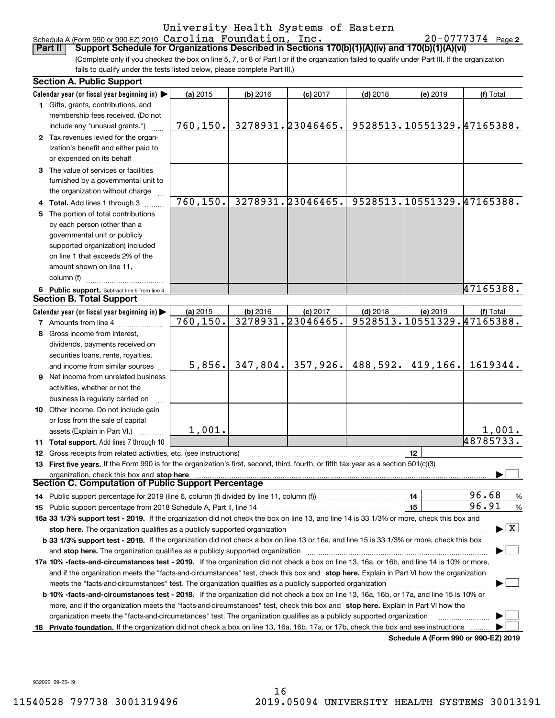Schedule A (Form 990 or 990-EZ) 2019 <code>Carolina</code> <code>Foundation</code> , <code>inc.</code>  $\blacksquare$   $\blacksquare$   $\blacksquare$   $\blacksquare$   $\blacksquare$   $\blacksquare$   $\blacksquare$   $\blacksquare$   $\blacksquare$   $\blacksquare$   $\blacksquare$   $\blacksquare$   $\blacksquare$   $\blacksquare$   $\blacksquare$   $\blacksquare$   $\blacksquare$   $\blacksquare$   $\blacksquare$   $\blacksquare$   $\blacksquare$   $\blacks$ **Part II Support Schedule for Organizations Described in Sections 170(b)(1)(A)(iv) and 170(b)(1)(A)(vi)** Carolina Foundation, Inc. 20-0777374

20-0777374 Page 2

(Complete only if you checked the box on line 5, 7, or 8 of Part I or if the organization failed to qualify under Part III. If the organization fails to qualify under the tests listed below, please complete Part III.)

|    | <b>Section A. Public Support</b>                                                                                                               |           |            |                   |            |          |                                          |
|----|------------------------------------------------------------------------------------------------------------------------------------------------|-----------|------------|-------------------|------------|----------|------------------------------------------|
|    | Calendar year (or fiscal year beginning in) $\blacktriangleright$                                                                              | (a) 2015  | $(b)$ 2016 | $(c)$ 2017        | $(d)$ 2018 | (e) 2019 | (f) Total                                |
|    | 1 Gifts, grants, contributions, and<br>membership fees received. (Do not                                                                       |           |            |                   |            |          |                                          |
|    | include any "unusual grants.")                                                                                                                 | 760, 150. |            | 3278931.23046465. |            |          | 9528513.10551329.47165388.               |
|    | 2 Tax revenues levied for the organ-<br>ization's benefit and either paid to<br>or expended on its behalf                                      |           |            |                   |            |          |                                          |
|    | 3 The value of services or facilities<br>furnished by a governmental unit to                                                                   |           |            |                   |            |          |                                          |
|    | the organization without charge                                                                                                                |           |            |                   |            |          |                                          |
|    | 4 Total. Add lines 1 through 3                                                                                                                 | 760, 150. |            | 3278931.23046465. |            |          | 9528513.10551329.47165388.               |
|    | 5 The portion of total contributions                                                                                                           |           |            |                   |            |          |                                          |
|    | by each person (other than a                                                                                                                   |           |            |                   |            |          |                                          |
|    | governmental unit or publicly                                                                                                                  |           |            |                   |            |          |                                          |
|    | supported organization) included                                                                                                               |           |            |                   |            |          |                                          |
|    | on line 1 that exceeds 2% of the                                                                                                               |           |            |                   |            |          |                                          |
|    | amount shown on line 11,                                                                                                                       |           |            |                   |            |          |                                          |
|    | column (f)                                                                                                                                     |           |            |                   |            |          |                                          |
|    | 6 Public support. Subtract line 5 from line 4.                                                                                                 |           |            |                   |            |          | 47165388.                                |
|    | <b>Section B. Total Support</b>                                                                                                                |           |            |                   |            |          |                                          |
|    | Calendar year (or fiscal year beginning in) $\blacktriangleright$                                                                              | (a) 2015  | $(b)$ 2016 | $(c)$ 2017        | $(d)$ 2018 | (e) 2019 | (f) Total                                |
|    | <b>7</b> Amounts from line 4                                                                                                                   | 760,150.  |            | 3278931.23046465. |            |          | 9528513.10551329.47165388.               |
| 8  | Gross income from interest,                                                                                                                    |           |            |                   |            |          |                                          |
|    | dividends, payments received on                                                                                                                |           |            |                   |            |          |                                          |
|    | securities loans, rents, royalties,                                                                                                            |           |            |                   |            |          |                                          |
|    | and income from similar sources                                                                                                                | 5,856.    | 347,804.   | 357,926.          | 488,592.   | 419,166. | 1619344.                                 |
|    | <b>9</b> Net income from unrelated business                                                                                                    |           |            |                   |            |          |                                          |
|    | activities, whether or not the                                                                                                                 |           |            |                   |            |          |                                          |
|    | business is regularly carried on                                                                                                               |           |            |                   |            |          |                                          |
|    | 10 Other income. Do not include gain                                                                                                           |           |            |                   |            |          |                                          |
|    | or loss from the sale of capital                                                                                                               |           |            |                   |            |          |                                          |
|    | assets (Explain in Part VI.)                                                                                                                   | 1,001.    |            |                   |            |          | 1,001.                                   |
|    | 11 Total support. Add lines 7 through 10                                                                                                       |           |            |                   |            |          | 48785733.                                |
|    | 12 Gross receipts from related activities, etc. (see instructions)                                                                             |           |            |                   |            | 12       |                                          |
|    | 13 First five years. If the Form 990 is for the organization's first, second, third, fourth, or fifth tax year as a section 501(c)(3)          |           |            |                   |            |          |                                          |
|    | organization, check this box and stop here<br><b>Section C. Computation of Public Support Percentage</b>                                       |           |            |                   |            |          |                                          |
|    | 14 Public support percentage for 2019 (line 6, column (f) divided by line 11, column (f) <i></i>                                               |           |            |                   |            | 14       | 96.68<br>%                               |
|    |                                                                                                                                                |           |            |                   |            | 15       | 96.91<br>$\%$                            |
|    | 16a 33 1/3% support test - 2019. If the organization did not check the box on line 13, and line 14 is 33 1/3% or more, check this box and      |           |            |                   |            |          |                                          |
|    | stop here. The organization qualifies as a publicly supported organization                                                                     |           |            |                   |            |          | $\blacktriangleright$ $\boxed{\text{X}}$ |
|    | b 33 1/3% support test - 2018. If the organization did not check a box on line 13 or 16a, and line 15 is 33 1/3% or more, check this box       |           |            |                   |            |          |                                          |
|    | and stop here. The organization qualifies as a publicly supported organization [11] [11] [12] [12] [12] [12] [                                 |           |            |                   |            |          |                                          |
|    | 17a 10% -facts-and-circumstances test - 2019. If the organization did not check a box on line 13, 16a, or 16b, and line 14 is 10% or more,     |           |            |                   |            |          |                                          |
|    | and if the organization meets the "facts-and-circumstances" test, check this box and stop here. Explain in Part VI how the organization        |           |            |                   |            |          |                                          |
|    |                                                                                                                                                |           |            |                   |            |          |                                          |
|    | <b>b 10% -facts-and-circumstances test - 2018.</b> If the organization did not check a box on line 13, 16a, 16b, or 17a, and line 15 is 10% or |           |            |                   |            |          |                                          |
|    | more, and if the organization meets the "facts-and-circumstances" test, check this box and stop here. Explain in Part VI how the               |           |            |                   |            |          |                                          |
|    | organization meets the "facts-and-circumstances" test. The organization qualifies as a publicly supported organization                         |           |            |                   |            |          |                                          |
| 18 | Private foundation. If the organization did not check a box on line 13, 16a, 16b, 17a, or 17b, check this box and see instructions             |           |            |                   |            |          |                                          |
|    |                                                                                                                                                |           |            |                   |            |          | Schedule A (Form 990 or 990-EZ) 2019     |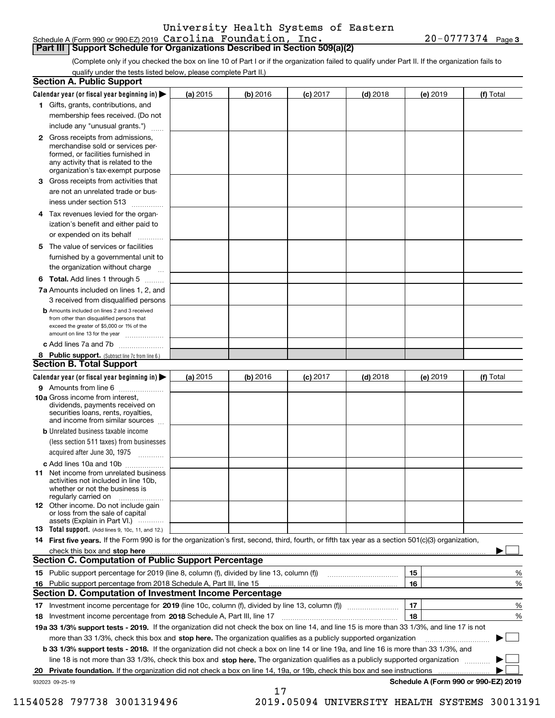#### Schedule A (Form 990 or 990-EZ) 2019 Page Carolina Foundation, Inc. 20-0777374 **Part III Support Schedule for Organizations Described in Section 509(a)(2)**

**3**

(Complete only if you checked the box on line 10 of Part I or if the organization failed to qualify under Part II. If the organization fails to qualify under the tests listed below, please complete Part II.)

| <b>Section A. Public Support</b>                                                                                                                                                                                                                      |          |            |            |            |          |                                      |
|-------------------------------------------------------------------------------------------------------------------------------------------------------------------------------------------------------------------------------------------------------|----------|------------|------------|------------|----------|--------------------------------------|
| Calendar year (or fiscal year beginning in) $\blacktriangleright$                                                                                                                                                                                     | (a) 2015 | $(b)$ 2016 | $(c)$ 2017 | $(d)$ 2018 | (e) 2019 | (f) Total                            |
| 1 Gifts, grants, contributions, and                                                                                                                                                                                                                   |          |            |            |            |          |                                      |
| membership fees received. (Do not                                                                                                                                                                                                                     |          |            |            |            |          |                                      |
| include any "unusual grants.")                                                                                                                                                                                                                        |          |            |            |            |          |                                      |
| 2 Gross receipts from admissions,<br>merchandise sold or services per-<br>formed, or facilities furnished in<br>any activity that is related to the<br>organization's tax-exempt purpose                                                              |          |            |            |            |          |                                      |
| 3 Gross receipts from activities that<br>are not an unrelated trade or bus-                                                                                                                                                                           |          |            |            |            |          |                                      |
| iness under section 513                                                                                                                                                                                                                               |          |            |            |            |          |                                      |
| 4 Tax revenues levied for the organ-<br>ization's benefit and either paid to<br>or expended on its behalf                                                                                                                                             |          |            |            |            |          |                                      |
| .<br>5 The value of services or facilities                                                                                                                                                                                                            |          |            |            |            |          |                                      |
| furnished by a governmental unit to<br>the organization without charge                                                                                                                                                                                |          |            |            |            |          |                                      |
|                                                                                                                                                                                                                                                       |          |            |            |            |          |                                      |
| <b>6 Total.</b> Add lines 1 through 5<br>7a Amounts included on lines 1, 2, and                                                                                                                                                                       |          |            |            |            |          |                                      |
| 3 received from disqualified persons                                                                                                                                                                                                                  |          |            |            |            |          |                                      |
| <b>b</b> Amounts included on lines 2 and 3 received<br>from other than disqualified persons that<br>exceed the greater of \$5,000 or 1% of the<br>amount on line 13 for the year                                                                      |          |            |            |            |          |                                      |
| c Add lines 7a and 7b                                                                                                                                                                                                                                 |          |            |            |            |          |                                      |
| 8 Public support. (Subtract line 7c from line 6.)                                                                                                                                                                                                     |          |            |            |            |          |                                      |
| <b>Section B. Total Support</b>                                                                                                                                                                                                                       |          |            |            |            |          |                                      |
| Calendar year (or fiscal year beginning in) $\blacktriangleright$                                                                                                                                                                                     | (a) 2015 | (b) 2016   | $(c)$ 2017 | $(d)$ 2018 | (e) 2019 | (f) Total                            |
| 9 Amounts from line 6                                                                                                                                                                                                                                 |          |            |            |            |          |                                      |
| 10a Gross income from interest,<br>dividends, payments received on<br>securities loans, rents, royalties,<br>and income from similar sources                                                                                                          |          |            |            |            |          |                                      |
| <b>b</b> Unrelated business taxable income<br>(less section 511 taxes) from businesses<br>acquired after June 30, 1975                                                                                                                                |          |            |            |            |          |                                      |
| c Add lines 10a and 10b                                                                                                                                                                                                                               |          |            |            |            |          |                                      |
| 11 Net income from unrelated business<br>activities not included in line 10b,<br>whether or not the business is<br>regularly carried on                                                                                                               |          |            |            |            |          |                                      |
| <b>12</b> Other income. Do not include gain<br>or loss from the sale of capital<br>assets (Explain in Part VI.)                                                                                                                                       |          |            |            |            |          |                                      |
| <b>13</b> Total support. (Add lines 9, 10c, 11, and 12.)                                                                                                                                                                                              |          |            |            |            |          |                                      |
| 14 First five years. If the Form 990 is for the organization's first, second, third, fourth, or fifth tax year as a section 501(c)(3) organization,                                                                                                   |          |            |            |            |          |                                      |
| check this box and stop here <i>machine and content and stop</i> here <i>manufacture and stop</i> here <i>manufacture</i> and <b>stop here</b> <i>manufacture manufacture and stop</i> here <i>manufacture manufacture manufacture manufacture ma</i> |          |            |            |            |          |                                      |
| <b>Section C. Computation of Public Support Percentage</b>                                                                                                                                                                                            |          |            |            |            |          |                                      |
| 15 Public support percentage for 2019 (line 8, column (f), divided by line 13, column (f))                                                                                                                                                            |          |            |            |            | 15       | %                                    |
| 16 Public support percentage from 2018 Schedule A, Part III, line 15                                                                                                                                                                                  |          |            |            |            | 16       | %                                    |
| <b>Section D. Computation of Investment Income Percentage</b>                                                                                                                                                                                         |          |            |            |            |          |                                      |
| 17 Investment income percentage for 2019 (line 10c, column (f), divided by line 13, column (f))<br><b>18</b> Investment income percentage from <b>2018</b> Schedule A, Part III, line 17                                                              |          |            |            |            | 17<br>18 | %<br>%                               |
| 19a 33 1/3% support tests - 2019. If the organization did not check the box on line 14, and line 15 is more than 33 1/3%, and line 17 is not                                                                                                          |          |            |            |            |          |                                      |
| more than 33 1/3%, check this box and stop here. The organization qualifies as a publicly supported organization                                                                                                                                      |          |            |            |            |          | ▶                                    |
| b 33 1/3% support tests - 2018. If the organization did not check a box on line 14 or line 19a, and line 16 is more than 33 1/3%, and                                                                                                                 |          |            |            |            |          |                                      |
| line 18 is not more than 33 1/3%, check this box and stop here. The organization qualifies as a publicly supported organization                                                                                                                       |          |            |            |            |          |                                      |
| Private foundation. If the organization did not check a box on line 14, 19a, or 19b, check this box and see instructions<br>20                                                                                                                        |          |            |            |            |          |                                      |
| 932023 09-25-19                                                                                                                                                                                                                                       |          |            |            |            |          | Schedule A (Form 990 or 990-EZ) 2019 |
|                                                                                                                                                                                                                                                       |          | 17         |            |            |          |                                      |

 <sup>11540528 797738 3001319496 2019.05094</sup> UNIVERSITY HEALTH SYSTEMS 30013191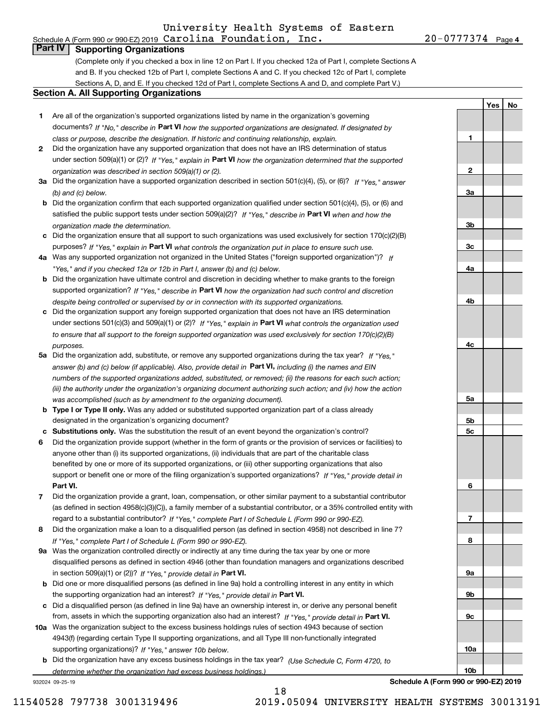**1**

**2**

**3a**

**3b**

**3c**

**4a**

**4b**

**4c**

**5a**

**5b5c**

**6**

**7**

**8**

**9a**

**9b**

**9c**

**10a**

**10b**

**YesNo**

## **Part IV Supporting Organizations**

(Complete only if you checked a box in line 12 on Part I. If you checked 12a of Part I, complete Sections A and B. If you checked 12b of Part I, complete Sections A and C. If you checked 12c of Part I, complete Sections A, D, and E. If you checked 12d of Part I, complete Sections A and D, and complete Part V.)

#### **Section A. All Supporting Organizations**

- **1** Are all of the organization's supported organizations listed by name in the organization's governing documents? If "No," describe in **Part VI** how the supported organizations are designated. If designated by *class or purpose, describe the designation. If historic and continuing relationship, explain.*
- **2** Did the organization have any supported organization that does not have an IRS determination of status under section 509(a)(1) or (2)? If "Yes," explain in Part VI how the organization determined that the supported *organization was described in section 509(a)(1) or (2).*
- **3a** Did the organization have a supported organization described in section 501(c)(4), (5), or (6)? If "Yes," answer *(b) and (c) below.*
- **b** Did the organization confirm that each supported organization qualified under section 501(c)(4), (5), or (6) and satisfied the public support tests under section 509(a)(2)? If "Yes," describe in **Part VI** when and how the *organization made the determination.*
- **c**Did the organization ensure that all support to such organizations was used exclusively for section 170(c)(2)(B) purposes? If "Yes," explain in **Part VI** what controls the organization put in place to ensure such use.
- **4a***If* Was any supported organization not organized in the United States ("foreign supported organization")? *"Yes," and if you checked 12a or 12b in Part I, answer (b) and (c) below.*
- **b** Did the organization have ultimate control and discretion in deciding whether to make grants to the foreign supported organization? If "Yes," describe in **Part VI** how the organization had such control and discretion *despite being controlled or supervised by or in connection with its supported organizations.*
- **c** Did the organization support any foreign supported organization that does not have an IRS determination under sections 501(c)(3) and 509(a)(1) or (2)? If "Yes," explain in **Part VI** what controls the organization used *to ensure that all support to the foreign supported organization was used exclusively for section 170(c)(2)(B) purposes.*
- **5a** Did the organization add, substitute, or remove any supported organizations during the tax year? If "Yes," answer (b) and (c) below (if applicable). Also, provide detail in **Part VI,** including (i) the names and EIN *numbers of the supported organizations added, substituted, or removed; (ii) the reasons for each such action; (iii) the authority under the organization's organizing document authorizing such action; and (iv) how the action was accomplished (such as by amendment to the organizing document).*
- **b** Type I or Type II only. Was any added or substituted supported organization part of a class already designated in the organization's organizing document?
- **cSubstitutions only.**  Was the substitution the result of an event beyond the organization's control?
- **6** Did the organization provide support (whether in the form of grants or the provision of services or facilities) to **Part VI.** *If "Yes," provide detail in* support or benefit one or more of the filing organization's supported organizations? anyone other than (i) its supported organizations, (ii) individuals that are part of the charitable class benefited by one or more of its supported organizations, or (iii) other supporting organizations that also
- **7**Did the organization provide a grant, loan, compensation, or other similar payment to a substantial contributor *If "Yes," complete Part I of Schedule L (Form 990 or 990-EZ).* regard to a substantial contributor? (as defined in section 4958(c)(3)(C)), a family member of a substantial contributor, or a 35% controlled entity with
- **8** Did the organization make a loan to a disqualified person (as defined in section 4958) not described in line 7? *If "Yes," complete Part I of Schedule L (Form 990 or 990-EZ).*
- **9a** Was the organization controlled directly or indirectly at any time during the tax year by one or more in section 509(a)(1) or (2))? If "Yes," *provide detail in* <code>Part VI.</code> disqualified persons as defined in section 4946 (other than foundation managers and organizations described
- **b**the supporting organization had an interest? If "Yes," provide detail in P**art VI**. Did one or more disqualified persons (as defined in line 9a) hold a controlling interest in any entity in which
- **c**Did a disqualified person (as defined in line 9a) have an ownership interest in, or derive any personal benefit from, assets in which the supporting organization also had an interest? If "Yes," provide detail in P**art VI.**
- **10a** Was the organization subject to the excess business holdings rules of section 4943 because of section supporting organizations)? If "Yes," answer 10b below. 4943(f) (regarding certain Type II supporting organizations, and all Type III non-functionally integrated
- **b** Did the organization have any excess business holdings in the tax year? (Use Schedule C, Form 4720, to *determine whether the organization had excess business holdings.)*

18

932024 09-25-19

**Schedule A (Form 990 or 990-EZ) 2019**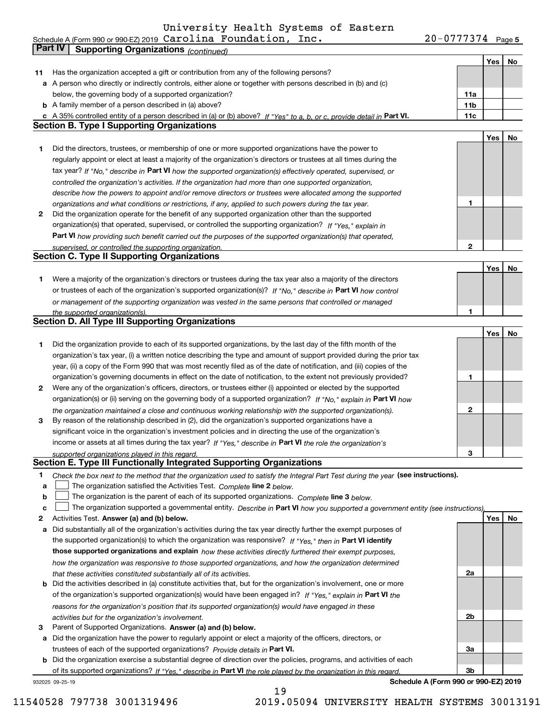**Yes No 11** Has the organization accepted a gift or contribution from any of the following persons? **a** A person who directly or indirectly controls, either alone or together with persons described in (b) and (c) **11a**Schedule A (Form 990 or 990-EZ) 2019 Page Carolina Foundation, Inc. 20-0777374 below, the governing body of a supported organization? **Part IV Supporting Organizations** *(continued)*

**b** A family member of a person described in (a) above?

**c** A 35% controlled entity of a person described in (a) or (b) above? If "Yes" to a, b, or c, provide detail in Part VI. **11c Section B. Type I Supporting Organizations**

- **1** Did the directors, trustees, or membership of one or more supported organizations have the power to tax year? If "No," describe in Part VI how the supported organization(s) effectively operated, supervised, or *controlled the organization's activities. If the organization had more than one supported organization, describe how the powers to appoint and/or remove directors or trustees were allocated among the supported organizations and what conditions or restrictions, if any, applied to such powers during the tax year.* regularly appoint or elect at least a majority of the organization's directors or trustees at all times during the
- **2** Did the organization operate for the benefit of any supported organization other than the supported **Part VI**  *how providing such benefit carried out the purposes of the supported organization(s) that operated, If "Yes," explain in* organization(s) that operated, supervised, or controlled the supporting organization? *supervised, or controlled the supporting organization.*

| <b>Section C. Type II Supporting Organizations</b> |  |
|----------------------------------------------------|--|
|----------------------------------------------------|--|

**1**or trustees of each of the organization's supported organization(s)? If "No," describe in **Part VI** how control *or management of the supporting organization was vested in the same persons that controlled or managed the supported organization(s).* Were a majority of the organization's directors or trustees during the tax year also a majority of the directors

|  | Section D. All Type III Supporting Organizations |
|--|--------------------------------------------------|
|  |                                                  |

|              |                                                                                                                        |   | Yes l | No |
|--------------|------------------------------------------------------------------------------------------------------------------------|---|-------|----|
|              | Did the organization provide to each of its supported organizations, by the last day of the fifth month of the         |   |       |    |
|              | organization's tax year, (i) a written notice describing the type and amount of support provided during the prior tax  |   |       |    |
|              | year, (ii) a copy of the Form 990 that was most recently filed as of the date of notification, and (iii) copies of the |   |       |    |
|              | organization's governing documents in effect on the date of notification, to the extent not previously provided?       |   |       |    |
| $\mathbf{2}$ | Were any of the organization's officers, directors, or trustees either (i) appointed or elected by the supported       |   |       |    |
|              | organization(s) or (ii) serving on the governing body of a supported organization? If "No." explain in Part VI how     |   |       |    |
|              | the organization maintained a close and continuous working relationship with the supported organization(s).            | 2 |       |    |
| 3            | By reason of the relationship described in (2), did the organization's supported organizations have a                  |   |       |    |
|              | significant voice in the organization's investment policies and in directing the use of the organization's             |   |       |    |
|              | income or assets at all times during the tax year? If "Yes," describe in Part VI the role the organization's           |   |       |    |
|              | supported organizations played in this regard.                                                                         | з |       |    |

#### **Section E. Type III Functionally Integrated Supporting Organizations**

- **1**Check the box next to the method that the organization used to satisfy the Integral Part Test during the year (see instructions).
- **alinupy** The organization satisfied the Activities Test. Complete line 2 below.
- **b**The organization is the parent of each of its supported organizations. *Complete* line 3 *below.*  $\mathcal{L}^{\text{max}}$

|  |  |  | c □ The organization supported a governmental entity. Describe in Part VI how you supported a government entity (see instructions). |
|--|--|--|-------------------------------------------------------------------------------------------------------------------------------------|
|--|--|--|-------------------------------------------------------------------------------------------------------------------------------------|

19

- **2Answer (a) and (b) below. Yes No** Activities Test.
- **a** Did substantially all of the organization's activities during the tax year directly further the exempt purposes of the supported organization(s) to which the organization was responsive? If "Yes," then in **Part VI identify those supported organizations and explain**  *how these activities directly furthered their exempt purposes, how the organization was responsive to those supported organizations, and how the organization determined that these activities constituted substantially all of its activities.*
- **b** Did the activities described in (a) constitute activities that, but for the organization's involvement, one or more of the organization's supported organization(s) would have been engaged in? If "Yes," explain in **Part VI** the *reasons for the organization's position that its supported organization(s) would have engaged in these activities but for the organization's involvement.*
- **3** Parent of Supported Organizations. Answer (a) and (b) below.

**a** Did the organization have the power to regularly appoint or elect a majority of the officers, directors, or trustees of each of the supported organizations? *Provide details in* Part VI.

**b** Did the organization exercise a substantial degree of direction over the policies, programs, and activities of each of its supported organizations? If "Yes," describe in Part VI the role played by the organization in this regard.

932025 09-25-19

**Schedule A (Form 990 or 990-EZ) 2019**

**2a**

**2b**

**3a**

**3b**

11540528 797738 3001319496 2019.05094 UNIVERSITY HEALTH SYSTEMS 30013191

**11b**

**1**

**2**

**1**

**YesNo**

**YesNo**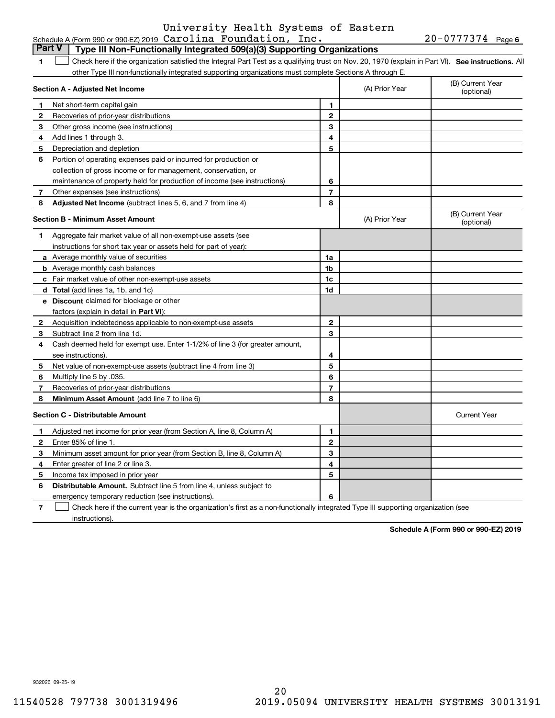#### **1SEP 10. See instructions.** All antegral Part Test as a qualifying trust on Nov. 20, 1970 (explain in Part VI). See instructions. All **Section A - Adjusted Net Income 12** Recoveries of prior-year distributions **3** Other gross income (see instructions) **4**Add lines 1 through 3. **56** Portion of operating expenses paid or incurred for production or **7** Other expenses (see instructions) **8** Adjusted Net Income (subtract lines 5, 6, and 7 from line 4) **8 8 1234567Section B - Minimum Asset Amount 1**Aggregate fair market value of all non-exempt-use assets (see **2**Acquisition indebtedness applicable to non-exempt-use assets **3** Subtract line 2 from line 1d. **4**Cash deemed held for exempt use. Enter 1-1/2% of line 3 (for greater amount, **5** Net value of non-exempt-use assets (subtract line 4 from line 3) **678a** Average monthly value of securities **b** Average monthly cash balances **c**Fair market value of other non-exempt-use assets **dTotal**  (add lines 1a, 1b, and 1c) **eDiscount** claimed for blockage or other **1a1b1c1d2345678**factors (explain in detail in **Part VI**): **Minimum Asset Amount**  (add line 7 to line 6) **Section C - Distributable Amount 123456123456Distributable Amount.** Subtract line 5 from line 4, unless subject to other Type III non-functionally integrated supporting organizations must complete Sections A through E. (B) Current Year (optional)(A) Prior Year Net short-term capital gain Depreciation and depletion collection of gross income or for management, conservation, or maintenance of property held for production of income (see instructions) (B) Current Year (optional)(A) Prior Year instructions for short tax year or assets held for part of year): see instructions). Multiply line 5 by .035. Recoveries of prior-year distributions Current Year Adjusted net income for prior year (from Section A, line 8, Column A) Enter 85% of line 1. Minimum asset amount for prior year (from Section B, line 8, Column A) Enter greater of line 2 or line 3. Income tax imposed in prior year emergency temporary reduction (see instructions). **Part V Type III Non-Functionally Integrated 509(a)(3) Supporting Organizations**   $\mathcal{L}^{\text{max}}$

**7**Check here if the current year is the organization's first as a non-functionally integrated Type III supporting organization (see instructions). $\mathcal{L}^{\text{max}}$ 

**Schedule A (Form 990 or 990-EZ) 2019**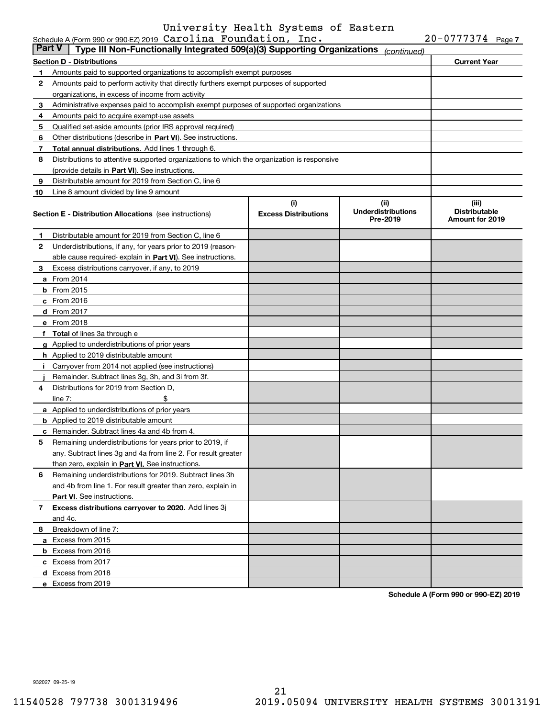|        | Schedule A (Form 990 or 990-EZ) 2019 $\verb Carolina  Foundedion , \verb Inc .$             |                                    |                                               | $20 - 0777374$ Page 7                                   |  |
|--------|---------------------------------------------------------------------------------------------|------------------------------------|-----------------------------------------------|---------------------------------------------------------|--|
| Part V | Type III Non-Functionally Integrated 509(a)(3) Supporting Organizations                     |                                    | (continued)                                   |                                                         |  |
|        | Section D - Distributions                                                                   |                                    |                                               | <b>Current Year</b>                                     |  |
| 1      | Amounts paid to supported organizations to accomplish exempt purposes                       |                                    |                                               |                                                         |  |
| 2      | Amounts paid to perform activity that directly furthers exempt purposes of supported        |                                    |                                               |                                                         |  |
|        | organizations, in excess of income from activity                                            |                                    |                                               |                                                         |  |
| 3      | Administrative expenses paid to accomplish exempt purposes of supported organizations       |                                    |                                               |                                                         |  |
| 4      | Amounts paid to acquire exempt-use assets                                                   |                                    |                                               |                                                         |  |
| 5      | Qualified set-aside amounts (prior IRS approval required)                                   |                                    |                                               |                                                         |  |
| 6      | Other distributions (describe in Part VI). See instructions.                                |                                    |                                               |                                                         |  |
| 7      | Total annual distributions. Add lines 1 through 6.                                          |                                    |                                               |                                                         |  |
| 8      | Distributions to attentive supported organizations to which the organization is responsive  |                                    |                                               |                                                         |  |
|        | (provide details in Part VI). See instructions.                                             |                                    |                                               |                                                         |  |
| 9      | Distributable amount for 2019 from Section C, line 6                                        |                                    |                                               |                                                         |  |
| 10     | Line 8 amount divided by line 9 amount                                                      |                                    |                                               |                                                         |  |
|        | <b>Section E - Distribution Allocations</b> (see instructions)                              | (i)<br><b>Excess Distributions</b> | (ii)<br><b>Underdistributions</b><br>Pre-2019 | (iii)<br><b>Distributable</b><br><b>Amount for 2019</b> |  |
| 1      | Distributable amount for 2019 from Section C, line 6                                        |                                    |                                               |                                                         |  |
| 2      | Underdistributions, if any, for years prior to 2019 (reason-                                |                                    |                                               |                                                         |  |
|        | able cause required- explain in Part VI). See instructions.                                 |                                    |                                               |                                                         |  |
| 3      | Excess distributions carryover, if any, to 2019                                             |                                    |                                               |                                                         |  |
|        | <b>a</b> From 2014                                                                          |                                    |                                               |                                                         |  |
|        | <b>b</b> From 2015                                                                          |                                    |                                               |                                                         |  |
|        | c From 2016                                                                                 |                                    |                                               |                                                         |  |
|        | d From 2017                                                                                 |                                    |                                               |                                                         |  |
|        | e From 2018                                                                                 |                                    |                                               |                                                         |  |
|        | f Total of lines 3a through e                                                               |                                    |                                               |                                                         |  |
|        |                                                                                             |                                    |                                               |                                                         |  |
|        | g Applied to underdistributions of prior years                                              |                                    |                                               |                                                         |  |
|        | <b>h</b> Applied to 2019 distributable amount                                               |                                    |                                               |                                                         |  |
|        | Carryover from 2014 not applied (see instructions)                                          |                                    |                                               |                                                         |  |
|        | Remainder. Subtract lines 3g, 3h, and 3i from 3f.<br>Distributions for 2019 from Section D. |                                    |                                               |                                                         |  |
| 4      |                                                                                             |                                    |                                               |                                                         |  |
|        | line $7:$                                                                                   |                                    |                                               |                                                         |  |
|        | a Applied to underdistributions of prior years                                              |                                    |                                               |                                                         |  |
|        | <b>b</b> Applied to 2019 distributable amount                                               |                                    |                                               |                                                         |  |
|        | c Remainder. Subtract lines 4a and 4b from 4.                                               |                                    |                                               |                                                         |  |
|        | Remaining underdistributions for years prior to 2019, if                                    |                                    |                                               |                                                         |  |
|        | any. Subtract lines 3g and 4a from line 2. For result greater                               |                                    |                                               |                                                         |  |
|        | than zero, explain in Part VI. See instructions.                                            |                                    |                                               |                                                         |  |
| 6      | Remaining underdistributions for 2019. Subtract lines 3h                                    |                                    |                                               |                                                         |  |
|        | and 4b from line 1. For result greater than zero, explain in                                |                                    |                                               |                                                         |  |
|        | Part VI. See instructions.                                                                  |                                    |                                               |                                                         |  |
| 7      | Excess distributions carryover to 2020. Add lines 3j                                        |                                    |                                               |                                                         |  |
|        | and 4c.                                                                                     |                                    |                                               |                                                         |  |
| 8      | Breakdown of line 7:                                                                        |                                    |                                               |                                                         |  |
|        | a Excess from 2015                                                                          |                                    |                                               |                                                         |  |
|        | <b>b</b> Excess from 2016                                                                   |                                    |                                               |                                                         |  |
|        | c Excess from 2017                                                                          |                                    |                                               |                                                         |  |
|        | d Excess from 2018                                                                          |                                    |                                               |                                                         |  |
|        | e Excess from 2019                                                                          |                                    |                                               |                                                         |  |

**Schedule A (Form 990 or 990-EZ) 2019**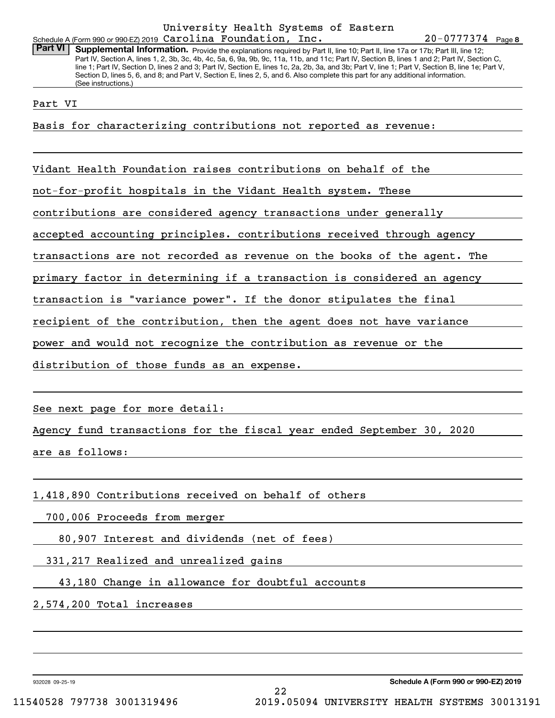#### Schedule A (Form 990 or 990-EZ) 2019 Page Carolina Foundation, Inc. University Health Systems of Eastern

**8**20-0777374

Part VI | Supplemental Information. Provide the explanations required by Part II, line 10; Part II, line 17a or 17b; Part III, line 12; Part IV, Section A, lines 1, 2, 3b, 3c, 4b, 4c, 5a, 6, 9a, 9b, 9c, 11a, 11b, and 11c; Part IV, Section B, lines 1 and 2; Part IV, Section C, line 1; Part IV, Section D, lines 2 and 3; Part IV, Section E, lines 1c, 2a, 2b, 3a, and 3b; Part V, line 1; Part V, Section B, line 1e; Part V, Section D, lines 5, 6, and 8; and Part V, Section E, lines 2, 5, and 6. Also complete this part for any additional information. (See instructions.)

Part VI

Basis for characterizing contributions not reported as revenue:

Vidant Health Foundation raises contributions on behalf of the

not-for-profit hospitals in the Vidant Health system. These

contributions are considered agency transactions under generally

accepted accounting principles. contributions received through agency

transactions are not recorded as revenue on the books of the agent. The

primary factor in determining if a transaction is considered an agency

transaction is "variance power". If the donor stipulates the final

recipient of the contribution, then the agent does not have variance

power and would not recognize the contribution as revenue or the

distribution of those funds as an expense.

See next page for more detail:

Agency fund transactions for the fiscal year ended September 30, 2020

are as follows:

1,418,890 Contributions received on behalf of others

700,006 Proceeds from merger

80,907 Interest and dividends (net of fees)

331,217 Realized and unrealized gains

43,180 Change in allowance for doubtful accounts

2,574,200 Total increases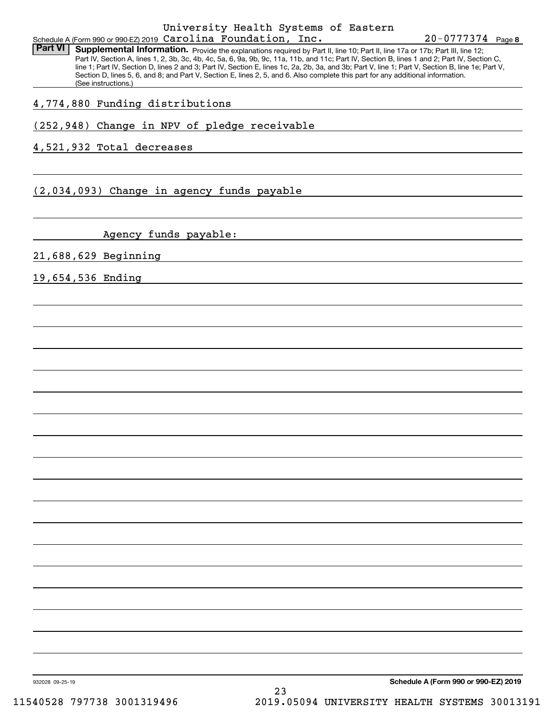#### Schedule A (Form 990 or 990-EZ) 2019 Page Carolina Foundation, Inc. University Health Systems of Eastern

**8**20-0777374

Part VI | Supplemental Information. Provide the explanations required by Part II, line 10; Part II, line 17a or 17b; Part III, line 12; Part IV, Section A, lines 1, 2, 3b, 3c, 4b, 4c, 5a, 6, 9a, 9b, 9c, 11a, 11b, and 11c; Part IV, Section B, lines 1 and 2; Part IV, Section C, line 1; Part IV, Section D, lines 2 and 3; Part IV, Section E, lines 1c, 2a, 2b, 3a, and 3b; Part V, line 1; Part V, Section B, line 1e; Part V, Section D, lines 5, 6, and 8; and Part V, Section E, lines 2, 5, and 6. Also complete this part for any additional information. (See instructions.)

4,774,880 Funding distributions

(252,948) Change in NPV of pledge receivable

4,521,932 Total decreases

(2,034,093) Change in agency funds payable

Agency funds payable:

21,688,629 Beginning

19,654,536 Ending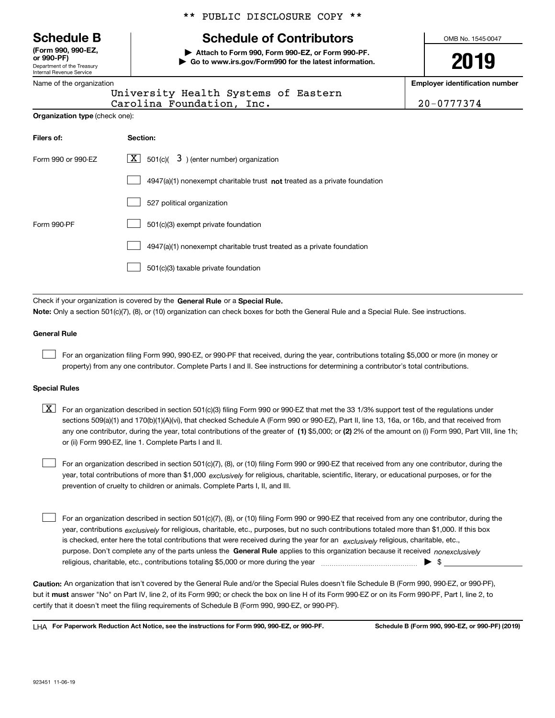Department of the Treasury Internal Revenue Service **(Form 990, 990-EZ, or 990-PF)**

|  | Name of the organization |
|--|--------------------------|

**Organization type** (check one):

#### \*\* PUBLIC DISCLOSURE COPY \*\*

# **Schedule B Schedule of Contributors**

**| Attach to Form 990, Form 990-EZ, or Form 990-PF. | Go to www.irs.gov/Form990 for the latest information.** OMB No. 1545-0047

# **2019**

**Employer identification number**

 $nc.$  20-0777374

| University Health Systems of Eastern |  |
|--------------------------------------|--|
| Carolina Foundation, Inc.            |  |

| Filers of:         | Section:                                                                    |
|--------------------|-----------------------------------------------------------------------------|
| Form 990 or 990-EZ | $X$ 501(c)( 3) (enter number) organization                                  |
|                    | $4947(a)(1)$ nonexempt charitable trust not treated as a private foundation |
|                    | 527 political organization                                                  |
| Form 990-PF        | 501(c)(3) exempt private foundation                                         |
|                    | 4947(a)(1) nonexempt charitable trust treated as a private foundation       |
|                    | 501(c)(3) taxable private foundation                                        |

Check if your organization is covered by the **General Rule** or a **Special Rule. Note:**  Only a section 501(c)(7), (8), or (10) organization can check boxes for both the General Rule and a Special Rule. See instructions.

#### **General Rule**

 $\mathcal{L}^{\text{max}}$ 

For an organization filing Form 990, 990-EZ, or 990-PF that received, during the year, contributions totaling \$5,000 or more (in money or property) from any one contributor. Complete Parts I and II. See instructions for determining a contributor's total contributions.

#### **Special Rules**

any one contributor, during the year, total contributions of the greater of  $\,$  (1) \$5,000; or **(2)** 2% of the amount on (i) Form 990, Part VIII, line 1h;  $\boxed{\textbf{X}}$  For an organization described in section 501(c)(3) filing Form 990 or 990-EZ that met the 33 1/3% support test of the regulations under sections 509(a)(1) and 170(b)(1)(A)(vi), that checked Schedule A (Form 990 or 990-EZ), Part II, line 13, 16a, or 16b, and that received from or (ii) Form 990-EZ, line 1. Complete Parts I and II.

year, total contributions of more than \$1,000 *exclusively* for religious, charitable, scientific, literary, or educational purposes, or for the For an organization described in section 501(c)(7), (8), or (10) filing Form 990 or 990-EZ that received from any one contributor, during the prevention of cruelty to children or animals. Complete Parts I, II, and III.  $\mathcal{L}^{\text{max}}$ 

purpose. Don't complete any of the parts unless the **General Rule** applies to this organization because it received *nonexclusively* year, contributions <sub>exclusively</sub> for religious, charitable, etc., purposes, but no such contributions totaled more than \$1,000. If this box is checked, enter here the total contributions that were received during the year for an  $\;$ exclusively religious, charitable, etc., For an organization described in section 501(c)(7), (8), or (10) filing Form 990 or 990-EZ that received from any one contributor, during the religious, charitable, etc., contributions totaling \$5,000 or more during the year  $\Box$ — $\Box$   $\Box$  $\mathcal{L}^{\text{max}}$ 

**Caution:**  An organization that isn't covered by the General Rule and/or the Special Rules doesn't file Schedule B (Form 990, 990-EZ, or 990-PF),  **must** but it answer "No" on Part IV, line 2, of its Form 990; or check the box on line H of its Form 990-EZ or on its Form 990-PF, Part I, line 2, to certify that it doesn't meet the filing requirements of Schedule B (Form 990, 990-EZ, or 990-PF).

**For Paperwork Reduction Act Notice, see the instructions for Form 990, 990-EZ, or 990-PF. Schedule B (Form 990, 990-EZ, or 990-PF) (2019)** LHA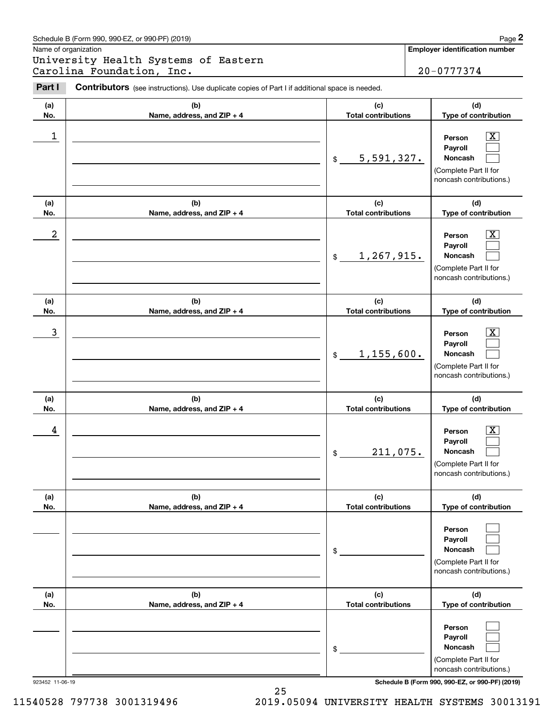|                      | Schedule B (Form 990, 990-EZ, or 990-PF) (2019)                                                |                                   | Page 2                                                                                                      |
|----------------------|------------------------------------------------------------------------------------------------|-----------------------------------|-------------------------------------------------------------------------------------------------------------|
| Name of organization |                                                                                                |                                   | Employer identification number                                                                              |
|                      | University Health Systems of Eastern<br>Carolina Foundation, Inc.                              |                                   | 20-0777374                                                                                                  |
| Part I               | Contributors (see instructions). Use duplicate copies of Part I if additional space is needed. |                                   |                                                                                                             |
| (a)<br>No.           | (b)<br>Name, address, and ZIP + 4                                                              | (c)<br><b>Total contributions</b> | (d)<br>Type of contribution                                                                                 |
| 1                    |                                                                                                | 5,591,327.<br>$$\mathbb{S}$$      | $\mathbf{X}$<br>Person<br>Payroll<br>Noncash<br>(Complete Part II for<br>noncash contributions.)            |
| (a)<br>No.           | (b)<br>Name, address, and ZIP + 4                                                              | (c)<br><b>Total contributions</b> | (d)<br>Type of contribution                                                                                 |
| $\boldsymbol{2}$     |                                                                                                | 1, 267, 915.<br>\$                | $\overline{\mathbf{X}}$<br>Person<br>Payroll<br>Noncash<br>(Complete Part II for<br>noncash contributions.) |
| (a)<br>No.           | (b)<br>Name, address, and ZIP + 4                                                              | (c)<br><b>Total contributions</b> | (d)<br>Type of contribution                                                                                 |
| 3                    |                                                                                                | 1,155,600.<br>$$\mathbb{S}$$      | $\overline{\mathbf{X}}$<br>Person<br>Payroll<br>Noncash<br>(Complete Part II for<br>noncash contributions.) |
| (a)<br>No.           | (b)<br>Name, address, and ZIP + 4                                                              | (c)<br><b>Total contributions</b> | (d)<br>Type of contribution                                                                                 |
| 4                    |                                                                                                | 211,075.<br>\$                    | $\mathbf{X}$<br>Person<br>Payroll<br>Noncash<br>(Complete Part II for<br>noncash contributions.)            |
| (a)<br>No.           | (b)<br>Name, address, and ZIP + 4                                                              | (c)<br><b>Total contributions</b> | (d)<br>Type of contribution                                                                                 |
|                      |                                                                                                | \$                                | Person<br>Payroll<br>Noncash<br>(Complete Part II for<br>noncash contributions.)                            |
| (a)<br>No.           | (b)<br>Name, address, and ZIP + 4                                                              | (c)<br><b>Total contributions</b> | (d)<br>Type of contribution                                                                                 |
|                      |                                                                                                | \$                                | Person<br>Payroll<br>Noncash<br>(Complete Part II for<br>noncash contributions.)                            |
| 923452 11-06-19      |                                                                                                |                                   | Schedule B (Form 990, 990-EZ, or 990-PF) (2019)                                                             |

25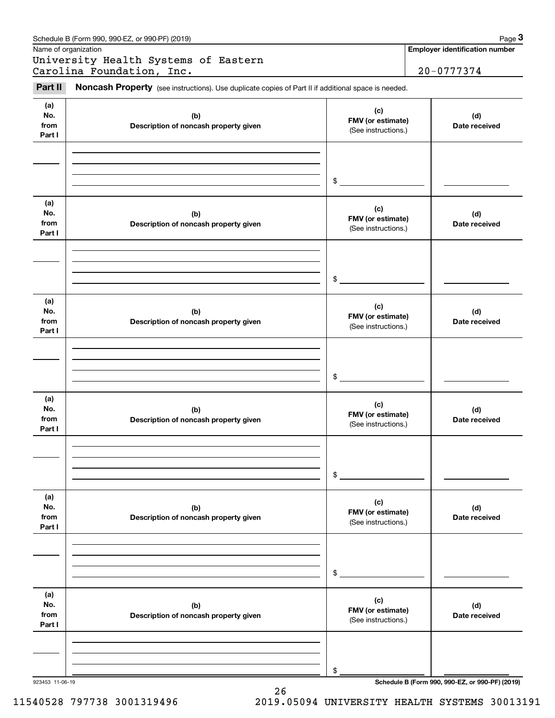|                              | Schedule B (Form 990, 990-EZ, or 990-PF) (2019)                                                     |                                                 | Page 3                                |
|------------------------------|-----------------------------------------------------------------------------------------------------|-------------------------------------------------|---------------------------------------|
|                              | Name of organization<br>University Health Systems of Eastern                                        |                                                 | <b>Employer identification number</b> |
|                              | Carolina Foundation, Inc.                                                                           |                                                 | 20-0777374                            |
| Part II                      | Noncash Property (see instructions). Use duplicate copies of Part II if additional space is needed. |                                                 |                                       |
| (a)<br>No.<br>from<br>Part I | (b)<br>Description of noncash property given                                                        | (c)<br>FMV (or estimate)<br>(See instructions.) | (d)<br>Date received                  |
|                              |                                                                                                     | \$                                              |                                       |
| (a)<br>No.<br>from<br>Part I | (b)<br>Description of noncash property given                                                        | (c)<br>FMV (or estimate)<br>(See instructions.) | (d)<br>Date received                  |
|                              |                                                                                                     | \$                                              |                                       |
| (a)<br>No.<br>from<br>Part I | (b)<br>Description of noncash property given                                                        | (c)<br>FMV (or estimate)<br>(See instructions.) | (d)<br>Date received                  |
|                              |                                                                                                     | \$                                              |                                       |
| (a)<br>No.<br>from<br>Part I | (b)<br>Description of noncash property given                                                        | (c)<br>FMV (or estimate)<br>(See instructions.) | (d)<br>Date received                  |
|                              |                                                                                                     | \$                                              |                                       |
| (a)<br>No.<br>from<br>Part I | (b)<br>Description of noncash property given                                                        | (c)<br>FMV (or estimate)<br>(See instructions.) | (d)<br>Date received                  |
|                              |                                                                                                     | \$                                              |                                       |
| (a)<br>No.<br>from<br>Part I | (b)<br>Description of noncash property given                                                        | (c)<br>FMV (or estimate)<br>(See instructions.) | (d)<br>Date received                  |
|                              |                                                                                                     | \$                                              |                                       |

26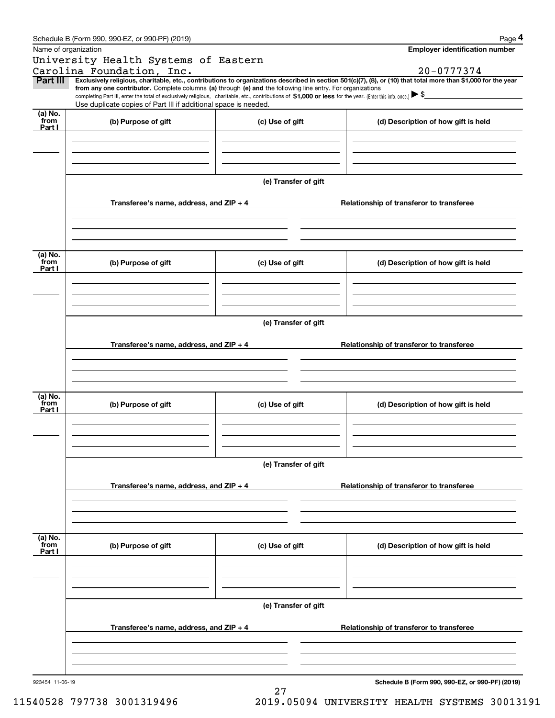|                 | Schedule B (Form 990, 990-EZ, or 990-PF) (2019)                                                                                                                                                                                                                              |                      |                                          | Page 4                                          |  |  |  |
|-----------------|------------------------------------------------------------------------------------------------------------------------------------------------------------------------------------------------------------------------------------------------------------------------------|----------------------|------------------------------------------|-------------------------------------------------|--|--|--|
|                 | Name of organization                                                                                                                                                                                                                                                         |                      |                                          | <b>Employer identification number</b>           |  |  |  |
|                 | University Health Systems of Eastern                                                                                                                                                                                                                                         |                      |                                          |                                                 |  |  |  |
|                 | Carolina Foundation, Inc.                                                                                                                                                                                                                                                    |                      |                                          | 20-0777374                                      |  |  |  |
| Part III        | Exclusively religious, charitable, etc., contributions to organizations described in section 501(c)(7), (8), or (10) that total more than \$1,000 for the year<br>from any one contributor. Complete columns (a) through (e) and the following line entry. For organizations |                      |                                          |                                                 |  |  |  |
|                 | completing Part III, enter the total of exclusively religious, charitable, etc., contributions of \$1,000 or less for the year. (Enter this info. once.) $\blacktriangleright$ \$<br>Use duplicate copies of Part III if additional space is needed.                         |                      |                                          |                                                 |  |  |  |
| (a) No.         |                                                                                                                                                                                                                                                                              |                      |                                          |                                                 |  |  |  |
| from<br>Part I  | (b) Purpose of gift                                                                                                                                                                                                                                                          | (c) Use of gift      |                                          | (d) Description of how gift is held             |  |  |  |
|                 |                                                                                                                                                                                                                                                                              |                      |                                          |                                                 |  |  |  |
|                 |                                                                                                                                                                                                                                                                              |                      |                                          |                                                 |  |  |  |
|                 |                                                                                                                                                                                                                                                                              |                      |                                          |                                                 |  |  |  |
|                 |                                                                                                                                                                                                                                                                              |                      |                                          |                                                 |  |  |  |
|                 |                                                                                                                                                                                                                                                                              | (e) Transfer of gift |                                          |                                                 |  |  |  |
|                 |                                                                                                                                                                                                                                                                              |                      |                                          |                                                 |  |  |  |
|                 | Transferee's name, address, and ZIP + 4                                                                                                                                                                                                                                      |                      |                                          | Relationship of transferor to transferee        |  |  |  |
|                 |                                                                                                                                                                                                                                                                              |                      |                                          |                                                 |  |  |  |
|                 |                                                                                                                                                                                                                                                                              |                      |                                          |                                                 |  |  |  |
|                 |                                                                                                                                                                                                                                                                              |                      |                                          |                                                 |  |  |  |
| (a) No.         |                                                                                                                                                                                                                                                                              |                      |                                          |                                                 |  |  |  |
| from            | (b) Purpose of gift                                                                                                                                                                                                                                                          | (c) Use of gift      |                                          | (d) Description of how gift is held             |  |  |  |
| Part I          |                                                                                                                                                                                                                                                                              |                      |                                          |                                                 |  |  |  |
|                 |                                                                                                                                                                                                                                                                              |                      |                                          |                                                 |  |  |  |
|                 |                                                                                                                                                                                                                                                                              |                      |                                          |                                                 |  |  |  |
|                 |                                                                                                                                                                                                                                                                              |                      |                                          |                                                 |  |  |  |
|                 | (e) Transfer of gift                                                                                                                                                                                                                                                         |                      |                                          |                                                 |  |  |  |
|                 |                                                                                                                                                                                                                                                                              |                      |                                          |                                                 |  |  |  |
|                 | Transferee's name, address, and ZIP + 4                                                                                                                                                                                                                                      |                      | Relationship of transferor to transferee |                                                 |  |  |  |
|                 |                                                                                                                                                                                                                                                                              |                      |                                          |                                                 |  |  |  |
|                 |                                                                                                                                                                                                                                                                              |                      |                                          |                                                 |  |  |  |
|                 |                                                                                                                                                                                                                                                                              |                      |                                          |                                                 |  |  |  |
| (a) No.         |                                                                                                                                                                                                                                                                              |                      |                                          |                                                 |  |  |  |
| from            | (b) Purpose of gift                                                                                                                                                                                                                                                          | (c) Use of gift      |                                          | (d) Description of how gift is held             |  |  |  |
| Part I          |                                                                                                                                                                                                                                                                              |                      |                                          |                                                 |  |  |  |
|                 |                                                                                                                                                                                                                                                                              |                      |                                          |                                                 |  |  |  |
|                 |                                                                                                                                                                                                                                                                              |                      |                                          |                                                 |  |  |  |
|                 |                                                                                                                                                                                                                                                                              |                      |                                          |                                                 |  |  |  |
|                 | (e) Transfer of gift                                                                                                                                                                                                                                                         |                      |                                          |                                                 |  |  |  |
|                 |                                                                                                                                                                                                                                                                              |                      |                                          |                                                 |  |  |  |
|                 | Transferee's name, address, and ZIP + 4                                                                                                                                                                                                                                      |                      |                                          | Relationship of transferor to transferee        |  |  |  |
|                 |                                                                                                                                                                                                                                                                              |                      |                                          |                                                 |  |  |  |
|                 |                                                                                                                                                                                                                                                                              |                      |                                          |                                                 |  |  |  |
|                 |                                                                                                                                                                                                                                                                              |                      |                                          |                                                 |  |  |  |
| (a) No.         |                                                                                                                                                                                                                                                                              |                      |                                          |                                                 |  |  |  |
| from<br>Part I  | (b) Purpose of gift                                                                                                                                                                                                                                                          | (c) Use of gift      |                                          | (d) Description of how gift is held             |  |  |  |
|                 |                                                                                                                                                                                                                                                                              |                      |                                          |                                                 |  |  |  |
|                 |                                                                                                                                                                                                                                                                              |                      |                                          |                                                 |  |  |  |
|                 |                                                                                                                                                                                                                                                                              |                      |                                          |                                                 |  |  |  |
|                 |                                                                                                                                                                                                                                                                              |                      |                                          |                                                 |  |  |  |
|                 |                                                                                                                                                                                                                                                                              | (e) Transfer of gift |                                          |                                                 |  |  |  |
|                 |                                                                                                                                                                                                                                                                              |                      |                                          |                                                 |  |  |  |
|                 | Transferee's name, address, and $ZIP + 4$                                                                                                                                                                                                                                    |                      |                                          | Relationship of transferor to transferee        |  |  |  |
|                 |                                                                                                                                                                                                                                                                              |                      |                                          |                                                 |  |  |  |
|                 |                                                                                                                                                                                                                                                                              |                      |                                          |                                                 |  |  |  |
|                 |                                                                                                                                                                                                                                                                              |                      |                                          |                                                 |  |  |  |
| 923454 11-06-19 |                                                                                                                                                                                                                                                                              |                      |                                          | Schedule B (Form 990, 990-EZ, or 990-PF) (2019) |  |  |  |
|                 |                                                                                                                                                                                                                                                                              | 27                   |                                          |                                                 |  |  |  |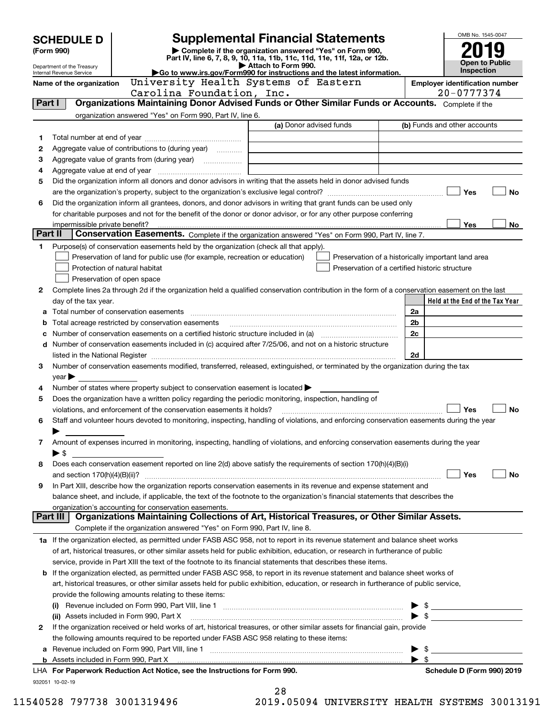|         | <b>Supplemental Financial Statements</b><br><b>SCHEDULE D</b> |                                                                                                                                                |                         |  | OMB No. 1545-0047                                  |                                       |  |
|---------|---------------------------------------------------------------|------------------------------------------------------------------------------------------------------------------------------------------------|-------------------------|--|----------------------------------------------------|---------------------------------------|--|
|         | (Form 990)                                                    | Complete if the organization answered "Yes" on Form 990,                                                                                       |                         |  |                                                    |                                       |  |
|         | Department of the Treasury                                    | Part IV, line 6, 7, 8, 9, 10, 11a, 11b, 11c, 11d, 11e, 11f, 12a, or 12b.                                                                       | Attach to Form 990.     |  |                                                    | <b>Open to Public</b>                 |  |
|         | Internal Revenue Service                                      | Go to www.irs.gov/Form990 for instructions and the latest information.                                                                         |                         |  |                                                    | Inspection                            |  |
|         | Name of the organization                                      | University Health Systems of Eastern                                                                                                           |                         |  |                                                    | <b>Employer identification number</b> |  |
|         |                                                               | Carolina Foundation, Inc.<br>Organizations Maintaining Donor Advised Funds or Other Similar Funds or Accounts. Complete if the                 |                         |  |                                                    | 20-0777374                            |  |
| Part I  |                                                               |                                                                                                                                                |                         |  |                                                    |                                       |  |
|         |                                                               | organization answered "Yes" on Form 990, Part IV, line 6.                                                                                      | (a) Donor advised funds |  |                                                    | (b) Funds and other accounts          |  |
| 1       |                                                               |                                                                                                                                                |                         |  |                                                    |                                       |  |
| 2       |                                                               | Aggregate value of contributions to (during year)                                                                                              |                         |  |                                                    |                                       |  |
| з       |                                                               |                                                                                                                                                |                         |  |                                                    |                                       |  |
| 4       |                                                               |                                                                                                                                                |                         |  |                                                    |                                       |  |
| 5       |                                                               | Did the organization inform all donors and donor advisors in writing that the assets held in donor advised funds                               |                         |  |                                                    |                                       |  |
|         |                                                               |                                                                                                                                                |                         |  |                                                    | Yes<br>No                             |  |
| 6       |                                                               | Did the organization inform all grantees, donors, and donor advisors in writing that grant funds can be used only                              |                         |  |                                                    |                                       |  |
|         |                                                               | for charitable purposes and not for the benefit of the donor or donor advisor, or for any other purpose conferring                             |                         |  |                                                    |                                       |  |
|         | impermissible private benefit?                                |                                                                                                                                                |                         |  |                                                    | Yes<br>No                             |  |
| Part II |                                                               | Conservation Easements. Complete if the organization answered "Yes" on Form 990, Part IV, line 7.                                              |                         |  |                                                    |                                       |  |
| 1       |                                                               | Purpose(s) of conservation easements held by the organization (check all that apply).                                                          |                         |  |                                                    |                                       |  |
|         |                                                               | Preservation of land for public use (for example, recreation or education)                                                                     |                         |  | Preservation of a historically important land area |                                       |  |
|         |                                                               | Protection of natural habitat                                                                                                                  |                         |  | Preservation of a certified historic structure     |                                       |  |
|         |                                                               | Preservation of open space                                                                                                                     |                         |  |                                                    |                                       |  |
| 2       |                                                               | Complete lines 2a through 2d if the organization held a qualified conservation contribution in the form of a conservation easement on the last |                         |  |                                                    |                                       |  |
|         | day of the tax year.                                          |                                                                                                                                                |                         |  |                                                    | Held at the End of the Tax Year       |  |
| а       |                                                               |                                                                                                                                                |                         |  | 2a                                                 |                                       |  |
|         |                                                               |                                                                                                                                                |                         |  | 2 <sub>b</sub>                                     |                                       |  |
|         |                                                               | Number of conservation easements on a certified historic structure included in (a) manufacture included in (a)                                 |                         |  | 2c                                                 |                                       |  |
|         |                                                               | d Number of conservation easements included in (c) acquired after 7/25/06, and not on a historic structure                                     |                         |  |                                                    |                                       |  |
|         |                                                               |                                                                                                                                                |                         |  | 2d                                                 |                                       |  |
| з       |                                                               | Number of conservation easements modified, transferred, released, extinguished, or terminated by the organization during the tax               |                         |  |                                                    |                                       |  |
|         | year                                                          |                                                                                                                                                |                         |  |                                                    |                                       |  |
| 4       |                                                               | Number of states where property subject to conservation easement is located $\blacktriangleright$                                              |                         |  |                                                    |                                       |  |
| 5       |                                                               | Does the organization have a written policy regarding the periodic monitoring, inspection, handling of                                         |                         |  |                                                    |                                       |  |
|         |                                                               | violations, and enforcement of the conservation easements it holds?                                                                            |                         |  |                                                    | Yes<br><b>No</b>                      |  |
| 6       |                                                               | Staff and volunteer hours devoted to monitoring, inspecting, handling of violations, and enforcing conservation easements during the year      |                         |  |                                                    |                                       |  |
|         |                                                               |                                                                                                                                                |                         |  |                                                    |                                       |  |
| 7       |                                                               | Amount of expenses incurred in monitoring, inspecting, handling of violations, and enforcing conservation easements during the year            |                         |  |                                                    |                                       |  |
| 8       | ▶ \$                                                          | Does each conservation easement reported on line 2(d) above satisfy the requirements of section 170(h)(4)(B)(i)                                |                         |  |                                                    |                                       |  |
|         |                                                               |                                                                                                                                                |                         |  |                                                    | Yes<br>No                             |  |
| 9       |                                                               | In Part XIII, describe how the organization reports conservation easements in its revenue and expense statement and                            |                         |  |                                                    |                                       |  |
|         |                                                               | balance sheet, and include, if applicable, the text of the footnote to the organization's financial statements that describes the              |                         |  |                                                    |                                       |  |
|         |                                                               | organization's accounting for conservation easements.                                                                                          |                         |  |                                                    |                                       |  |
|         | Part III                                                      | Organizations Maintaining Collections of Art, Historical Treasures, or Other Similar Assets.                                                   |                         |  |                                                    |                                       |  |
|         |                                                               | Complete if the organization answered "Yes" on Form 990, Part IV, line 8.                                                                      |                         |  |                                                    |                                       |  |
|         |                                                               | 1a If the organization elected, as permitted under FASB ASC 958, not to report in its revenue statement and balance sheet works                |                         |  |                                                    |                                       |  |
|         |                                                               | of art, historical treasures, or other similar assets held for public exhibition, education, or research in furtherance of public              |                         |  |                                                    |                                       |  |
|         |                                                               | service, provide in Part XIII the text of the footnote to its financial statements that describes these items.                                 |                         |  |                                                    |                                       |  |
|         |                                                               | <b>b</b> If the organization elected, as permitted under FASB ASC 958, to report in its revenue statement and balance sheet works of           |                         |  |                                                    |                                       |  |
|         |                                                               | art, historical treasures, or other similar assets held for public exhibition, education, or research in furtherance of public service,        |                         |  |                                                    |                                       |  |
|         |                                                               | provide the following amounts relating to these items:                                                                                         |                         |  |                                                    |                                       |  |
|         |                                                               |                                                                                                                                                |                         |  |                                                    |                                       |  |
|         |                                                               | (ii) Assets included in Form 990, Part X                                                                                                       |                         |  |                                                    |                                       |  |
| 2       |                                                               | If the organization received or held works of art, historical treasures, or other similar assets for financial gain, provide                   |                         |  |                                                    |                                       |  |
|         |                                                               | the following amounts required to be reported under FASB ASC 958 relating to these items:                                                      |                         |  |                                                    |                                       |  |
| а       |                                                               |                                                                                                                                                |                         |  | - \$                                               |                                       |  |
| b       |                                                               | Assets included in Form 990, Part X <i>maching and accountant content in the set</i> sincluded in Form 990, Part X                             |                         |  | $\blacktriangleright$ s                            |                                       |  |
|         |                                                               | LHA For Paperwork Reduction Act Notice, see the Instructions for Form 990.                                                                     |                         |  |                                                    | Schedule D (Form 990) 2019            |  |
|         | 932051 10-02-19                                               |                                                                                                                                                |                         |  |                                                    |                                       |  |
|         |                                                               |                                                                                                                                                | 28                      |  |                                                    |                                       |  |

| 28  |   |  |  |   |
|-----|---|--|--|---|
| 1 ∩ | . |  |  | т |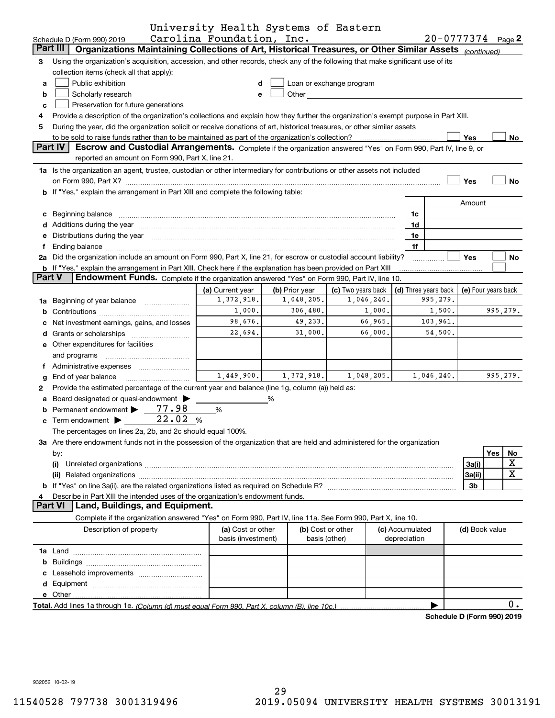|               |                                                                                                                                                                                                                                | University Health Systems of Eastern |                |                                                                                                                                                                                                                               |                                 |            |                            |          |           |
|---------------|--------------------------------------------------------------------------------------------------------------------------------------------------------------------------------------------------------------------------------|--------------------------------------|----------------|-------------------------------------------------------------------------------------------------------------------------------------------------------------------------------------------------------------------------------|---------------------------------|------------|----------------------------|----------|-----------|
|               | Schedule D (Form 990) 2019                                                                                                                                                                                                     | Carolina Foundation, Inc.            |                |                                                                                                                                                                                                                               |                                 |            | $20 - 0777374$ Page 2      |          |           |
|               | Part III<br>Organizations Maintaining Collections of Art, Historical Treasures, or Other Similar Assets (continued)                                                                                                            |                                      |                |                                                                                                                                                                                                                               |                                 |            |                            |          |           |
| 3             | Using the organization's acquisition, accession, and other records, check any of the following that make significant use of its                                                                                                |                                      |                |                                                                                                                                                                                                                               |                                 |            |                            |          |           |
|               | collection items (check all that apply):                                                                                                                                                                                       |                                      |                |                                                                                                                                                                                                                               |                                 |            |                            |          |           |
| a             | Public exhibition                                                                                                                                                                                                              | d                                    |                | Loan or exchange program                                                                                                                                                                                                      |                                 |            |                            |          |           |
| b             | Scholarly research                                                                                                                                                                                                             | e                                    |                | Other and the contract of the contract of the contract of the contract of the contract of the contract of the contract of the contract of the contract of the contract of the contract of the contract of the contract of the |                                 |            |                            |          |           |
| c             | Preservation for future generations                                                                                                                                                                                            |                                      |                |                                                                                                                                                                                                                               |                                 |            |                            |          |           |
| 4             | Provide a description of the organization's collections and explain how they further the organization's exempt purpose in Part XIII.                                                                                           |                                      |                |                                                                                                                                                                                                                               |                                 |            |                            |          |           |
| 5             | During the year, did the organization solicit or receive donations of art, historical treasures, or other similar assets                                                                                                       |                                      |                |                                                                                                                                                                                                                               |                                 |            |                            |          |           |
|               |                                                                                                                                                                                                                                |                                      |                |                                                                                                                                                                                                                               |                                 |            | Yes                        |          | No        |
|               | <b>Part IV</b><br>Escrow and Custodial Arrangements. Complete if the organization answered "Yes" on Form 990, Part IV, line 9, or                                                                                              |                                      |                |                                                                                                                                                                                                                               |                                 |            |                            |          |           |
|               | reported an amount on Form 990, Part X, line 21.                                                                                                                                                                               |                                      |                |                                                                                                                                                                                                                               |                                 |            |                            |          |           |
|               | 1a Is the organization an agent, trustee, custodian or other intermediary for contributions or other assets not included                                                                                                       |                                      |                |                                                                                                                                                                                                                               |                                 |            |                            |          |           |
|               | on Form 990, Part X? <b>William Constitution Constitution</b> Construction Construction Construction Constitution Cons                                                                                                         |                                      |                |                                                                                                                                                                                                                               |                                 |            | Yes                        |          | <b>No</b> |
|               | <b>b</b> If "Yes," explain the arrangement in Part XIII and complete the following table:                                                                                                                                      |                                      |                |                                                                                                                                                                                                                               |                                 |            |                            |          |           |
|               |                                                                                                                                                                                                                                |                                      |                |                                                                                                                                                                                                                               |                                 |            | Amount                     |          |           |
|               | c Beginning balance measurements and the contract of the contract of the contract of the contract of the contract of the contract of the contract of the contract of the contract of the contract of the contract of the contr |                                      |                |                                                                                                                                                                                                                               | 1c                              |            |                            |          |           |
|               |                                                                                                                                                                                                                                |                                      |                |                                                                                                                                                                                                                               | 1d                              |            |                            |          |           |
|               | e Distributions during the year manufactured and continuum control of the control of the control of the control of the control of the control of the control of the control of the control of the control of the control of th |                                      |                |                                                                                                                                                                                                                               | 1e                              |            |                            |          |           |
| f             |                                                                                                                                                                                                                                |                                      |                |                                                                                                                                                                                                                               | 1f                              |            |                            |          |           |
|               | 2a Did the organization include an amount on Form 990, Part X, line 21, for escrow or custodial account liability?                                                                                                             |                                      |                |                                                                                                                                                                                                                               |                                 |            | Yes                        |          | No        |
|               | b If "Yes," explain the arrangement in Part XIII. Check here if the explanation has been provided on Part XIII                                                                                                                 |                                      |                |                                                                                                                                                                                                                               |                                 |            |                            |          |           |
| <b>Part V</b> | Endowment Funds. Complete if the organization answered "Yes" on Form 990, Part IV, line 10.                                                                                                                                    |                                      |                |                                                                                                                                                                                                                               |                                 |            |                            |          |           |
|               |                                                                                                                                                                                                                                | (a) Current year                     | (b) Prior year | (c) Two years back                                                                                                                                                                                                            | (d) Three years back            |            | (e) Four years back        |          |           |
|               | 1a Beginning of year balance                                                                                                                                                                                                   | 1,372,918.                           | 1,048,205.     | 1,046,240.                                                                                                                                                                                                                    |                                 | 995,279.   |                            |          |           |
|               |                                                                                                                                                                                                                                | 1,000.                               | 306,480.       | 1,000.                                                                                                                                                                                                                        |                                 | 1,500.     |                            | 995,279. |           |
|               | c Net investment earnings, gains, and losses                                                                                                                                                                                   | 98,676.                              | 49,233.        | 66,965.                                                                                                                                                                                                                       |                                 | 103,961.   |                            |          |           |
|               |                                                                                                                                                                                                                                | 22,694.                              | 31,000.        | 66,000.                                                                                                                                                                                                                       |                                 | 54,500.    |                            |          |           |
|               | e Other expenditures for facilities                                                                                                                                                                                            |                                      |                |                                                                                                                                                                                                                               |                                 |            |                            |          |           |
|               | and programs                                                                                                                                                                                                                   |                                      |                |                                                                                                                                                                                                                               |                                 |            |                            |          |           |
|               | f Administrative expenses                                                                                                                                                                                                      |                                      |                |                                                                                                                                                                                                                               |                                 |            |                            |          |           |
| g             | End of year balance                                                                                                                                                                                                            | 1,449,900.                           | 1,372,918.     | 1,048,205.                                                                                                                                                                                                                    |                                 | 1,046,240. |                            | 995,279. |           |
| 2             | Provide the estimated percentage of the current year end balance (line 1g, column (a)) held as:                                                                                                                                |                                      |                |                                                                                                                                                                                                                               |                                 |            |                            |          |           |
|               | a Board designated or quasi-endowment >                                                                                                                                                                                        |                                      | %              |                                                                                                                                                                                                                               |                                 |            |                            |          |           |
|               | Permanent endowment > 77.98                                                                                                                                                                                                    | %                                    |                |                                                                                                                                                                                                                               |                                 |            |                            |          |           |
|               | 22.02%<br>$\mathbf c$ Term endowment $\blacktriangleright$                                                                                                                                                                     |                                      |                |                                                                                                                                                                                                                               |                                 |            |                            |          |           |
|               | The percentages on lines 2a, 2b, and 2c should equal 100%.                                                                                                                                                                     |                                      |                |                                                                                                                                                                                                                               |                                 |            |                            |          |           |
|               | 3a Are there endowment funds not in the possession of the organization that are held and administered for the organization                                                                                                     |                                      |                |                                                                                                                                                                                                                               |                                 |            |                            |          |           |
|               |                                                                                                                                                                                                                                |                                      |                |                                                                                                                                                                                                                               |                                 |            |                            | Yes      |           |
|               | by:                                                                                                                                                                                                                            |                                      |                |                                                                                                                                                                                                                               |                                 |            |                            |          | No<br>х   |
|               | (i)                                                                                                                                                                                                                            |                                      |                |                                                                                                                                                                                                                               |                                 |            | 3a(i)                      |          | x         |
|               | (ii)                                                                                                                                                                                                                           |                                      |                |                                                                                                                                                                                                                               |                                 |            | 3a(ii)                     |          |           |
|               |                                                                                                                                                                                                                                |                                      |                |                                                                                                                                                                                                                               |                                 |            | 3b                         |          |           |
| 4             | Describe in Part XIII the intended uses of the organization's endowment funds.<br><b>Part VI</b><br>Land, Buildings, and Equipment.                                                                                            |                                      |                |                                                                                                                                                                                                                               |                                 |            |                            |          |           |
|               |                                                                                                                                                                                                                                |                                      |                |                                                                                                                                                                                                                               |                                 |            |                            |          |           |
|               | Complete if the organization answered "Yes" on Form 990, Part IV, line 11a. See Form 990, Part X, line 10.                                                                                                                     |                                      |                |                                                                                                                                                                                                                               |                                 |            |                            |          |           |
|               | Description of property                                                                                                                                                                                                        | (a) Cost or other                    |                | (b) Cost or other                                                                                                                                                                                                             | (c) Accumulated<br>depreciation |            | (d) Book value             |          |           |
|               |                                                                                                                                                                                                                                | basis (investment)                   |                | basis (other)                                                                                                                                                                                                                 |                                 |            |                            |          |           |
|               |                                                                                                                                                                                                                                |                                      |                |                                                                                                                                                                                                                               |                                 |            |                            |          |           |
|               |                                                                                                                                                                                                                                |                                      |                |                                                                                                                                                                                                                               |                                 |            |                            |          |           |
|               |                                                                                                                                                                                                                                |                                      |                |                                                                                                                                                                                                                               |                                 |            |                            |          |           |
|               |                                                                                                                                                                                                                                |                                      |                |                                                                                                                                                                                                                               |                                 |            |                            |          |           |
|               |                                                                                                                                                                                                                                |                                      |                |                                                                                                                                                                                                                               |                                 |            |                            |          |           |
|               |                                                                                                                                                                                                                                |                                      |                |                                                                                                                                                                                                                               |                                 |            |                            |          | 0.        |
|               |                                                                                                                                                                                                                                |                                      |                |                                                                                                                                                                                                                               |                                 |            | Schedule D (Form 990) 2019 |          |           |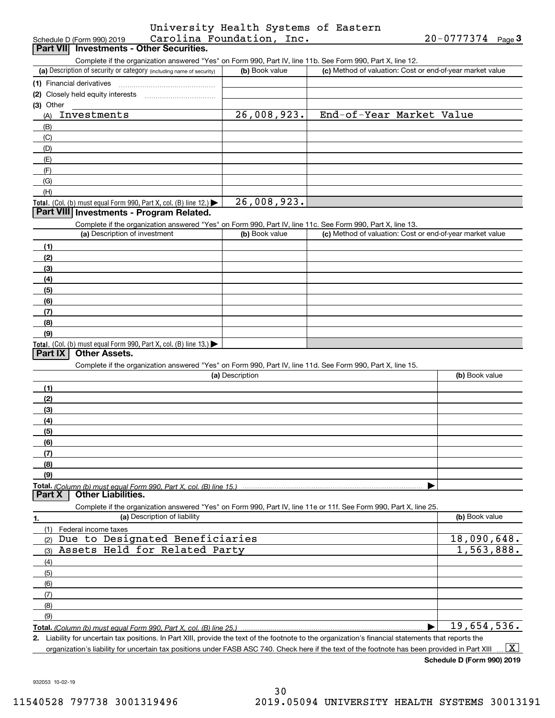| University Health Systems of Eastern |  |  |
|--------------------------------------|--|--|
| Carolina Foundation, Inc.            |  |  |

| Schedule D (Form 990) 2019                                                                                        | Carolina Foundation, Inc. |                                                           | $20 - 0777374$ Page 3 |
|-------------------------------------------------------------------------------------------------------------------|---------------------------|-----------------------------------------------------------|-----------------------|
| Part VII Investments - Other Securities.                                                                          |                           |                                                           |                       |
| Complete if the organization answered "Yes" on Form 990, Part IV, line 11b. See Form 990, Part X, line 12.        |                           |                                                           |                       |
| (a) Description of security or category (including name of security)                                              | (b) Book value            | (c) Method of valuation: Cost or end-of-year market value |                       |
| (1) Financial derivatives                                                                                         |                           |                                                           |                       |
| (2) Closely held equity interests                                                                                 |                           |                                                           |                       |
| (3) Other<br>Investments                                                                                          | 26,008,923.               | End-of-Year Market Value                                  |                       |
| (A)                                                                                                               |                           |                                                           |                       |
| (B)<br>(C)                                                                                                        |                           |                                                           |                       |
| (D)                                                                                                               |                           |                                                           |                       |
| (E)                                                                                                               |                           |                                                           |                       |
| (F)                                                                                                               |                           |                                                           |                       |
| (G)                                                                                                               |                           |                                                           |                       |
| (H)                                                                                                               |                           |                                                           |                       |
| Total. (Col. (b) must equal Form 990, Part X, col. (B) line 12.) $\blacktriangleright$                            | 26,008,923.               |                                                           |                       |
| Part VIII Investments - Program Related.                                                                          |                           |                                                           |                       |
| Complete if the organization answered "Yes" on Form 990, Part IV, line 11c. See Form 990, Part X, line 13.        |                           |                                                           |                       |
| (a) Description of investment                                                                                     | (b) Book value            | (c) Method of valuation: Cost or end-of-year market value |                       |
| (1)                                                                                                               |                           |                                                           |                       |
| (2)                                                                                                               |                           |                                                           |                       |
| (3)                                                                                                               |                           |                                                           |                       |
| (4)                                                                                                               |                           |                                                           |                       |
| (5)                                                                                                               |                           |                                                           |                       |
| (6)                                                                                                               |                           |                                                           |                       |
| (7)                                                                                                               |                           |                                                           |                       |
| (8)                                                                                                               |                           |                                                           |                       |
| (9)                                                                                                               |                           |                                                           |                       |
| Total. (Col. (b) must equal Form 990, Part X, col. (B) line 13.)                                                  |                           |                                                           |                       |
| <b>Other Assets.</b><br>Part IX                                                                                   |                           |                                                           |                       |
| Complete if the organization answered "Yes" on Form 990, Part IV, line 11d. See Form 990, Part X, line 15.        |                           |                                                           |                       |
|                                                                                                                   | (a) Description           |                                                           | (b) Book value        |
| (1)                                                                                                               |                           |                                                           |                       |
| (2)                                                                                                               |                           |                                                           |                       |
| (3)                                                                                                               |                           |                                                           |                       |
| (4)                                                                                                               |                           |                                                           |                       |
| (5)                                                                                                               |                           |                                                           |                       |
| (6)                                                                                                               |                           |                                                           |                       |
| (7)                                                                                                               |                           |                                                           |                       |
| (8)                                                                                                               |                           |                                                           |                       |
| (9)                                                                                                               |                           |                                                           |                       |
| <b>Other Liabilities.</b><br>Part X                                                                               |                           |                                                           |                       |
| Complete if the organization answered "Yes" on Form 990, Part IV, line 11e or 11f. See Form 990, Part X, line 25. |                           |                                                           |                       |
| (a) Description of liability<br>1.                                                                                |                           |                                                           | (b) Book value        |
| (1)<br>Federal income taxes                                                                                       |                           |                                                           |                       |
| Due to Designated Beneficiaries<br>(2)                                                                            |                           |                                                           | 18,090,648.           |
| Assets Held for Related Party<br>(3)                                                                              |                           |                                                           | 1,563,888.            |
| (4)                                                                                                               |                           |                                                           |                       |
| (5)                                                                                                               |                           |                                                           |                       |
| (6)                                                                                                               |                           |                                                           |                       |
| (7)                                                                                                               |                           |                                                           |                       |
| (8)                                                                                                               |                           |                                                           |                       |
|                                                                                                                   |                           |                                                           |                       |
| (9)                                                                                                               |                           |                                                           |                       |
|                                                                                                                   |                           |                                                           | 19,654,536.           |

**Schedule D (Form 990) 2019**

932053 10-02-19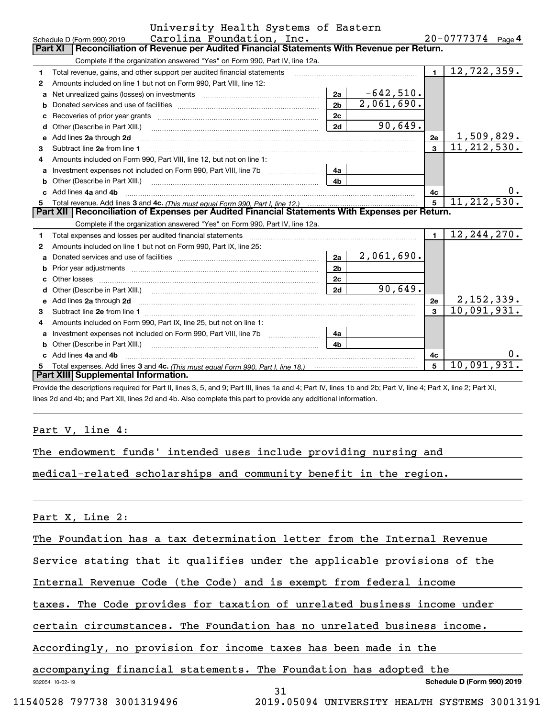|    | University Health Systems of Eastern                                                                                                                                                                                                |                |             |                |                       |  |  |  |  |
|----|-------------------------------------------------------------------------------------------------------------------------------------------------------------------------------------------------------------------------------------|----------------|-------------|----------------|-----------------------|--|--|--|--|
|    | Carolina Foundation, Inc.<br>Schedule D (Form 990) 2019                                                                                                                                                                             |                |             |                | $20 - 0777374$ Page 4 |  |  |  |  |
|    | Reconciliation of Revenue per Audited Financial Statements With Revenue per Return.<br>Part XI                                                                                                                                      |                |             |                |                       |  |  |  |  |
|    | Complete if the organization answered "Yes" on Form 990, Part IV, line 12a.                                                                                                                                                         |                |             |                |                       |  |  |  |  |
| 1  | Total revenue, gains, and other support per audited financial statements                                                                                                                                                            |                |             | $\mathbf{1}$   | 12, 722, 359.         |  |  |  |  |
| 2  | Amounts included on line 1 but not on Form 990, Part VIII, line 12:                                                                                                                                                                 |                |             |                |                       |  |  |  |  |
| a  | Net unrealized gains (losses) on investments [11] matter contracts and the unrealized gains (losses) on investments                                                                                                                 | 2a             | $-642,510.$ |                |                       |  |  |  |  |
| b  |                                                                                                                                                                                                                                     | 2 <sub>b</sub> | 2,061,690.  |                |                       |  |  |  |  |
|    |                                                                                                                                                                                                                                     | 2c             |             |                |                       |  |  |  |  |
| d  | Other (Describe in Part XIII.) (2000) (2000) (2000) (2010) (2010) (2010) (2010) (2010) (2010) (2010) (2010) (20                                                                                                                     | 2d             | 90,649.     |                |                       |  |  |  |  |
| e  | Add lines 2a through 2d                                                                                                                                                                                                             |                |             | 2e             | 1,509,829.            |  |  |  |  |
| 3  |                                                                                                                                                                                                                                     |                |             | $\mathbf{a}$   | 11, 212, 530.         |  |  |  |  |
| 4  | Amounts included on Form 990, Part VIII, line 12, but not on line 1:                                                                                                                                                                |                |             |                |                       |  |  |  |  |
| a  |                                                                                                                                                                                                                                     | 4a             |             |                |                       |  |  |  |  |
| b  |                                                                                                                                                                                                                                     | 4b             |             |                |                       |  |  |  |  |
|    | Add lines 4a and 4b                                                                                                                                                                                                                 |                |             | 4c             | 0.                    |  |  |  |  |
| 5. |                                                                                                                                                                                                                                     |                |             | 5              | 11, 212, 530.         |  |  |  |  |
|    | Part XII   Reconciliation of Expenses per Audited Financial Statements With Expenses per Return.                                                                                                                                    |                |             |                |                       |  |  |  |  |
|    | Complete if the organization answered "Yes" on Form 990, Part IV, line 12a.                                                                                                                                                         |                |             |                |                       |  |  |  |  |
| 1  |                                                                                                                                                                                                                                     |                |             | $\blacksquare$ | 12, 244, 270.         |  |  |  |  |
| 2  | Amounts included on line 1 but not on Form 990, Part IX, line 25:                                                                                                                                                                   |                |             |                |                       |  |  |  |  |
| a  |                                                                                                                                                                                                                                     | 2a             | 2,061,690.  |                |                       |  |  |  |  |
| b  |                                                                                                                                                                                                                                     | 2 <sub>b</sub> |             |                |                       |  |  |  |  |
|    | Other losses                                                                                                                                                                                                                        | 2c             |             |                |                       |  |  |  |  |
| d  |                                                                                                                                                                                                                                     | 2d             | 90,649.     |                |                       |  |  |  |  |
| е  | Add lines 2a through 2d <b>contained a contained a contained a contained a</b> contained a contact the state of the state of the state of the state of the state of the state of the state of the state of the state of the state o |                |             | 2e             | 2,152,339.            |  |  |  |  |
| 3  |                                                                                                                                                                                                                                     |                |             | $\mathbf{a}$   | 10,091,931.           |  |  |  |  |
| 4  | Amounts included on Form 990, Part IX, line 25, but not on line 1:                                                                                                                                                                  |                |             |                |                       |  |  |  |  |
| a  | Investment expenses not included on Form 990, Part VIII, line 7b [11, 111, 111, 111]                                                                                                                                                | 4a             |             |                |                       |  |  |  |  |
| b  | Other (Describe in Part XIII.) [100] [100] [100] [100] [100] [100] [100] [100] [100] [100] [100] [100] [100] [                                                                                                                      | 4b             |             |                |                       |  |  |  |  |
|    | Add lines 4a and 4b                                                                                                                                                                                                                 |                |             | 4c             | υ.                    |  |  |  |  |
|    |                                                                                                                                                                                                                                     |                |             | 5              | 10,091,931.           |  |  |  |  |
|    | Part XIII Supplemental Information.                                                                                                                                                                                                 |                |             |                |                       |  |  |  |  |

Provide the descriptions required for Part II, lines 3, 5, and 9; Part III, lines 1a and 4; Part IV, lines 1b and 2b; Part V, line 4; Part X, line 2; Part XI, lines 2d and 4b; and Part XII, lines 2d and 4b. Also complete this part to provide any additional information.

#### Part V, line 4:

| The endowment funds' intended uses include providing nursing and |  |  |
|------------------------------------------------------------------|--|--|
|------------------------------------------------------------------|--|--|

medical-related scholarships and community benefit in the region.

Part X, Line 2:

The Foundation has a tax determination letter from the Internal Revenue

Service stating that it qualifies under the applicable provisions of the

Internal Revenue Code (the Code) and is exempt from federal income

taxes. The Code provides for taxation of unrelated business income under

certain circumstances. The Foundation has no unrelated business income.

31

Accordingly, no provision for income taxes has been made in the

### accompanying financial statements. The Foundation has adopted the

932054 10-02-19

**Schedule D (Form 990) 2019**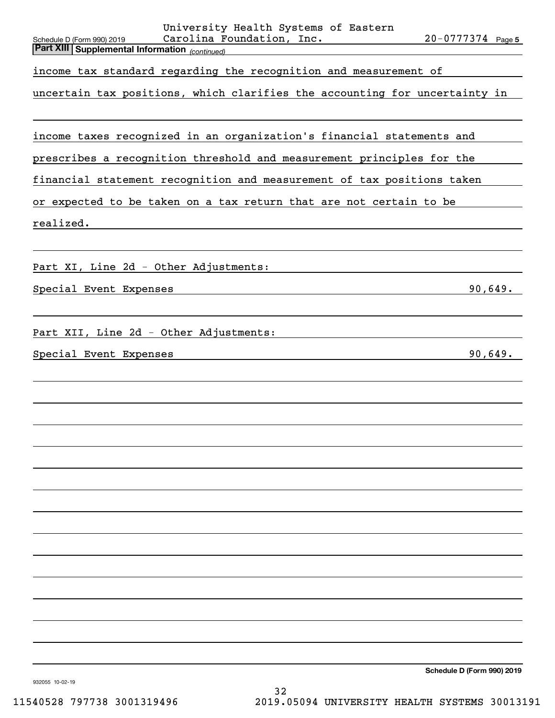| University Health Systems of Eastern<br>$20 - 0777374$ Page 5<br>Carolina Foundation, Inc.<br>Schedule D (Form 990) 2019<br>Part XIII Supplemental Information (continued) |
|----------------------------------------------------------------------------------------------------------------------------------------------------------------------------|
| income tax standard regarding the recognition and measurement of                                                                                                           |
| uncertain tax positions, which clarifies the accounting for uncertainty in                                                                                                 |
|                                                                                                                                                                            |
| income taxes recognized in an organization's financial statements and                                                                                                      |
| prescribes a recognition threshold and measurement principles for the                                                                                                      |
| financial statement recognition and measurement of tax positions taken                                                                                                     |
| or expected to be taken on a tax return that are not certain to be                                                                                                         |
| realized.                                                                                                                                                                  |
|                                                                                                                                                                            |
| Part XI, Line 2d - Other Adjustments:                                                                                                                                      |
| 90,649.<br>Special Event Expenses                                                                                                                                          |
|                                                                                                                                                                            |
| Part XII, Line 2d - Other Adjustments:                                                                                                                                     |
| 90,649.<br>Special Event Expenses                                                                                                                                          |
|                                                                                                                                                                            |
|                                                                                                                                                                            |
|                                                                                                                                                                            |
|                                                                                                                                                                            |
|                                                                                                                                                                            |
|                                                                                                                                                                            |
|                                                                                                                                                                            |
|                                                                                                                                                                            |
|                                                                                                                                                                            |
|                                                                                                                                                                            |
|                                                                                                                                                                            |
|                                                                                                                                                                            |
|                                                                                                                                                                            |

**Schedule D (Form 990) 2019**

932055 10-02-19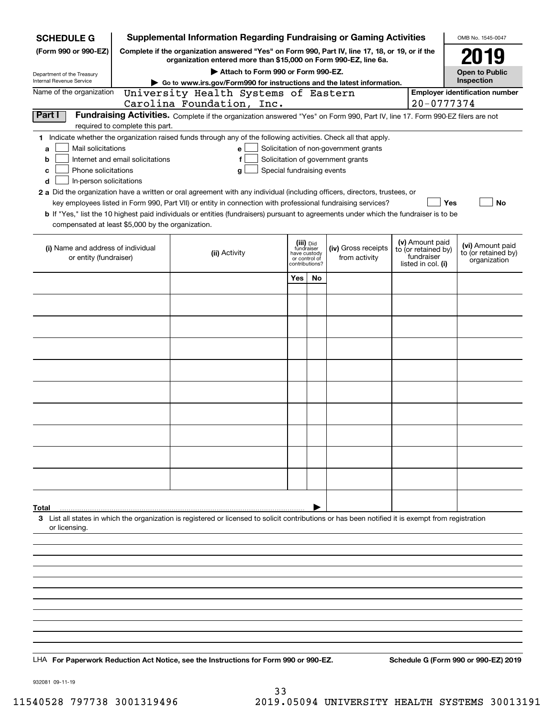| <b>SCHEDULE G</b>                                                                                                                             |                                                                                                                                                                     | <b>Supplemental Information Regarding Fundraising or Gaming Activities</b>                                                                                                                                                                                                                                                                                                                                                                                                                                                               |                                                                            |    |                                                                            |  |                                                                            | OMB No. 1545-0047                                       |  |
|-----------------------------------------------------------------------------------------------------------------------------------------------|---------------------------------------------------------------------------------------------------------------------------------------------------------------------|------------------------------------------------------------------------------------------------------------------------------------------------------------------------------------------------------------------------------------------------------------------------------------------------------------------------------------------------------------------------------------------------------------------------------------------------------------------------------------------------------------------------------------------|----------------------------------------------------------------------------|----|----------------------------------------------------------------------------|--|----------------------------------------------------------------------------|---------------------------------------------------------|--|
| (Form 990 or 990-EZ)                                                                                                                          | Complete if the organization answered "Yes" on Form 990, Part IV, line 17, 18, or 19, or if the<br>organization entered more than \$15,000 on Form 990-EZ, line 6a. |                                                                                                                                                                                                                                                                                                                                                                                                                                                                                                                                          |                                                                            |    |                                                                            |  |                                                                            | 2019                                                    |  |
|                                                                                                                                               | Attach to Form 990 or Form 990-EZ.                                                                                                                                  |                                                                                                                                                                                                                                                                                                                                                                                                                                                                                                                                          |                                                                            |    |                                                                            |  |                                                                            | <b>Open to Public</b>                                   |  |
| Department of the Treasury<br>Internal Revenue Service                                                                                        | Go to www.irs.gov/Form990 for instructions and the latest information.                                                                                              |                                                                                                                                                                                                                                                                                                                                                                                                                                                                                                                                          |                                                                            |    |                                                                            |  |                                                                            | Inspection                                              |  |
| Name of the organization                                                                                                                      |                                                                                                                                                                     | University Health Systems of Eastern                                                                                                                                                                                                                                                                                                                                                                                                                                                                                                     |                                                                            |    |                                                                            |  |                                                                            | <b>Employer identification number</b>                   |  |
| Part I                                                                                                                                        |                                                                                                                                                                     | Carolina Foundation, Inc.                                                                                                                                                                                                                                                                                                                                                                                                                                                                                                                |                                                                            |    |                                                                            |  | $20 - 0777374$                                                             |                                                         |  |
|                                                                                                                                               | required to complete this part.                                                                                                                                     | Fundraising Activities. Complete if the organization answered "Yes" on Form 990, Part IV, line 17. Form 990-EZ filers are not                                                                                                                                                                                                                                                                                                                                                                                                            |                                                                            |    |                                                                            |  |                                                                            |                                                         |  |
| Mail solicitations<br>a<br>b<br>Phone solicitations<br>с<br>In-person solicitations<br>d<br>compensated at least \$5,000 by the organization. | Internet and email solicitations                                                                                                                                    | 1 Indicate whether the organization raised funds through any of the following activities. Check all that apply.<br>Special fundraising events<br>g<br>2 a Did the organization have a written or oral agreement with any individual (including officers, directors, trustees, or<br>key employees listed in Form 990, Part VII) or entity in connection with professional fundraising services?<br>b If "Yes," list the 10 highest paid individuals or entities (fundraisers) pursuant to agreements under which the fundraiser is to be |                                                                            |    | Solicitation of non-government grants<br>Solicitation of government grants |  | Yes                                                                        | <b>No</b>                                               |  |
| (i) Name and address of individual<br>or entity (fundraiser)                                                                                  |                                                                                                                                                                     | (ii) Activity                                                                                                                                                                                                                                                                                                                                                                                                                                                                                                                            | (iii) Did<br>fundraiser<br>have custody<br>or control of<br>contributions? |    | (iv) Gross receipts<br>from activity                                       |  | (v) Amount paid<br>to (or retained by)<br>fundraiser<br>listed in col. (i) | (vi) Amount paid<br>to (or retained by)<br>organization |  |
|                                                                                                                                               |                                                                                                                                                                     |                                                                                                                                                                                                                                                                                                                                                                                                                                                                                                                                          | Yes                                                                        | No |                                                                            |  |                                                                            |                                                         |  |
|                                                                                                                                               |                                                                                                                                                                     |                                                                                                                                                                                                                                                                                                                                                                                                                                                                                                                                          |                                                                            |    |                                                                            |  |                                                                            |                                                         |  |
|                                                                                                                                               |                                                                                                                                                                     |                                                                                                                                                                                                                                                                                                                                                                                                                                                                                                                                          |                                                                            |    |                                                                            |  |                                                                            |                                                         |  |
|                                                                                                                                               |                                                                                                                                                                     |                                                                                                                                                                                                                                                                                                                                                                                                                                                                                                                                          |                                                                            |    |                                                                            |  |                                                                            |                                                         |  |
|                                                                                                                                               |                                                                                                                                                                     |                                                                                                                                                                                                                                                                                                                                                                                                                                                                                                                                          |                                                                            |    |                                                                            |  |                                                                            |                                                         |  |
|                                                                                                                                               |                                                                                                                                                                     |                                                                                                                                                                                                                                                                                                                                                                                                                                                                                                                                          |                                                                            |    |                                                                            |  |                                                                            |                                                         |  |
|                                                                                                                                               |                                                                                                                                                                     |                                                                                                                                                                                                                                                                                                                                                                                                                                                                                                                                          |                                                                            |    |                                                                            |  |                                                                            |                                                         |  |
|                                                                                                                                               |                                                                                                                                                                     |                                                                                                                                                                                                                                                                                                                                                                                                                                                                                                                                          |                                                                            |    |                                                                            |  |                                                                            |                                                         |  |
|                                                                                                                                               |                                                                                                                                                                     |                                                                                                                                                                                                                                                                                                                                                                                                                                                                                                                                          |                                                                            |    |                                                                            |  |                                                                            |                                                         |  |
|                                                                                                                                               |                                                                                                                                                                     |                                                                                                                                                                                                                                                                                                                                                                                                                                                                                                                                          |                                                                            |    |                                                                            |  |                                                                            |                                                         |  |
|                                                                                                                                               |                                                                                                                                                                     |                                                                                                                                                                                                                                                                                                                                                                                                                                                                                                                                          |                                                                            |    |                                                                            |  |                                                                            |                                                         |  |
|                                                                                                                                               |                                                                                                                                                                     |                                                                                                                                                                                                                                                                                                                                                                                                                                                                                                                                          |                                                                            |    |                                                                            |  |                                                                            |                                                         |  |
|                                                                                                                                               |                                                                                                                                                                     |                                                                                                                                                                                                                                                                                                                                                                                                                                                                                                                                          |                                                                            |    |                                                                            |  |                                                                            |                                                         |  |
|                                                                                                                                               |                                                                                                                                                                     |                                                                                                                                                                                                                                                                                                                                                                                                                                                                                                                                          |                                                                            |    |                                                                            |  |                                                                            |                                                         |  |
| Total<br>or licensing.                                                                                                                        |                                                                                                                                                                     | 3 List all states in which the organization is registered or licensed to solicit contributions or has been notified it is exempt from registration                                                                                                                                                                                                                                                                                                                                                                                       |                                                                            |    |                                                                            |  |                                                                            |                                                         |  |
|                                                                                                                                               |                                                                                                                                                                     |                                                                                                                                                                                                                                                                                                                                                                                                                                                                                                                                          |                                                                            |    |                                                                            |  |                                                                            |                                                         |  |
|                                                                                                                                               |                                                                                                                                                                     |                                                                                                                                                                                                                                                                                                                                                                                                                                                                                                                                          |                                                                            |    |                                                                            |  |                                                                            |                                                         |  |
|                                                                                                                                               |                                                                                                                                                                     |                                                                                                                                                                                                                                                                                                                                                                                                                                                                                                                                          |                                                                            |    |                                                                            |  |                                                                            |                                                         |  |
|                                                                                                                                               |                                                                                                                                                                     |                                                                                                                                                                                                                                                                                                                                                                                                                                                                                                                                          |                                                                            |    |                                                                            |  |                                                                            |                                                         |  |
|                                                                                                                                               |                                                                                                                                                                     |                                                                                                                                                                                                                                                                                                                                                                                                                                                                                                                                          |                                                                            |    |                                                                            |  |                                                                            |                                                         |  |
|                                                                                                                                               |                                                                                                                                                                     |                                                                                                                                                                                                                                                                                                                                                                                                                                                                                                                                          |                                                                            |    |                                                                            |  |                                                                            |                                                         |  |
|                                                                                                                                               |                                                                                                                                                                     |                                                                                                                                                                                                                                                                                                                                                                                                                                                                                                                                          |                                                                            |    |                                                                            |  |                                                                            |                                                         |  |
|                                                                                                                                               |                                                                                                                                                                     |                                                                                                                                                                                                                                                                                                                                                                                                                                                                                                                                          |                                                                            |    |                                                                            |  |                                                                            |                                                         |  |
|                                                                                                                                               |                                                                                                                                                                     | LHA For Paperwork Reduction Act Notice, see the Instructions for Form 990 or 990-EZ.                                                                                                                                                                                                                                                                                                                                                                                                                                                     |                                                                            |    |                                                                            |  |                                                                            | Schedule G (Form 990 or 990-EZ) 2019                    |  |

932081 09-11-19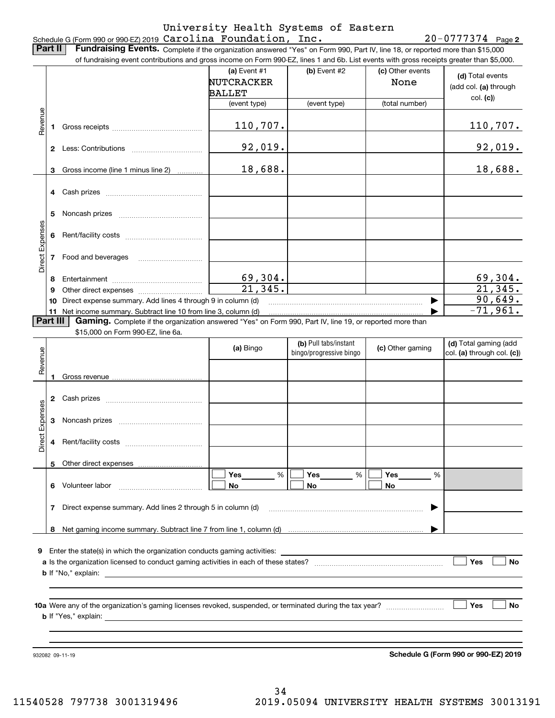#### Schedule G (Form 990 or 990-EZ) 2019 Page Carolina Foundation, Inc. 20-0777374 University Health Systems of Eastern

20-0777374 Page 2

**(d)**  Total events **(a)** Event  $#1$  **(b)** Event  $#2$ **Part II** | Fundraising Events. Complete if the organization answered "Yes" on Form 990, Part IV, line 18, or reported more than \$15,000 of fundraising event contributions and gross income on Form 990-EZ, lines 1 and 6b. List events with gross receipts greater than \$5,000.  $\vert$  (c) Other events

|                 |              |                                                                                                                                               | <b>NUTCRACKER</b><br>BALLET |                                                  | None             | (add col. (a) through                               |
|-----------------|--------------|-----------------------------------------------------------------------------------------------------------------------------------------------|-----------------------------|--------------------------------------------------|------------------|-----------------------------------------------------|
|                 |              |                                                                                                                                               | (event type)                | (event type)                                     | (total number)   | col. (c)                                            |
| Revenue         |              |                                                                                                                                               | 110,707.                    |                                                  |                  | <u>110,707.</u>                                     |
|                 |              |                                                                                                                                               | 92,019.                     |                                                  |                  | <u>92,019.</u>                                      |
|                 |              | 3 Gross income (line 1 minus line 2)                                                                                                          | 18,688.                     |                                                  |                  | 18,688.                                             |
|                 | 4            |                                                                                                                                               |                             |                                                  |                  |                                                     |
|                 | 5            |                                                                                                                                               |                             |                                                  |                  |                                                     |
| Direct Expenses | 6            |                                                                                                                                               |                             |                                                  |                  |                                                     |
|                 | 7            | Food and beverages                                                                                                                            |                             |                                                  |                  |                                                     |
|                 | 8            |                                                                                                                                               | $\frac{69,304.}{21,345.}$   |                                                  |                  |                                                     |
|                 | 9            |                                                                                                                                               |                             |                                                  |                  | $\frac{69,304}{21,345}$                             |
|                 | 10           | Direct expense summary. Add lines 4 through 9 in column (d)                                                                                   |                             |                                                  |                  | 90,649.                                             |
|                 | 11           | Net income summary. Subtract line 10 from line 3, column (d)                                                                                  |                             |                                                  |                  | $-71,961.$                                          |
| Part III        |              | Gaming. Complete if the organization answered "Yes" on Form 990, Part IV, line 19, or reported more than<br>\$15,000 on Form 990-EZ, line 6a. |                             |                                                  |                  |                                                     |
| Revenue         |              |                                                                                                                                               | (a) Bingo                   | (b) Pull tabs/instant<br>bingo/progressive bingo | (c) Other gaming | (d) Total gaming (add<br>col. (a) through col. (c)) |
|                 |              |                                                                                                                                               |                             |                                                  |                  |                                                     |
|                 | $\mathbf{2}$ |                                                                                                                                               |                             |                                                  |                  |                                                     |
|                 |              |                                                                                                                                               |                             |                                                  |                  |                                                     |
|                 | 3            |                                                                                                                                               |                             |                                                  |                  |                                                     |
| Direct Expenses | 4            |                                                                                                                                               |                             |                                                  |                  |                                                     |
|                 |              |                                                                                                                                               |                             |                                                  |                  |                                                     |

**9**Enter the state(s) in which the organization conducts gaming activities:

**7**Direct expense summary. Add lines 2 through 5 in column (d)

**8**Net gaming income summary. Subtract line 7 from line 1, column (d)

**6** Volunteer labor  $\ldots$   $\ldots$   $\ldots$   $\ldots$   $\ldots$   $\ldots$   $\ldots$   $\ldots$ 

Other direct expenses

| a Is the organization licensed to conduct gaming activities in each of these states? |  |  |
|--------------------------------------------------------------------------------------|--|--|
| exnlain<br><b>b</b> If "No,"                                                         |  |  |

%

 $\boxed{\Box}$  Yes \_\_\_\_\_\_\_ %  $\boxed{\Box}$  Yes \_\_\_\_\_\_\_ %  $\boxed{\Box}$ 

**10a** Were any of the organization's gaming licenses revoked, suspended, or terminated during the tax year? \_\_\_\_\_\_\_\_\_\_\_\_\_\_\_\_\_ **b** If "Yes," explain: **Yes**

**Yes**

 $\mathcal{L}^{\text{max}}$ 

 $\mathcal{L}^{\text{max}}$ 

**No**

932082 09-11-19

**5**

**Schedule G (Form 990 or 990-EZ) 2019**

…… ▶

**No**

**No**

**Yes\_\_\_\_\_\_\_\_ % |**  $\Box$  **Yes** 

~~~~~~~~~~~~~~~~~~~~~~~~ |

% %

**No No**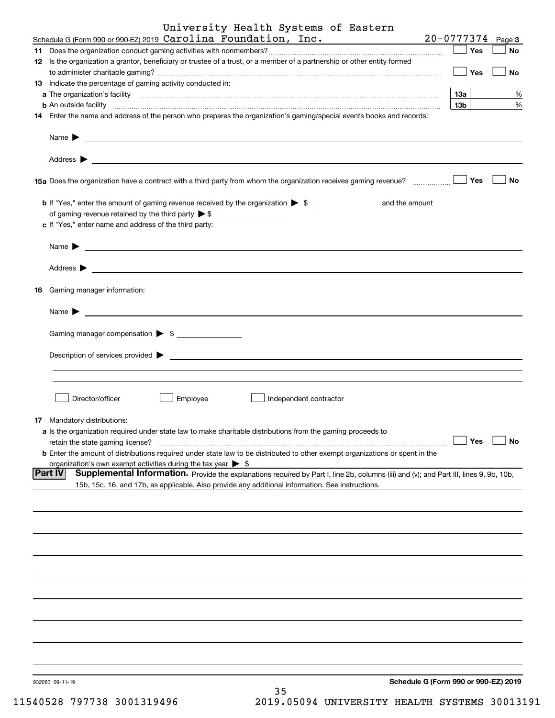| University Health Systems of Eastern<br>Schedule G (Form 990 or 990-EZ) 2019 Carolina Foundation, Inc. $20-0777374$ Page 3                                                                                                                |                 |           |
|-------------------------------------------------------------------------------------------------------------------------------------------------------------------------------------------------------------------------------------------|-----------------|-----------|
|                                                                                                                                                                                                                                           | Yes             |           |
| 12 Is the organization a grantor, beneficiary or trustee of a trust, or a member of a partnership or other entity formed                                                                                                                  |                 | <b>No</b> |
| 13 Indicate the percentage of gaming activity conducted in:                                                                                                                                                                               | Yes             | No        |
| a The organization's facility <b>construction of the construction of the construction</b> of the organization's facility                                                                                                                  | 13а             | %         |
| <b>b</b> An outside facility <b>contract and the contract of the contract of the contract of the contract of the contract of the contract of the contract of the contract of the contract of the contract of the contract of the cont</b> | 13 <sub>b</sub> | %         |
| 14 Enter the name and address of the person who prepares the organization's gaming/special events books and records:                                                                                                                      |                 |           |
| Name $\blacktriangleright$<br><u> 1989 - Johann Barn, fransk politik (d. 1989)</u><br>Address $\blacktriangleright$                                                                                                                       |                 |           |
| <u> 1989 - Andrea Stadt Britain, amerikansk politik (* 1958)</u><br>15a Does the organization have a contract with a third party from whom the organization receives gaming revenue?                                                      | Yes             | No        |
|                                                                                                                                                                                                                                           |                 |           |
|                                                                                                                                                                                                                                           |                 |           |
| c If "Yes," enter name and address of the third party:                                                                                                                                                                                    |                 |           |
| <u> 1989 - Johann Stein, fransk politik (d. 1989)</u><br>Name $\blacktriangleright$                                                                                                                                                       |                 |           |
| Address $\blacktriangleright$                                                                                                                                                                                                             |                 |           |
| 16 Gaming manager information:                                                                                                                                                                                                            |                 |           |
| Name $\blacktriangleright$<br><u> 1989 - Andrea State Barbara, amerikan personal di sebagai personal di sebagai personal di sebagai personal d</u>                                                                                        |                 |           |
| Gaming manager compensation > \$                                                                                                                                                                                                          |                 |           |
| Description of services provided $\blacktriangleright$<br><u> 1980 - Andrea Andrew Maria (h. 1980).</u>                                                                                                                                   |                 |           |
|                                                                                                                                                                                                                                           |                 |           |
| Director/officer<br>Employee<br>Independent contractor                                                                                                                                                                                    |                 |           |
| 17 Mandatory distributions:                                                                                                                                                                                                               |                 |           |
| a Is the organization required under state law to make charitable distributions from the gaming proceeds to<br>retain the state gaming license?                                                                                           | Yes             | <b>No</b> |
| <b>b</b> Enter the amount of distributions required under state law to be distributed to other exempt organizations or spent in the                                                                                                       |                 |           |
| organization's own exempt activities during the tax year $\triangleright$ \$<br><b>Part IV</b><br>Supplemental Information. Provide the explanations required by Part I, line 2b, columns (iii) and (v); and Part III, lines 9, 9b, 10b,  |                 |           |
| 15b, 15c, 16, and 17b, as applicable. Also provide any additional information. See instructions.                                                                                                                                          |                 |           |
|                                                                                                                                                                                                                                           |                 |           |
|                                                                                                                                                                                                                                           |                 |           |
|                                                                                                                                                                                                                                           |                 |           |
|                                                                                                                                                                                                                                           |                 |           |
|                                                                                                                                                                                                                                           |                 |           |
|                                                                                                                                                                                                                                           |                 |           |
|                                                                                                                                                                                                                                           |                 |           |
|                                                                                                                                                                                                                                           |                 |           |
| Schedule G (Form 990 or 990-EZ) 2019<br>932083 09-11-19                                                                                                                                                                                   |                 |           |
| 35                                                                                                                                                                                                                                        |                 |           |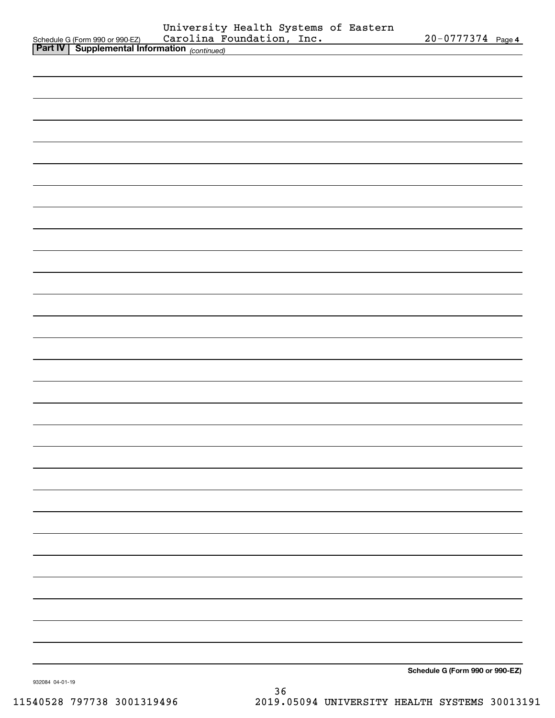| Schedule G (Form 990 or 990-EZ) Carolina Foundation, Inc.<br>Part IV Supplemental Information (continued) | University Health Systems of Eastern |  | 20-0777374 Page 4               |
|-----------------------------------------------------------------------------------------------------------|--------------------------------------|--|---------------------------------|
|                                                                                                           |                                      |  |                                 |
|                                                                                                           |                                      |  |                                 |
|                                                                                                           |                                      |  |                                 |
|                                                                                                           |                                      |  |                                 |
|                                                                                                           |                                      |  |                                 |
|                                                                                                           |                                      |  |                                 |
|                                                                                                           |                                      |  |                                 |
|                                                                                                           |                                      |  |                                 |
|                                                                                                           |                                      |  |                                 |
|                                                                                                           |                                      |  |                                 |
|                                                                                                           |                                      |  |                                 |
|                                                                                                           |                                      |  |                                 |
|                                                                                                           |                                      |  |                                 |
|                                                                                                           |                                      |  |                                 |
|                                                                                                           |                                      |  |                                 |
|                                                                                                           |                                      |  |                                 |
|                                                                                                           |                                      |  |                                 |
|                                                                                                           |                                      |  |                                 |
|                                                                                                           |                                      |  |                                 |
|                                                                                                           |                                      |  |                                 |
|                                                                                                           |                                      |  |                                 |
|                                                                                                           |                                      |  |                                 |
|                                                                                                           |                                      |  |                                 |
|                                                                                                           |                                      |  |                                 |
|                                                                                                           |                                      |  |                                 |
|                                                                                                           |                                      |  |                                 |
|                                                                                                           |                                      |  |                                 |
|                                                                                                           |                                      |  |                                 |
|                                                                                                           |                                      |  |                                 |
|                                                                                                           |                                      |  |                                 |
|                                                                                                           |                                      |  |                                 |
|                                                                                                           |                                      |  |                                 |
|                                                                                                           |                                      |  |                                 |
|                                                                                                           |                                      |  |                                 |
|                                                                                                           |                                      |  | Schedule G (Form 990 or 990-EZ) |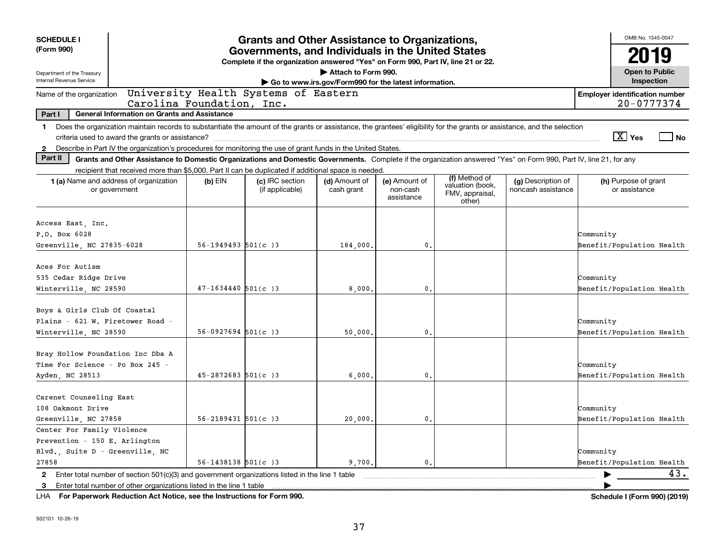| <b>SCHEDULE I</b>                                                                         |                                                                                                                                                                          |                          | <b>Grants and Other Assistance to Organizations,</b> |                                                       |                                         |                                                                |                                          | OMB No. 1545-0047                                   |      |
|-------------------------------------------------------------------------------------------|--------------------------------------------------------------------------------------------------------------------------------------------------------------------------|--------------------------|------------------------------------------------------|-------------------------------------------------------|-----------------------------------------|----------------------------------------------------------------|------------------------------------------|-----------------------------------------------------|------|
| (Form 990)                                                                                | Governments, and Individuals in the United States<br>Complete if the organization answered "Yes" on Form 990, Part IV, line 21 or 22.                                    |                          |                                                      |                                                       |                                         |                                                                |                                          | 2019                                                |      |
| Department of the Treasury                                                                |                                                                                                                                                                          |                          |                                                      | Attach to Form 990.                                   |                                         |                                                                |                                          | <b>Open to Public</b>                               |      |
| Internal Revenue Service                                                                  |                                                                                                                                                                          |                          |                                                      | Go to www.irs.gov/Form990 for the latest information. |                                         |                                                                |                                          | Inspection                                          |      |
| Name of the organization                                                                  | Carolina Foundation, Inc.                                                                                                                                                |                          | University Health Systems of Eastern                 |                                                       |                                         |                                                                |                                          | <b>Employer identification number</b><br>20-0777374 |      |
| Part I                                                                                    | <b>General Information on Grants and Assistance</b>                                                                                                                      |                          |                                                      |                                                       |                                         |                                                                |                                          |                                                     |      |
| $\mathbf 1$                                                                               | Does the organization maintain records to substantiate the amount of the grants or assistance, the grantees' eligibility for the grants or assistance, and the selection |                          |                                                      |                                                       |                                         |                                                                |                                          | $\boxed{\text{X}}$ Yes                              | l No |
| $\mathbf{2}$<br>Part II                                                                   | Describe in Part IV the organization's procedures for monitoring the use of grant funds in the United States.                                                            |                          |                                                      |                                                       |                                         |                                                                |                                          |                                                     |      |
|                                                                                           | Grants and Other Assistance to Domestic Organizations and Domestic Governments. Complete if the organization answered "Yes" on Form 990, Part IV, line 21, for any       |                          |                                                      |                                                       |                                         |                                                                |                                          |                                                     |      |
|                                                                                           | recipient that received more than \$5,000. Part II can be duplicated if additional space is needed.<br><b>1 (a)</b> Name and address of organization<br>or government    | $(b)$ EIN                | (c) IRC section<br>(if applicable)                   | (d) Amount of<br>cash grant                           | (e) Amount of<br>non-cash<br>assistance | (f) Method of<br>valuation (book,<br>FMV, appraisal,<br>other) | (g) Description of<br>noncash assistance | (h) Purpose of grant<br>or assistance               |      |
| Access East, Inc.                                                                         |                                                                                                                                                                          |                          |                                                      |                                                       |                                         |                                                                |                                          |                                                     |      |
| P.O. Box 6028                                                                             |                                                                                                                                                                          |                          |                                                      |                                                       |                                         |                                                                |                                          | Community                                           |      |
| Greenville, NC 27835-6028                                                                 |                                                                                                                                                                          | $56 - 1949493$ $501(c)3$ |                                                      | 184,000.                                              | 0.                                      |                                                                |                                          | Benefit/Population Health                           |      |
| Aces For Autism<br>535 Cedar Ridge Drive<br>Winterville, NC 28590                         |                                                                                                                                                                          | $47 - 1634440$ 501(c) 3  |                                                      | 8,000                                                 | 0.                                      |                                                                |                                          | Community<br>Benefit/Population Health              |      |
| Boys & Girls Club Of Coastal<br>Plains - 621 W. Firetower Road -<br>Winterville, NC 28590 |                                                                                                                                                                          | $56-0927694$ $501(c)3$   |                                                      | 50,000.                                               | 0.                                      |                                                                |                                          | Community<br>Benefit/Population Health              |      |
| Bray Hollow Foundation Inc Dba A<br>Time For Science - Po Box 245 -<br>Ayden, NC 28513    |                                                                                                                                                                          | $45 - 2872683$ 501(c) 3  |                                                      | 6,000,                                                | 0.                                      |                                                                |                                          | Community<br>Benefit/Population Health              |      |
| Carenet Counseling East<br>108 Oakmont Drive<br>Greenville, NC 27858                      |                                                                                                                                                                          | $56 - 2189431$ $501(c)3$ |                                                      | 20,000.                                               | 0.                                      |                                                                |                                          | Community<br>Benefit/Population Health              |      |
| Center For Family Violence                                                                |                                                                                                                                                                          |                          |                                                      |                                                       |                                         |                                                                |                                          |                                                     |      |
| Prevention - 150 E. Arlington                                                             |                                                                                                                                                                          |                          |                                                      |                                                       |                                         |                                                                |                                          |                                                     |      |
| Blvd., Suite D - Greenville, NC                                                           |                                                                                                                                                                          |                          |                                                      |                                                       |                                         |                                                                |                                          | Community                                           |      |
| 27858                                                                                     |                                                                                                                                                                          | $56 - 1438138$ $501(c)3$ |                                                      | 9,700.                                                | $\mathbf{0}$ .                          |                                                                |                                          | Benefit/Population Health                           |      |
|                                                                                           | 2 Enter total number of section 501(c)(3) and government organizations listed in the line 1 table                                                                        |                          |                                                      |                                                       |                                         |                                                                |                                          |                                                     | 43.  |
|                                                                                           | 3 Enter total number of other organizations listed in the line 1 table                                                                                                   |                          |                                                      |                                                       |                                         |                                                                |                                          |                                                     |      |

**For Paperwork Reduction Act Notice, see the Instructions for Form 990. Schedule I (Form 990) (2019)** LHA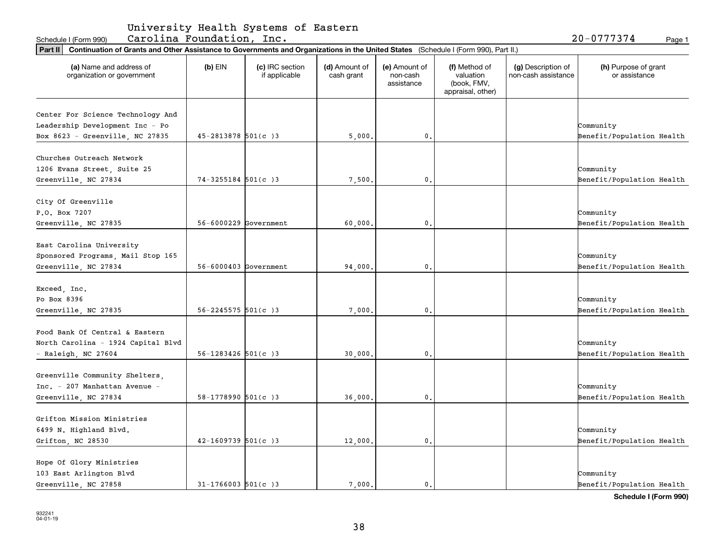| University Health Systems of Eastern |  |  |  |  |
|--------------------------------------|--|--|--|--|
|--------------------------------------|--|--|--|--|

Schedule I(Form 990) Carolina Foundation, Inc. 20-0777374 <sub>Page 1</sub>

|                                                       | Part II   Continuation of Grants and Other Assistance to Governments and Organizations in the United States (Schedule I (Form 990), Part II.) |                                  |                             |                                         |                                                                |                                           |                                       |  |
|-------------------------------------------------------|-----------------------------------------------------------------------------------------------------------------------------------------------|----------------------------------|-----------------------------|-----------------------------------------|----------------------------------------------------------------|-------------------------------------------|---------------------------------------|--|
| (a) Name and address of<br>organization or government | $(b)$ EIN                                                                                                                                     | (c) IRC section<br>if applicable | (d) Amount of<br>cash grant | (e) Amount of<br>non-cash<br>assistance | (f) Method of<br>valuation<br>(book, FMV,<br>appraisal, other) | (g) Description of<br>non-cash assistance | (h) Purpose of grant<br>or assistance |  |
|                                                       |                                                                                                                                               |                                  |                             |                                         |                                                                |                                           |                                       |  |
| Center For Science Technology And                     |                                                                                                                                               |                                  |                             |                                         |                                                                |                                           |                                       |  |
| Leadership Development Inc - Po                       |                                                                                                                                               |                                  |                             |                                         |                                                                |                                           | Community                             |  |
| Box 8623 - Greenville, NC 27835                       | $45 - 2813878$ 501(c) 3                                                                                                                       |                                  | 5,000.                      | 0.                                      |                                                                |                                           | Benefit/Population Health             |  |
| Churches Outreach Network                             |                                                                                                                                               |                                  |                             |                                         |                                                                |                                           |                                       |  |
|                                                       |                                                                                                                                               |                                  |                             |                                         |                                                                |                                           | Community                             |  |
| 1206 Evans Street, Suite 25                           | $74 - 3255184$ 501(c) 3                                                                                                                       |                                  |                             |                                         |                                                                |                                           |                                       |  |
| Greenville, NC 27834                                  |                                                                                                                                               |                                  | 7,500.                      | $\mathbf 0$ .                           |                                                                |                                           | Benefit/Population Health             |  |
| City Of Greenville                                    |                                                                                                                                               |                                  |                             |                                         |                                                                |                                           |                                       |  |
| P.O. Box 7207                                         |                                                                                                                                               |                                  |                             |                                         |                                                                |                                           | Community                             |  |
| Greenville, NC 27835                                  | 56-6000229 Government                                                                                                                         |                                  | 60,000.                     | 0.                                      |                                                                |                                           | Benefit/Population Health             |  |
|                                                       |                                                                                                                                               |                                  |                             |                                         |                                                                |                                           |                                       |  |
| East Carolina University                              |                                                                                                                                               |                                  |                             |                                         |                                                                |                                           |                                       |  |
| Sponsored Programs, Mail Stop 165                     |                                                                                                                                               |                                  |                             |                                         |                                                                |                                           | Community                             |  |
|                                                       | $56 - 6000403$ Government                                                                                                                     |                                  |                             | $\mathbf 0$ .                           |                                                                |                                           |                                       |  |
| Greenville, NC 27834                                  |                                                                                                                                               |                                  | 94,000.                     |                                         |                                                                |                                           | Benefit/Population Health             |  |
| Exceed, Inc.                                          |                                                                                                                                               |                                  |                             |                                         |                                                                |                                           |                                       |  |
| Po Box 8396                                           |                                                                                                                                               |                                  |                             |                                         |                                                                |                                           | Community                             |  |
| Greenville, NC 27835                                  | $56 - 2245575$ 501(c) 3                                                                                                                       |                                  | 7,000                       | 0.                                      |                                                                |                                           | Benefit/Population Health             |  |
|                                                       |                                                                                                                                               |                                  |                             |                                         |                                                                |                                           |                                       |  |
| Food Bank Of Central & Eastern                        |                                                                                                                                               |                                  |                             |                                         |                                                                |                                           |                                       |  |
| North Carolina - 1924 Capital Blvd                    |                                                                                                                                               |                                  |                             |                                         |                                                                |                                           | Community                             |  |
| - Raleigh, NC 27604                                   | $56 - 1283426$ $501(c)3$                                                                                                                      |                                  | 30,000.                     | 0.                                      |                                                                |                                           | Benefit/Population Health             |  |
|                                                       |                                                                                                                                               |                                  |                             |                                         |                                                                |                                           |                                       |  |
| Greenville Community Shelters,                        |                                                                                                                                               |                                  |                             |                                         |                                                                |                                           |                                       |  |
| Inc. - 207 Manhattan Avenue -                         |                                                                                                                                               |                                  |                             |                                         |                                                                |                                           | Community                             |  |
| Greenville, NC 27834                                  | $58-1778990$ $501(c)3$                                                                                                                        |                                  | 36,000.                     | 0.                                      |                                                                |                                           | Benefit/Population Health             |  |
|                                                       |                                                                                                                                               |                                  |                             |                                         |                                                                |                                           |                                       |  |
| Grifton Mission Ministries                            |                                                                                                                                               |                                  |                             |                                         |                                                                |                                           |                                       |  |
| 6499 N. Highland Blvd.                                |                                                                                                                                               |                                  |                             |                                         |                                                                |                                           | Community                             |  |
|                                                       | $42 - 1609739$ 501(c)3                                                                                                                        |                                  | 12,000.                     | $\mathbf 0$ .                           |                                                                |                                           | Benefit/Population Health             |  |
| Grifton, NC 28530                                     |                                                                                                                                               |                                  |                             |                                         |                                                                |                                           |                                       |  |
| Hope Of Glory Ministries                              |                                                                                                                                               |                                  |                             |                                         |                                                                |                                           |                                       |  |
| 103 East Arlington Blvd                               |                                                                                                                                               |                                  |                             |                                         |                                                                |                                           | Community                             |  |
| Greenville, NC 27858                                  | $31 - 1766003$ 501(c)3                                                                                                                        |                                  | 7,000.                      | $\mathbf{0}$ .                          |                                                                |                                           | Benefit/Population Health             |  |
|                                                       |                                                                                                                                               |                                  |                             |                                         |                                                                |                                           |                                       |  |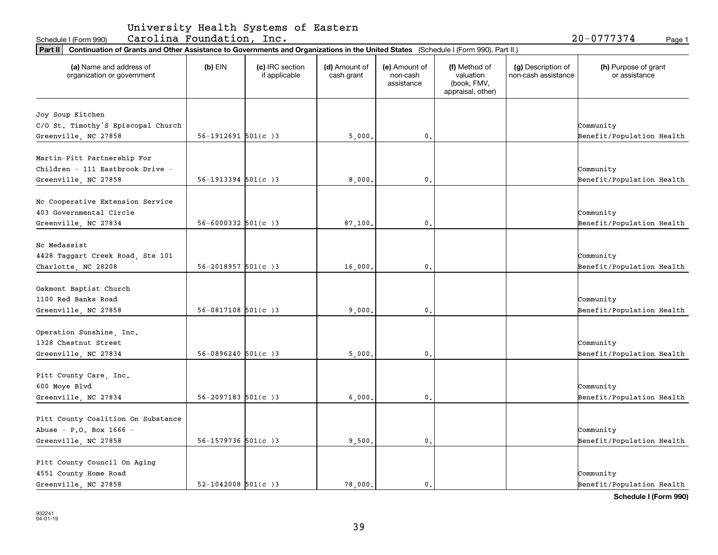| University Health Systems of Eastern |  |  |  |  |
|--------------------------------------|--|--|--|--|
|--------------------------------------|--|--|--|--|

Schedule I (Form 990) Page 1 Carolina Foundation, Inc. 20-0777374

| Part II   Continuation of Grants and Other Assistance to Governments and Organizations in the United States (Schedule I (Form 990), Part II.) |                           |                                  |                             |                                         |                                                                |                                           |                                       |
|-----------------------------------------------------------------------------------------------------------------------------------------------|---------------------------|----------------------------------|-----------------------------|-----------------------------------------|----------------------------------------------------------------|-------------------------------------------|---------------------------------------|
| (a) Name and address of<br>organization or government                                                                                         | $(b)$ EIN                 | (c) IRC section<br>if applicable | (d) Amount of<br>cash grant | (e) Amount of<br>non-cash<br>assistance | (f) Method of<br>valuation<br>(book, FMV,<br>appraisal, other) | (g) Description of<br>non-cash assistance | (h) Purpose of grant<br>or assistance |
|                                                                                                                                               |                           |                                  |                             |                                         |                                                                |                                           |                                       |
| Joy Soup Kitchen<br>C/O St. Timothy'S Episcopal Church                                                                                        |                           |                                  |                             |                                         |                                                                |                                           | Community                             |
| Greenville, NC 27858                                                                                                                          | $56-1912691$ $501(c)3$    |                                  | 5,000                       | 0.                                      |                                                                |                                           | Benefit/Population Health             |
|                                                                                                                                               |                           |                                  |                             |                                         |                                                                |                                           |                                       |
| Martin-Pitt Partnership For                                                                                                                   |                           |                                  |                             |                                         |                                                                |                                           |                                       |
| Children - 111 Eastbrook Drive -                                                                                                              |                           |                                  |                             |                                         |                                                                |                                           | Community                             |
| Greenville, NC 27858                                                                                                                          | $56-1913394$ $501(c)3$    |                                  | 8,000                       | 0.                                      |                                                                |                                           | Benefit/Population Health             |
|                                                                                                                                               |                           |                                  |                             |                                         |                                                                |                                           |                                       |
| Nc Cooperative Extension Service                                                                                                              |                           |                                  |                             |                                         |                                                                |                                           |                                       |
| 403 Governmental Circle                                                                                                                       |                           |                                  |                             |                                         |                                                                |                                           | Community                             |
| Greenville, NC 27834                                                                                                                          | $56 - 6000332$ $501(c)3$  |                                  | 87,100.                     | 0.                                      |                                                                |                                           | Benefit/Population Health             |
|                                                                                                                                               |                           |                                  |                             |                                         |                                                                |                                           |                                       |
| Nc Medassist                                                                                                                                  |                           |                                  |                             |                                         |                                                                |                                           |                                       |
| 4428 Taggart Creek Road, Ste 101                                                                                                              |                           |                                  |                             |                                         |                                                                |                                           | Community                             |
| Charlotte, NC 28208                                                                                                                           | $56 - 2018957$ $501(c)$ 3 |                                  | 16,000                      | 0.                                      |                                                                |                                           | Benefit/Population Health             |
|                                                                                                                                               |                           |                                  |                             |                                         |                                                                |                                           |                                       |
| Oakmont Baptist Church                                                                                                                        |                           |                                  |                             |                                         |                                                                |                                           |                                       |
| 1100 Red Banks Road                                                                                                                           |                           |                                  |                             |                                         |                                                                |                                           | Community                             |
| Greenville, NC 27858                                                                                                                          | $56-0817108$ $501(c)3$    |                                  | 9,000                       | 0.                                      |                                                                |                                           | Benefit/Population Health             |
|                                                                                                                                               |                           |                                  |                             |                                         |                                                                |                                           |                                       |
| Operation Sunshine, Inc.<br>1328 Chestnut Street                                                                                              |                           |                                  |                             |                                         |                                                                |                                           |                                       |
|                                                                                                                                               | $56 - 0896240$ $501(c)3$  |                                  | 5,000                       | 0.                                      |                                                                |                                           | Community                             |
| Greenville, NC 27834                                                                                                                          |                           |                                  |                             |                                         |                                                                |                                           | Benefit/Population Health             |
| Pitt County Care, Inc.                                                                                                                        |                           |                                  |                             |                                         |                                                                |                                           |                                       |
| 600 Moye Blvd                                                                                                                                 |                           |                                  |                             |                                         |                                                                |                                           | Community                             |
| Greenville, NC 27834                                                                                                                          | $56 - 2097183$ $501(c)3$  |                                  | 6,000                       | 0.                                      |                                                                |                                           | Benefit/Population Health             |
|                                                                                                                                               |                           |                                  |                             |                                         |                                                                |                                           |                                       |
| Pitt County Coalition On Substance                                                                                                            |                           |                                  |                             |                                         |                                                                |                                           |                                       |
| Abuse - P.O. Box 1666 -                                                                                                                       |                           |                                  |                             |                                         |                                                                |                                           | Community                             |
| Greenville, NC 27858                                                                                                                          | $56 - 1579736$ $501(c)3$  |                                  | 9,500.                      | 0.                                      |                                                                |                                           | Benefit/Population Health             |
|                                                                                                                                               |                           |                                  |                             |                                         |                                                                |                                           |                                       |
| Pitt County Council On Aging                                                                                                                  |                           |                                  |                             |                                         |                                                                |                                           |                                       |
| 4551 County Home Road                                                                                                                         |                           |                                  |                             |                                         |                                                                |                                           | Community                             |
| Greenville, NC 27858                                                                                                                          | $52 - 1042008$ 501(c) 3   |                                  | 78,000.                     | 0.                                      |                                                                |                                           | Benefit/Population Health             |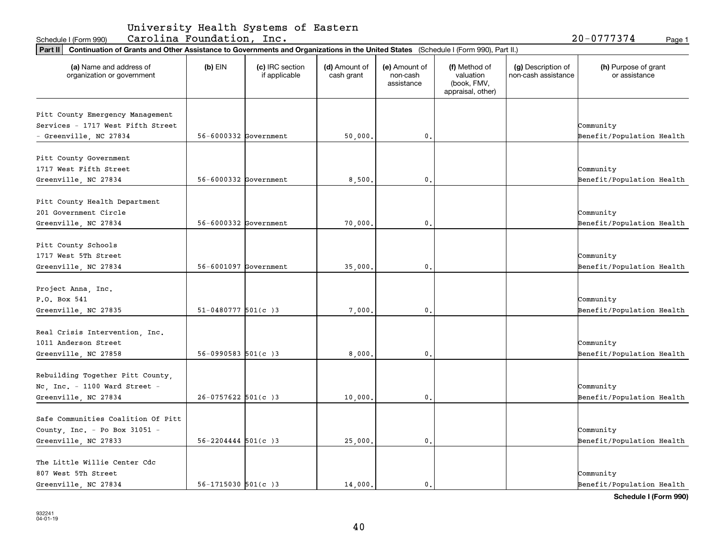| University Health Systems of Eastern |  |  |  |  |
|--------------------------------------|--|--|--|--|
|--------------------------------------|--|--|--|--|

Schedule I(Form 990) Carolina Foundation, Inc. 20-0777374 <sub>Page 1</sub>

| Part II   Continuation of Grants and Other Assistance to Governments and Organizations in the United States (Schedule I (Form 990), Part II.) |                           |                                  |                             |                                         |                                                                |                                           |                                       |
|-----------------------------------------------------------------------------------------------------------------------------------------------|---------------------------|----------------------------------|-----------------------------|-----------------------------------------|----------------------------------------------------------------|-------------------------------------------|---------------------------------------|
| (a) Name and address of<br>organization or government                                                                                         | $(b)$ EIN                 | (c) IRC section<br>if applicable | (d) Amount of<br>cash grant | (e) Amount of<br>non-cash<br>assistance | (f) Method of<br>valuation<br>(book, FMV,<br>appraisal, other) | (g) Description of<br>non-cash assistance | (h) Purpose of grant<br>or assistance |
|                                                                                                                                               |                           |                                  |                             |                                         |                                                                |                                           |                                       |
| Pitt County Emergency Management<br>Services - 1717 West Fifth Street                                                                         |                           |                                  |                             |                                         |                                                                |                                           |                                       |
|                                                                                                                                               |                           |                                  |                             |                                         |                                                                |                                           | Community                             |
| - Greenville, NC 27834                                                                                                                        | $56 - 6000332$ Government |                                  | 50,000.                     | 0.                                      |                                                                |                                           | Benefit/Population Health             |
| Pitt County Government                                                                                                                        |                           |                                  |                             |                                         |                                                                |                                           |                                       |
| 1717 West Fifth Street                                                                                                                        |                           |                                  |                             |                                         |                                                                |                                           | Community                             |
|                                                                                                                                               | $56 - 6000332$ Government |                                  |                             | 0.                                      |                                                                |                                           |                                       |
| Greenville, NC 27834                                                                                                                          |                           |                                  | 8,500,                      |                                         |                                                                |                                           | Benefit/Population Health             |
| Pitt County Health Department                                                                                                                 |                           |                                  |                             |                                         |                                                                |                                           |                                       |
| 201 Government Circle                                                                                                                         |                           |                                  |                             |                                         |                                                                |                                           | Community                             |
|                                                                                                                                               | 56-6000332 Government     |                                  |                             | 0.                                      |                                                                |                                           |                                       |
| Greenville, NC 27834                                                                                                                          |                           |                                  | 70,000.                     |                                         |                                                                |                                           | Benefit/Population Health             |
| Pitt County Schools                                                                                                                           |                           |                                  |                             |                                         |                                                                |                                           |                                       |
| 1717 West 5Th Street                                                                                                                          |                           |                                  |                             |                                         |                                                                |                                           | Community                             |
|                                                                                                                                               |                           |                                  |                             |                                         |                                                                |                                           |                                       |
| Greenville, NC 27834                                                                                                                          | 56-6001097 Government     |                                  | 35,000.                     | 0.                                      |                                                                |                                           | Benefit/Population Health             |
| Project Anna, Inc.                                                                                                                            |                           |                                  |                             |                                         |                                                                |                                           |                                       |
| P.O. Box 541                                                                                                                                  |                           |                                  |                             |                                         |                                                                |                                           | Community                             |
|                                                                                                                                               |                           |                                  |                             |                                         |                                                                |                                           |                                       |
| Greenville, NC 27835                                                                                                                          | $51-0480777$ 501(c) 3     |                                  | 7,000.                      | 0.                                      |                                                                |                                           | Benefit/Population Health             |
| Real Crisis Intervention, Inc.                                                                                                                |                           |                                  |                             |                                         |                                                                |                                           |                                       |
| 1011 Anderson Street                                                                                                                          |                           |                                  |                             |                                         |                                                                |                                           | Community                             |
|                                                                                                                                               | $56-0990583$ $501(c)3$    |                                  | 8,000                       | 0.                                      |                                                                |                                           | Benefit/Population Health             |
| Greenville, NC 27858                                                                                                                          |                           |                                  |                             |                                         |                                                                |                                           |                                       |
| Rebuilding Together Pitt County,                                                                                                              |                           |                                  |                             |                                         |                                                                |                                           |                                       |
| Nc, Inc. - 1100 Ward Street -                                                                                                                 |                           |                                  |                             |                                         |                                                                |                                           | Community                             |
|                                                                                                                                               |                           |                                  |                             |                                         |                                                                |                                           |                                       |
| Greenville, NC 27834                                                                                                                          | $26-0757622$ 501(c)3      |                                  | 10,000.                     | 0.                                      |                                                                |                                           | Benefit/Population Health             |
| Safe Communities Coalition Of Pitt                                                                                                            |                           |                                  |                             |                                         |                                                                |                                           |                                       |
|                                                                                                                                               |                           |                                  |                             |                                         |                                                                |                                           | Community                             |
| County, Inc. - Po Box 31051 -                                                                                                                 |                           |                                  |                             |                                         |                                                                |                                           |                                       |
| Greenville, NC 27833                                                                                                                          | $56 - 2204444$ $501(c)3$  |                                  | 25,000.                     | 0.                                      |                                                                |                                           | Benefit/Population Health             |
| The Little Willie Center Cdc                                                                                                                  |                           |                                  |                             |                                         |                                                                |                                           |                                       |
| 807 West 5Th Street                                                                                                                           |                           |                                  |                             |                                         |                                                                |                                           | Community                             |
|                                                                                                                                               |                           |                                  |                             |                                         |                                                                |                                           |                                       |
| Greenville, NC 27834                                                                                                                          | $56 - 1715030$ $501(c)3$  |                                  | 14,000.                     | $\mathbf{0}$ .                          |                                                                |                                           | Benefit/Population Health             |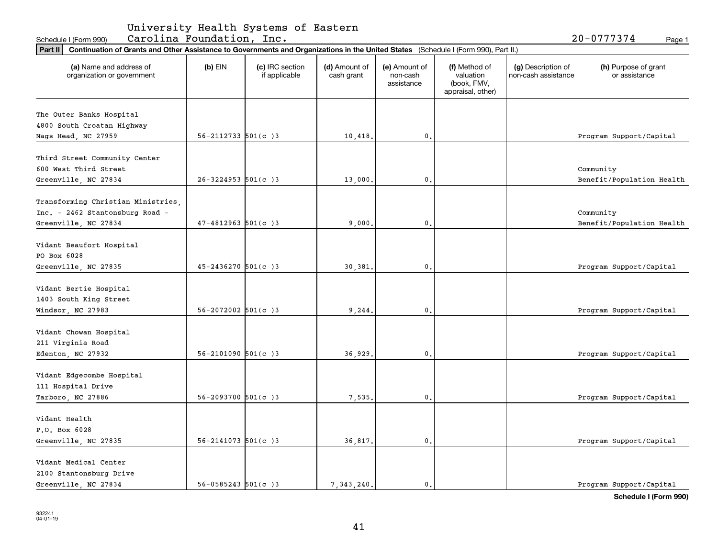| University Health Systems of Eastern |  |  |  |  |
|--------------------------------------|--|--|--|--|
|--------------------------------------|--|--|--|--|

Schedule I(Form 990) Carolina Foundation, Inc. 20-0777374 <sub>Page 1</sub>

| Part II   Continuation of Grants and Other Assistance to Governments and Organizations in the United States (Schedule I (Form 990), Part II.) |                           |                                  |                             |                                         |                                                                |                                           |                                       |
|-----------------------------------------------------------------------------------------------------------------------------------------------|---------------------------|----------------------------------|-----------------------------|-----------------------------------------|----------------------------------------------------------------|-------------------------------------------|---------------------------------------|
| (a) Name and address of<br>organization or government                                                                                         | $(b)$ EIN                 | (c) IRC section<br>if applicable | (d) Amount of<br>cash grant | (e) Amount of<br>non-cash<br>assistance | (f) Method of<br>valuation<br>(book, FMV,<br>appraisal, other) | (g) Description of<br>non-cash assistance | (h) Purpose of grant<br>or assistance |
| The Outer Banks Hospital                                                                                                                      |                           |                                  |                             |                                         |                                                                |                                           |                                       |
| 4800 South Croatan Highway                                                                                                                    |                           |                                  |                             |                                         |                                                                |                                           |                                       |
| Nags Head, NC 27959                                                                                                                           | $56 - 2112733$ $501(c)3$  |                                  | 10,418.                     | 0.                                      |                                                                |                                           | Program Support/Capital               |
|                                                                                                                                               |                           |                                  |                             |                                         |                                                                |                                           |                                       |
| Third Street Community Center                                                                                                                 |                           |                                  |                             |                                         |                                                                |                                           |                                       |
| 600 West Third Street                                                                                                                         |                           |                                  |                             |                                         |                                                                |                                           | Community                             |
| Greenville, NC 27834                                                                                                                          | $26 - 3224953$ 501(c) 3   |                                  | 13,000.                     | 0.                                      |                                                                |                                           | Benefit/Population Health             |
| Transforming Christian Ministries,                                                                                                            |                           |                                  |                             |                                         |                                                                |                                           |                                       |
| Inc. - 2462 Stantonsburg Road -                                                                                                               |                           |                                  |                             |                                         |                                                                |                                           | Community                             |
| Greenville, NC 27834                                                                                                                          | $47 - 4812963$ 501(c) 3   |                                  | 9,000,                      | 0.                                      |                                                                |                                           | Benefit/Population Health             |
|                                                                                                                                               |                           |                                  |                             |                                         |                                                                |                                           |                                       |
| Vidant Beaufort Hospital                                                                                                                      |                           |                                  |                             |                                         |                                                                |                                           |                                       |
| PO Box 6028                                                                                                                                   |                           |                                  |                             |                                         |                                                                |                                           |                                       |
| Greenville, NC 27835                                                                                                                          | $45 - 2436270$ 501(c)3    |                                  | 30,381.                     | 0.                                      |                                                                |                                           | Program Support/Capital               |
|                                                                                                                                               |                           |                                  |                             |                                         |                                                                |                                           |                                       |
| Vidant Bertie Hospital                                                                                                                        |                           |                                  |                             |                                         |                                                                |                                           |                                       |
| 1403 South King Street                                                                                                                        |                           |                                  |                             |                                         |                                                                |                                           |                                       |
| Windsor, NC 27983                                                                                                                             | $56 - 2072002$ $501(c)3$  |                                  | 9, 244.                     | 0.                                      |                                                                |                                           | Program Support/Capital               |
| Vidant Chowan Hospital                                                                                                                        |                           |                                  |                             |                                         |                                                                |                                           |                                       |
| 211 Virginia Road                                                                                                                             |                           |                                  |                             |                                         |                                                                |                                           |                                       |
| Edenton, NC 27932                                                                                                                             | $56 - 2101090$ $501(c)3$  |                                  | 36,929.                     | 0.                                      |                                                                |                                           | Program Support/Capital               |
|                                                                                                                                               |                           |                                  |                             |                                         |                                                                |                                           |                                       |
| Vidant Edgecombe Hospital                                                                                                                     |                           |                                  |                             |                                         |                                                                |                                           |                                       |
| 111 Hospital Drive                                                                                                                            |                           |                                  |                             |                                         |                                                                |                                           |                                       |
| Tarboro, NC 27886                                                                                                                             | $56 - 2093700$ $501(c)3$  |                                  | 7,535,                      | 0.                                      |                                                                |                                           | Program Support/Capital               |
| Vidant Health                                                                                                                                 |                           |                                  |                             |                                         |                                                                |                                           |                                       |
| P.O. Box 6028                                                                                                                                 |                           |                                  |                             |                                         |                                                                |                                           |                                       |
| Greenville, NC 27835                                                                                                                          | $56 - 2141073$ $501(c)$ 3 |                                  | 36,817.                     | $\mathbf{0}$ .                          |                                                                |                                           | Program Support/Capital               |
|                                                                                                                                               |                           |                                  |                             |                                         |                                                                |                                           |                                       |
| Vidant Medical Center                                                                                                                         |                           |                                  |                             |                                         |                                                                |                                           |                                       |
| 2100 Stantonsburg Drive                                                                                                                       |                           |                                  |                             |                                         |                                                                |                                           |                                       |
| Greenville, NC 27834                                                                                                                          | $56 - 0585243$ $501(c)3$  |                                  | 7.343.240.                  | 0.                                      |                                                                |                                           | Program Support/Capital               |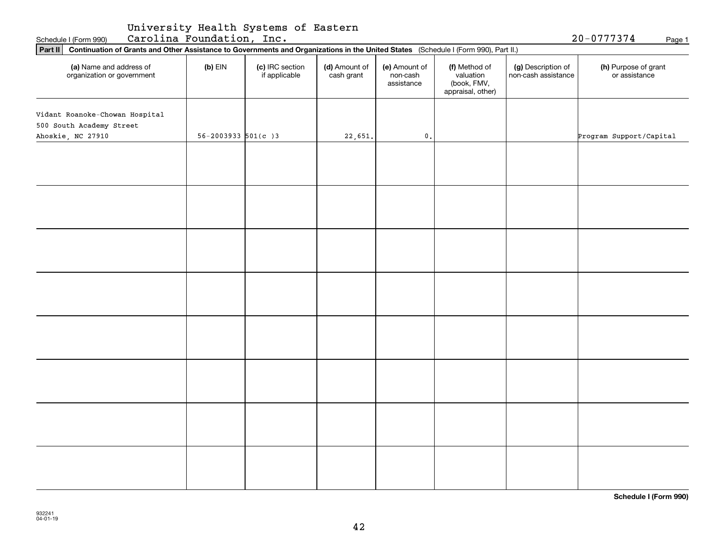| University Health Systems of Eastern |  |  |
|--------------------------------------|--|--|
|--------------------------------------|--|--|

| Part II   Continuation of Grants and Other Assistance to Governments and Organizations in the United States (Schedule I (Form 990), Part II.) |                           |                                  |                             |                                         |                                                                |                                           |                                       |  |  |
|-----------------------------------------------------------------------------------------------------------------------------------------------|---------------------------|----------------------------------|-----------------------------|-----------------------------------------|----------------------------------------------------------------|-------------------------------------------|---------------------------------------|--|--|
| (a) Name and address of<br>organization or government                                                                                         | $(b)$ EIN                 | (c) IRC section<br>if applicable | (d) Amount of<br>cash grant | (e) Amount of<br>non-cash<br>assistance | (f) Method of<br>valuation<br>(book, FMV,<br>appraisal, other) | (g) Description of<br>non-cash assistance | (h) Purpose of grant<br>or assistance |  |  |
| Vidant Roanoke-Chowan Hospital<br>500 South Academy Street                                                                                    |                           |                                  |                             |                                         |                                                                |                                           |                                       |  |  |
| Ahoskie, NC 27910                                                                                                                             | $56 - 2003933$ $501(c)$ 3 |                                  | 22,651.                     | $\mathfrak o$ .                         |                                                                |                                           | Program Support/Capital               |  |  |
|                                                                                                                                               |                           |                                  |                             |                                         |                                                                |                                           |                                       |  |  |
|                                                                                                                                               |                           |                                  |                             |                                         |                                                                |                                           |                                       |  |  |
|                                                                                                                                               |                           |                                  |                             |                                         |                                                                |                                           |                                       |  |  |
|                                                                                                                                               |                           |                                  |                             |                                         |                                                                |                                           |                                       |  |  |
|                                                                                                                                               |                           |                                  |                             |                                         |                                                                |                                           |                                       |  |  |
|                                                                                                                                               |                           |                                  |                             |                                         |                                                                |                                           |                                       |  |  |
|                                                                                                                                               |                           |                                  |                             |                                         |                                                                |                                           |                                       |  |  |
|                                                                                                                                               |                           |                                  |                             |                                         |                                                                |                                           |                                       |  |  |
|                                                                                                                                               |                           |                                  |                             |                                         |                                                                |                                           |                                       |  |  |
|                                                                                                                                               |                           |                                  |                             |                                         |                                                                |                                           |                                       |  |  |
|                                                                                                                                               |                           |                                  |                             |                                         |                                                                |                                           |                                       |  |  |
|                                                                                                                                               |                           |                                  |                             |                                         |                                                                |                                           |                                       |  |  |
|                                                                                                                                               |                           |                                  |                             |                                         |                                                                |                                           |                                       |  |  |
|                                                                                                                                               |                           |                                  |                             |                                         |                                                                |                                           |                                       |  |  |
|                                                                                                                                               |                           |                                  |                             |                                         |                                                                |                                           |                                       |  |  |
|                                                                                                                                               |                           |                                  |                             |                                         |                                                                |                                           |                                       |  |  |

Schedule I (Form 990) **Carolina Foundation, Inc.** 20-0777374 Page 1

**Schedule I (Form 990)**

20-0777374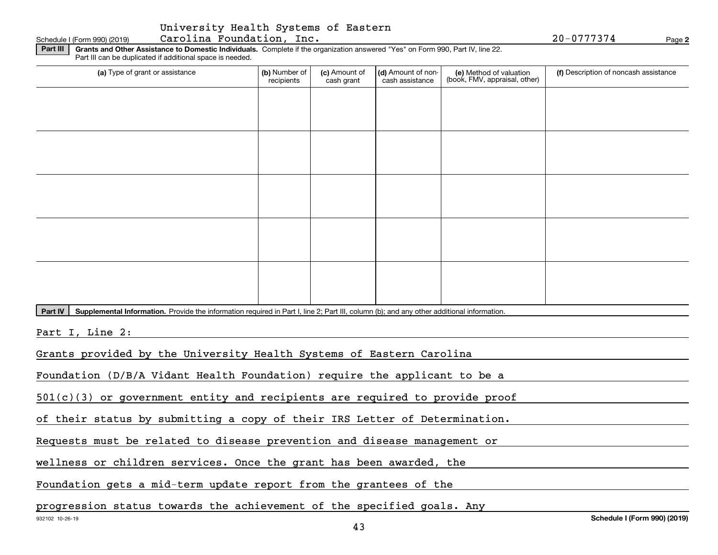#### **Part III | Grants and Other Assistance to Domestic Individuals. Complete if the organization answered "Yes" on Form 990, Part IV, line 22.** Schedule I (Form 990) (2019) Page Carolina Foundation, Inc. 20-0777374

Part III can be duplicated if additional space is needed.

| Fait in carr be duplicated in additional space is riceded.                                                                                           |                             |                             |                                       |                                                          |                                       |  |  |  |  |
|------------------------------------------------------------------------------------------------------------------------------------------------------|-----------------------------|-----------------------------|---------------------------------------|----------------------------------------------------------|---------------------------------------|--|--|--|--|
| (a) Type of grant or assistance                                                                                                                      | (b) Number of<br>recipients | (c) Amount of<br>cash grant | (d) Amount of non-<br>cash assistance | (e) Method of valuation<br>(book, FMV, appraisal, other) | (f) Description of noncash assistance |  |  |  |  |
|                                                                                                                                                      |                             |                             |                                       |                                                          |                                       |  |  |  |  |
|                                                                                                                                                      |                             |                             |                                       |                                                          |                                       |  |  |  |  |
|                                                                                                                                                      |                             |                             |                                       |                                                          |                                       |  |  |  |  |
|                                                                                                                                                      |                             |                             |                                       |                                                          |                                       |  |  |  |  |
|                                                                                                                                                      |                             |                             |                                       |                                                          |                                       |  |  |  |  |
|                                                                                                                                                      |                             |                             |                                       |                                                          |                                       |  |  |  |  |
|                                                                                                                                                      |                             |                             |                                       |                                                          |                                       |  |  |  |  |
|                                                                                                                                                      |                             |                             |                                       |                                                          |                                       |  |  |  |  |
|                                                                                                                                                      |                             |                             |                                       |                                                          |                                       |  |  |  |  |
|                                                                                                                                                      |                             |                             |                                       |                                                          |                                       |  |  |  |  |
|                                                                                                                                                      |                             |                             |                                       |                                                          |                                       |  |  |  |  |
|                                                                                                                                                      |                             |                             |                                       |                                                          |                                       |  |  |  |  |
| Part IV<br>Supplemental Information. Provide the information required in Part I, line 2; Part III, column (b); and any other additional information. |                             |                             |                                       |                                                          |                                       |  |  |  |  |
|                                                                                                                                                      |                             |                             |                                       |                                                          |                                       |  |  |  |  |
| Part I, Line 2:                                                                                                                                      |                             |                             |                                       |                                                          |                                       |  |  |  |  |
| Grants provided by the University Health Systems of Eastern Carolina                                                                                 |                             |                             |                                       |                                                          |                                       |  |  |  |  |
| Foundation (D/B/A Vidant Health Foundation) require the applicant to be a                                                                            |                             |                             |                                       |                                                          |                                       |  |  |  |  |
| $501(c)(3)$ or government entity and recipients are required to provide proof                                                                        |                             |                             |                                       |                                                          |                                       |  |  |  |  |
| of their status by submitting a copy of their IRS Letter of Determination.                                                                           |                             |                             |                                       |                                                          |                                       |  |  |  |  |
| Requests must be related to disease prevention and disease management or                                                                             |                             |                             |                                       |                                                          |                                       |  |  |  |  |
|                                                                                                                                                      |                             |                             |                                       |                                                          |                                       |  |  |  |  |

wellness or children services. Once the grant has been awarded, the

Foundation gets a mid-term update report from the grantees of the

progression status towards the achievement of the specified goals. Any

**2**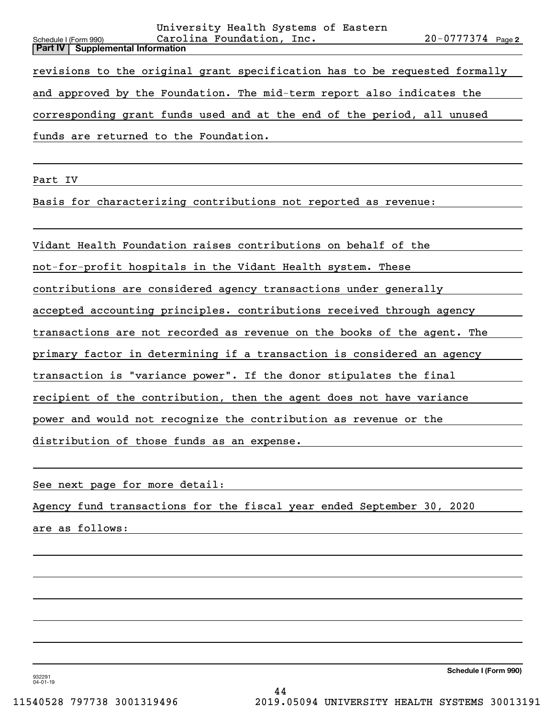| University Health Systems of Eastern                                       |                       |  |
|----------------------------------------------------------------------------|-----------------------|--|
| Carolina Foundation, Inc.<br>Schedule I (Form 990)                         | $20 - 0777374$ Page 2 |  |
| <b>Part IV   Supplemental Information</b>                                  |                       |  |
| revisions to the original grant specification has to be requested formally |                       |  |
| and approved by the Foundation. The mid-term report also indicates the     |                       |  |
| corresponding grant funds used and at the end of the period, all unused    |                       |  |
| funds are returned to the Foundation.                                      |                       |  |
|                                                                            |                       |  |

Part IV

Basis for characterizing contributions not reported as revenue:

Vidant Health Foundation raises contributions on behalf of the

not-for-profit hospitals in the Vidant Health system. These

contributions are considered agency transactions under generally

accepted accounting principles. contributions received through agency

transactions are not recorded as revenue on the books of the agent. The

primary factor in determining if a transaction is considered an agency

transaction is "variance power". If the donor stipulates the final

recipient of the contribution, then the agent does not have variance

power and would not recognize the contribution as revenue or the

distribution of those funds as an expense.

See next page for more detail:

Agency fund transactions for the fiscal year ended September 30, 2020

are as follows:

**Schedule I (Form 990)**

932291 04-01-19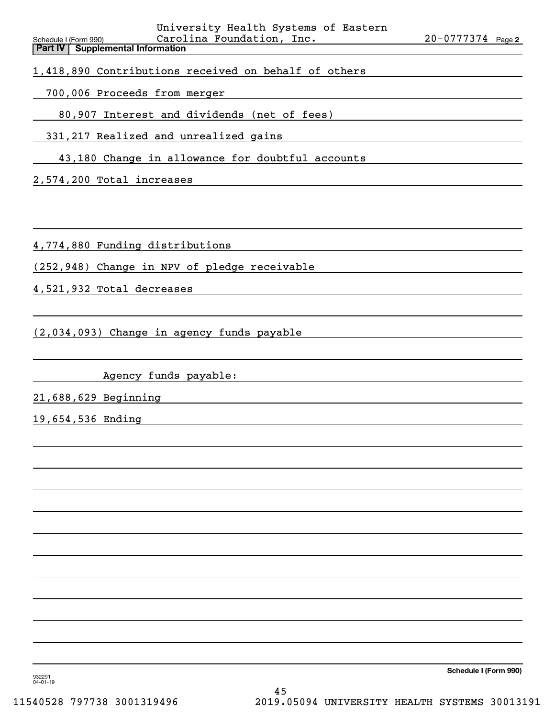| University Health Systems of Eastern<br>Carolina Foundation, Inc.<br>Schedule I (Form 990)<br><b>Part IV   Supplemental Information</b> | $20 - 0777374$ Page 2 |
|-----------------------------------------------------------------------------------------------------------------------------------------|-----------------------|
| 1,418,890 Contributions received on behalf of others                                                                                    |                       |
| 700,006 Proceeds from merger                                                                                                            |                       |
| 80,907 Interest and dividends (net of fees)                                                                                             |                       |
| 331, 217 Realized and unrealized gains                                                                                                  |                       |
| 43,180 Change in allowance for doubtful accounts                                                                                        |                       |
| 2,574,200 Total increases                                                                                                               |                       |
|                                                                                                                                         |                       |
| 4,774,880 Funding distributions                                                                                                         |                       |
| (252,948) Change in NPV of pledge receivable                                                                                            |                       |
| 4,521,932 Total decreases                                                                                                               |                       |
| (2,034,093) Change in agency funds payable                                                                                              |                       |
| Agency funds payable:                                                                                                                   |                       |
| 21,688,629 Beginning                                                                                                                    |                       |
| 19,654,536 Ending                                                                                                                       |                       |
|                                                                                                                                         |                       |
|                                                                                                                                         |                       |
|                                                                                                                                         |                       |
|                                                                                                                                         |                       |
|                                                                                                                                         |                       |
|                                                                                                                                         |                       |

932291 04-01-19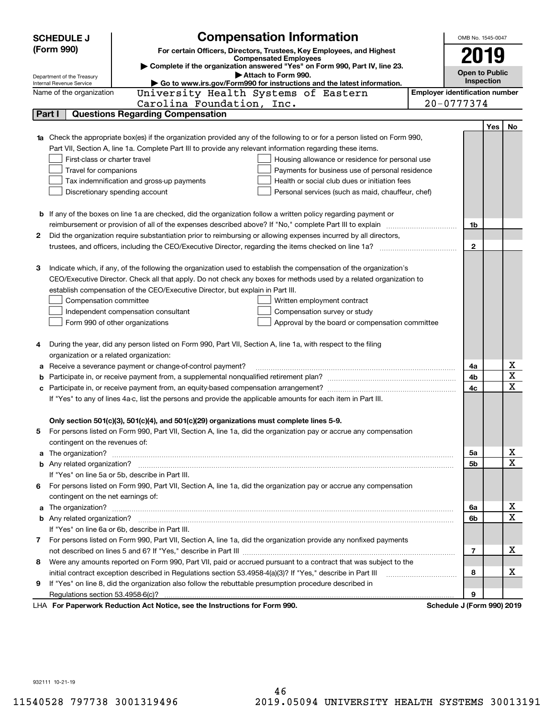|        | <b>Compensation Information</b><br><b>SCHEDULE J</b>                                                                             |                                       | OMB No. 1545-0047          |            |                         |
|--------|----------------------------------------------------------------------------------------------------------------------------------|---------------------------------------|----------------------------|------------|-------------------------|
|        | (Form 990)<br>For certain Officers, Directors, Trustees, Key Employees, and Highest                                              |                                       |                            |            |                         |
|        | <b>Compensated Employees</b>                                                                                                     |                                       | 2019                       |            |                         |
|        | Complete if the organization answered "Yes" on Form 990, Part IV, line 23.<br>Attach to Form 990.                                |                                       | <b>Open to Public</b>      |            |                         |
|        | Department of the Treasury<br>Go to www.irs.gov/Form990 for instructions and the latest information.<br>Internal Revenue Service |                                       | Inspection                 |            |                         |
|        | University Health Systems of Eastern<br>Name of the organization                                                                 | <b>Employer identification number</b> |                            |            |                         |
|        | Carolina Foundation, Inc.                                                                                                        |                                       | $20 - 0777374$             |            |                         |
| Part I | <b>Questions Regarding Compensation</b>                                                                                          |                                       |                            |            |                         |
|        |                                                                                                                                  |                                       |                            | <b>Yes</b> | No                      |
|        | <b>1a</b> Check the appropriate box(es) if the organization provided any of the following to or for a person listed on Form 990, |                                       |                            |            |                         |
|        | Part VII, Section A, line 1a. Complete Part III to provide any relevant information regarding these items.                       |                                       |                            |            |                         |
|        | First-class or charter travel<br>Housing allowance or residence for personal use                                                 |                                       |                            |            |                         |
|        | Travel for companions<br>Payments for business use of personal residence                                                         |                                       |                            |            |                         |
|        | Tax indemnification and gross-up payments<br>Health or social club dues or initiation fees                                       |                                       |                            |            |                         |
|        | Discretionary spending account<br>Personal services (such as maid, chauffeur, chef)                                              |                                       |                            |            |                         |
|        |                                                                                                                                  |                                       |                            |            |                         |
|        | <b>b</b> If any of the boxes on line 1a are checked, did the organization follow a written policy regarding payment or           |                                       |                            |            |                         |
|        | reimbursement or provision of all of the expenses described above? If "No," complete Part III to explain                         |                                       | 1b                         |            |                         |
| 2      | Did the organization require substantiation prior to reimbursing or allowing expenses incurred by all directors,                 |                                       | $\mathbf{2}$               |            |                         |
|        |                                                                                                                                  |                                       |                            |            |                         |
| З      | Indicate which, if any, of the following the organization used to establish the compensation of the organization's               |                                       |                            |            |                         |
|        | CEO/Executive Director. Check all that apply. Do not check any boxes for methods used by a related organization to               |                                       |                            |            |                         |
|        | establish compensation of the CEO/Executive Director, but explain in Part III.                                                   |                                       |                            |            |                         |
|        | Compensation committee<br>Written employment contract                                                                            |                                       |                            |            |                         |
|        | Compensation survey or study<br>Independent compensation consultant                                                              |                                       |                            |            |                         |
|        | Form 990 of other organizations<br>Approval by the board or compensation committee                                               |                                       |                            |            |                         |
|        |                                                                                                                                  |                                       |                            |            |                         |
|        | During the year, did any person listed on Form 990, Part VII, Section A, line 1a, with respect to the filing                     |                                       |                            |            |                         |
|        | organization or a related organization:                                                                                          |                                       |                            |            |                         |
| а      | Receive a severance payment or change-of-control payment?                                                                        |                                       | 4a                         |            | х                       |
| b      |                                                                                                                                  |                                       | 4b                         |            | $\overline{\mathbf{x}}$ |
| с      |                                                                                                                                  |                                       | 4c                         |            | $\overline{\mathbf{x}}$ |
|        | If "Yes" to any of lines 4a-c, list the persons and provide the applicable amounts for each item in Part III.                    |                                       |                            |            |                         |
|        |                                                                                                                                  |                                       |                            |            |                         |
|        | Only section 501(c)(3), 501(c)(4), and 501(c)(29) organizations must complete lines 5-9.                                         |                                       |                            |            |                         |
|        | For persons listed on Form 990, Part VII, Section A, line 1a, did the organization pay or accrue any compensation                |                                       |                            |            |                         |
|        | contingent on the revenues of:                                                                                                   |                                       |                            |            |                         |
|        | a The organization? <b>Constitution</b> and the organization?                                                                    |                                       | 5a                         |            | x                       |
|        |                                                                                                                                  |                                       | 5b                         |            | $\mathbf x$             |
|        | If "Yes" on line 5a or 5b, describe in Part III.                                                                                 |                                       |                            |            |                         |
| 6.     | For persons listed on Form 990, Part VII, Section A, line 1a, did the organization pay or accrue any compensation                |                                       |                            |            |                         |
|        | contingent on the net earnings of:                                                                                               |                                       |                            |            |                         |
| a      |                                                                                                                                  |                                       | 6a                         |            | х                       |
|        |                                                                                                                                  |                                       | 6b                         |            | $\mathbf x$             |
|        | If "Yes" on line 6a or 6b, describe in Part III.                                                                                 |                                       |                            |            |                         |
|        | 7 For persons listed on Form 990, Part VII, Section A, line 1a, did the organization provide any nonfixed payments               |                                       |                            |            |                         |
|        |                                                                                                                                  |                                       | 7                          |            | х                       |
| 8      | Were any amounts reported on Form 990, Part VII, paid or accrued pursuant to a contract that was subject to the                  |                                       |                            |            |                         |
|        | initial contract exception described in Regulations section 53.4958-4(a)(3)? If "Yes," describe in Part III                      |                                       | 8                          |            | х                       |
| 9      | If "Yes" on line 8, did the organization also follow the rebuttable presumption procedure described in                           |                                       |                            |            |                         |
|        | Regulations section 53.4958-6(c)?                                                                                                |                                       | 9                          |            |                         |
|        | LHA For Paperwork Reduction Act Notice, see the Instructions for Form 990.                                                       |                                       | Schedule J (Form 990) 2019 |            |                         |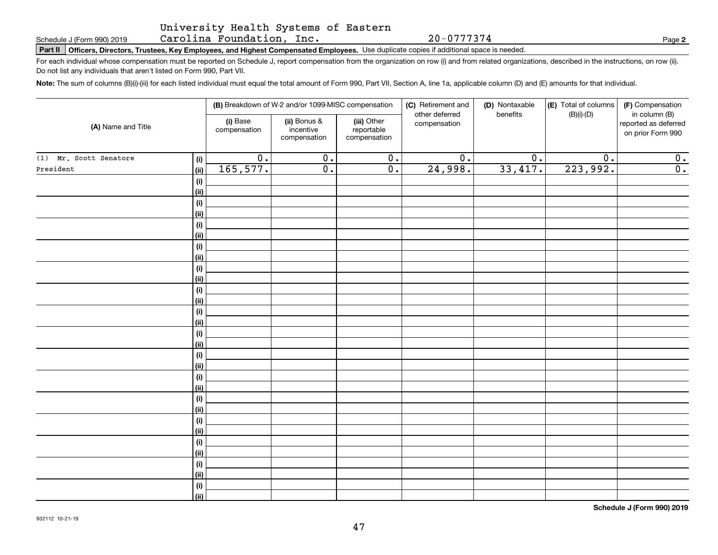Carolina Foundation, Inc.

**Part II Officers, Directors, Trustees, Key Employees, and Highest Compensated Employees.**  Schedule J (Form 990) 2019 Page Use duplicate copies if additional space is needed.

For each individual whose compensation must be reported on Schedule J, report compensation from the organization on row (i) and from related organizations, described in the instructions, on row (ii). Do not list any individuals that aren't listed on Form 990, Part VII.

**Note:**  The sum of columns (B)(i)-(iii) for each listed individual must equal the total amount of Form 990, Part VII, Section A, line 1a, applicable column (D) and (E) amounts for that individual.

|                        |            | (B) Breakdown of W-2 and/or 1099-MISC compensation |                                           | (C) Retirement and<br>other deferred      | (D) Nontaxable<br>benefits | (E) Total of columns<br>$(B)(i)-(D)$ | (F) Compensation<br>in column (B) |                                           |
|------------------------|------------|----------------------------------------------------|-------------------------------------------|-------------------------------------------|----------------------------|--------------------------------------|-----------------------------------|-------------------------------------------|
| (A) Name and Title     |            | (i) Base<br>compensation                           | (ii) Bonus &<br>incentive<br>compensation | (iii) Other<br>reportable<br>compensation | compensation               |                                      |                                   | reported as deferred<br>on prior Form 990 |
| (1) Mr. Scott Senatore | (i)        | $\overline{0}$ .                                   | $\overline{0}$ .                          | $\overline{0}$ .                          | $\overline{0}$ .           | $\overline{0}$ .                     | $\overline{0}$ .                  | 0.                                        |
| President              | (ii)       | 165, 577.                                          | $\overline{0}$ .                          | $\overline{0}$ .                          | 24,998.                    | 33,417.                              | 223,992.                          | $\overline{0}$ .                          |
|                        | (i)        |                                                    |                                           |                                           |                            |                                      |                                   |                                           |
|                        | (ii)       |                                                    |                                           |                                           |                            |                                      |                                   |                                           |
|                        | (i)        |                                                    |                                           |                                           |                            |                                      |                                   |                                           |
|                        | (ii)       |                                                    |                                           |                                           |                            |                                      |                                   |                                           |
|                        | (i)        |                                                    |                                           |                                           |                            |                                      |                                   |                                           |
|                        | (ii)       |                                                    |                                           |                                           |                            |                                      |                                   |                                           |
|                        | $(\sf{i})$ |                                                    |                                           |                                           |                            |                                      |                                   |                                           |
|                        | (ii)       |                                                    |                                           |                                           |                            |                                      |                                   |                                           |
|                        | (i)        |                                                    |                                           |                                           |                            |                                      |                                   |                                           |
|                        | (ii)       |                                                    |                                           |                                           |                            |                                      |                                   |                                           |
|                        | (i)        |                                                    |                                           |                                           |                            |                                      |                                   |                                           |
|                        | (ii)       |                                                    |                                           |                                           |                            |                                      |                                   |                                           |
|                        | (i)        |                                                    |                                           |                                           |                            |                                      |                                   |                                           |
|                        | (ii)       |                                                    |                                           |                                           |                            |                                      |                                   |                                           |
|                        | (i)        |                                                    |                                           |                                           |                            |                                      |                                   |                                           |
|                        | (ii)       |                                                    |                                           |                                           |                            |                                      |                                   |                                           |
|                        | (i)        |                                                    |                                           |                                           |                            |                                      |                                   |                                           |
|                        | (ii)       |                                                    |                                           |                                           |                            |                                      |                                   |                                           |
|                        | (i)        |                                                    |                                           |                                           |                            |                                      |                                   |                                           |
|                        | (ii)       |                                                    |                                           |                                           |                            |                                      |                                   |                                           |
|                        | (i)        |                                                    |                                           |                                           |                            |                                      |                                   |                                           |
|                        | (ii)       |                                                    |                                           |                                           |                            |                                      |                                   |                                           |
|                        | (i)        |                                                    |                                           |                                           |                            |                                      |                                   |                                           |
|                        | (ii)       |                                                    |                                           |                                           |                            |                                      |                                   |                                           |
|                        | (i)        |                                                    |                                           |                                           |                            |                                      |                                   |                                           |
|                        | (ii)       |                                                    |                                           |                                           |                            |                                      |                                   |                                           |
|                        | (i)        |                                                    |                                           |                                           |                            |                                      |                                   |                                           |
|                        | (ii)       |                                                    |                                           |                                           |                            |                                      |                                   |                                           |
|                        | (i)        |                                                    |                                           |                                           |                            |                                      |                                   |                                           |
|                        | (ii)       |                                                    |                                           |                                           |                            |                                      |                                   |                                           |

**Schedule J (Form 990) 2019**

**2**

20-0777374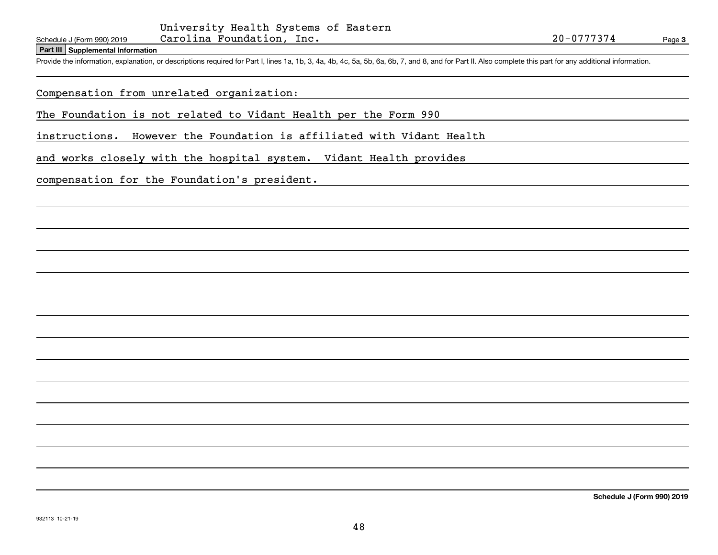**Part III Supplemental Information**

Schedule J (Form 990) 2019 Carolina Foundation, Inc. 20-0777374<br>Part III Supplemental Information<br>Provide the information, explanation, or descriptions required for Part I, lines 1a, 1b, 3, 4a, 4b, 4c, 5a, 5b, 6a, 6b, 7, a

### Compensation from unrelated organization:

The Foundation is not related to Vidant Health per the Form 990

instructions. However the Foundation is affiliated with Vidant Health

and works closely with the hospital system. Vidant Health provides

compensation for the Foundation's president.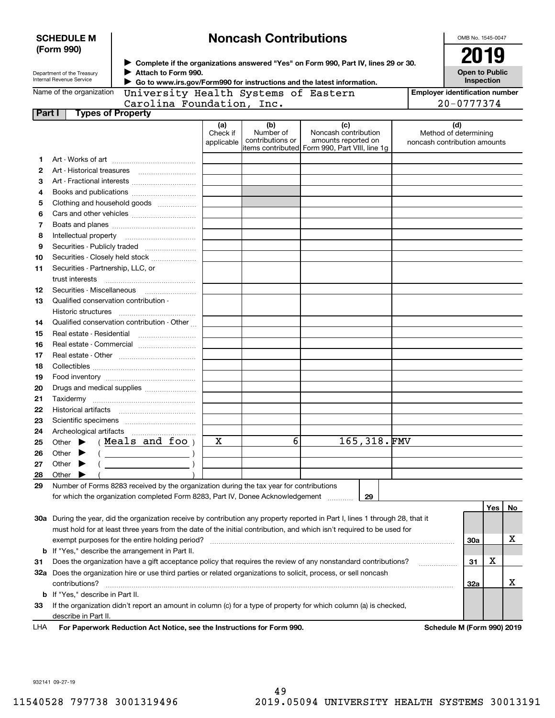| <b>SCHEDULE M</b>                                      |                                                                                                                   | <b>Noncash Contributions</b>                                                                                                   |                        |                               |                                                                                                |             |                              | OMB No. 1545-0047                     |                                     |    |
|--------------------------------------------------------|-------------------------------------------------------------------------------------------------------------------|--------------------------------------------------------------------------------------------------------------------------------|------------------------|-------------------------------|------------------------------------------------------------------------------------------------|-------------|------------------------------|---------------------------------------|-------------------------------------|----|
|                                                        | (Form 990)                                                                                                        |                                                                                                                                |                        |                               |                                                                                                |             |                              | 2019                                  |                                     |    |
| Department of the Treasury<br>Internal Revenue Service |                                                                                                                   | > Complete if the organizations answered "Yes" on Form 990, Part IV, lines 29 or 30.<br>Attach to Form 990.                    |                        |                               |                                                                                                |             |                              |                                       | <b>Open to Public</b><br>Inspection |    |
| Name of the organization                               |                                                                                                                   | Go to www.irs.gov/Form990 for instructions and the latest information.<br>University Health Systems of Eastern                 |                        |                               |                                                                                                |             |                              | <b>Employer identification number</b> |                                     |    |
| Carolina Foundation, Inc.                              |                                                                                                                   |                                                                                                                                |                        |                               |                                                                                                |             |                              | 20-0777374                            |                                     |    |
| Part I                                                 |                                                                                                                   | <b>Types of Property</b>                                                                                                       |                        |                               |                                                                                                |             |                              |                                       |                                     |    |
|                                                        |                                                                                                                   |                                                                                                                                | (a)                    | (b)                           | (c)                                                                                            |             |                              | (d)                                   |                                     |    |
|                                                        |                                                                                                                   |                                                                                                                                | Check if<br>applicable | Number of<br>contributions or | Noncash contribution<br>amounts reported on<br>litems contributed Form 990, Part VIII, line 1g |             | noncash contribution amounts | Method of determining                 |                                     |    |
| 1                                                      |                                                                                                                   |                                                                                                                                |                        |                               |                                                                                                |             |                              |                                       |                                     |    |
| 2                                                      |                                                                                                                   |                                                                                                                                |                        |                               |                                                                                                |             |                              |                                       |                                     |    |
| 3                                                      |                                                                                                                   |                                                                                                                                |                        |                               |                                                                                                |             |                              |                                       |                                     |    |
| 4                                                      |                                                                                                                   |                                                                                                                                |                        |                               |                                                                                                |             |                              |                                       |                                     |    |
| 5                                                      |                                                                                                                   | Clothing and household goods                                                                                                   |                        |                               |                                                                                                |             |                              |                                       |                                     |    |
| 6                                                      |                                                                                                                   |                                                                                                                                |                        |                               |                                                                                                |             |                              |                                       |                                     |    |
| 7                                                      |                                                                                                                   |                                                                                                                                |                        |                               |                                                                                                |             |                              |                                       |                                     |    |
| 8                                                      |                                                                                                                   |                                                                                                                                |                        |                               |                                                                                                |             |                              |                                       |                                     |    |
| 9                                                      |                                                                                                                   |                                                                                                                                |                        |                               |                                                                                                |             |                              |                                       |                                     |    |
| 10                                                     |                                                                                                                   | Securities - Closely held stock                                                                                                |                        |                               |                                                                                                |             |                              |                                       |                                     |    |
| 11                                                     | Securities - Partnership, LLC, or                                                                                 |                                                                                                                                |                        |                               |                                                                                                |             |                              |                                       |                                     |    |
|                                                        | trust interests                                                                                                   |                                                                                                                                |                        |                               |                                                                                                |             |                              |                                       |                                     |    |
| 12                                                     | Securities - Miscellaneous                                                                                        |                                                                                                                                |                        |                               |                                                                                                |             |                              |                                       |                                     |    |
| 13                                                     | Qualified conservation contribution -                                                                             |                                                                                                                                |                        |                               |                                                                                                |             |                              |                                       |                                     |    |
|                                                        | Historic structures                                                                                               |                                                                                                                                |                        |                               |                                                                                                |             |                              |                                       |                                     |    |
| 14                                                     | Qualified conservation contribution - Other                                                                       |                                                                                                                                |                        |                               |                                                                                                |             |                              |                                       |                                     |    |
| 15                                                     | Real estate - Residential                                                                                         |                                                                                                                                |                        |                               |                                                                                                |             |                              |                                       |                                     |    |
| 16                                                     |                                                                                                                   |                                                                                                                                |                        |                               |                                                                                                |             |                              |                                       |                                     |    |
| 17                                                     |                                                                                                                   |                                                                                                                                |                        |                               |                                                                                                |             |                              |                                       |                                     |    |
| 18                                                     |                                                                                                                   |                                                                                                                                |                        |                               |                                                                                                |             |                              |                                       |                                     |    |
| 19                                                     |                                                                                                                   |                                                                                                                                |                        |                               |                                                                                                |             |                              |                                       |                                     |    |
| 20                                                     |                                                                                                                   | Drugs and medical supplies                                                                                                     |                        |                               |                                                                                                |             |                              |                                       |                                     |    |
| 21                                                     |                                                                                                                   |                                                                                                                                |                        |                               |                                                                                                |             |                              |                                       |                                     |    |
| 22                                                     |                                                                                                                   |                                                                                                                                |                        |                               |                                                                                                |             |                              |                                       |                                     |    |
| 23                                                     |                                                                                                                   |                                                                                                                                |                        |                               |                                                                                                |             |                              |                                       |                                     |    |
| 24                                                     | Archeological artifacts                                                                                           |                                                                                                                                |                        |                               |                                                                                                |             |                              |                                       |                                     |    |
| 25                                                     | Other                                                                                                             | Meals and foo                                                                                                                  | х                      | 6                             |                                                                                                | 165,318.FMV |                              |                                       |                                     |    |
| 26                                                     | Other                                                                                                             |                                                                                                                                |                        |                               |                                                                                                |             |                              |                                       |                                     |    |
| 27                                                     | Other                                                                                                             |                                                                                                                                |                        |                               |                                                                                                |             |                              |                                       |                                     |    |
| 28                                                     | Other                                                                                                             |                                                                                                                                |                        |                               |                                                                                                |             |                              |                                       |                                     |    |
| 29                                                     |                                                                                                                   | Number of Forms 8283 received by the organization during the tax year for contributions                                        |                        |                               |                                                                                                |             |                              |                                       |                                     |    |
|                                                        |                                                                                                                   | for which the organization completed Form 8283, Part IV, Donee Acknowledgement                                                 |                        |                               |                                                                                                | 29          |                              |                                       |                                     |    |
|                                                        |                                                                                                                   |                                                                                                                                |                        |                               |                                                                                                |             |                              |                                       | Yes                                 | No |
|                                                        |                                                                                                                   | 30a During the year, did the organization receive by contribution any property reported in Part I, lines 1 through 28, that it |                        |                               |                                                                                                |             |                              |                                       |                                     |    |
|                                                        |                                                                                                                   | must hold for at least three years from the date of the initial contribution, and which isn't required to be used for          |                        |                               |                                                                                                |             |                              |                                       |                                     |    |
|                                                        |                                                                                                                   | exempt purposes for the entire holding period?                                                                                 |                        |                               |                                                                                                |             |                              | 30a                                   |                                     | х  |
| b                                                      | If "Yes," describe the arrangement in Part II.                                                                    |                                                                                                                                |                        |                               |                                                                                                |             |                              |                                       |                                     |    |
| 31                                                     | Does the organization have a gift acceptance policy that requires the review of any nonstandard contributions?    |                                                                                                                                |                        |                               |                                                                                                |             |                              | 31                                    | х                                   |    |
|                                                        | 32a Does the organization hire or use third parties or related organizations to solicit, process, or sell noncash |                                                                                                                                |                        |                               |                                                                                                |             |                              |                                       |                                     |    |
|                                                        | contributions?                                                                                                    |                                                                                                                                |                        |                               |                                                                                                |             | <b>32a</b>                   |                                       | х                                   |    |
| b                                                      | If "Yes," describe in Part II.                                                                                    |                                                                                                                                |                        |                               |                                                                                                |             |                              |                                       |                                     |    |
| 33                                                     | If the organization didn't report an amount in column (c) for a type of property for which column (a) is checked, |                                                                                                                                |                        |                               |                                                                                                |             |                              |                                       |                                     |    |
|                                                        | describe in Part II.                                                                                              |                                                                                                                                |                        |                               |                                                                                                |             |                              |                                       |                                     |    |
| LHA                                                    |                                                                                                                   | For Paperwork Reduction Act Notice, see the Instructions for Form 990.                                                         |                        |                               |                                                                                                |             |                              | Schedule M (Form 990) 2019            |                                     |    |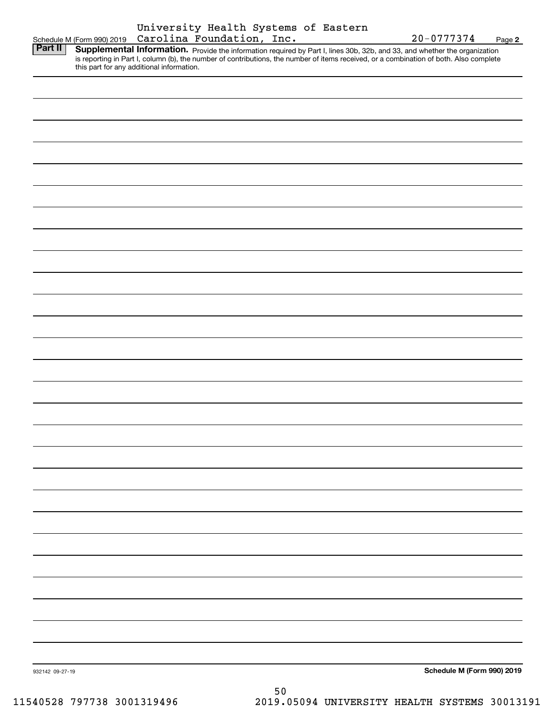|                 | Schedule M (Form 990) 2019                | University Health Systems of Eastern<br>Carolina Foundation, Inc. |    |  | 20-0777374                                                                                                                                                                                                                                                           | Page 2 |
|-----------------|-------------------------------------------|-------------------------------------------------------------------|----|--|----------------------------------------------------------------------------------------------------------------------------------------------------------------------------------------------------------------------------------------------------------------------|--------|
| Part II         | this part for any additional information. |                                                                   |    |  | Supplemental Information. Provide the information required by Part I, lines 30b, 32b, and 33, and whether the organization<br>is reporting in Part I, column (b), the number of contributions, the number of items received, or a combination of both. Also complete |        |
|                 |                                           |                                                                   |    |  |                                                                                                                                                                                                                                                                      |        |
|                 |                                           |                                                                   |    |  |                                                                                                                                                                                                                                                                      |        |
|                 |                                           |                                                                   |    |  |                                                                                                                                                                                                                                                                      |        |
|                 |                                           |                                                                   |    |  |                                                                                                                                                                                                                                                                      |        |
|                 |                                           |                                                                   |    |  |                                                                                                                                                                                                                                                                      |        |
|                 |                                           |                                                                   |    |  |                                                                                                                                                                                                                                                                      |        |
|                 |                                           |                                                                   |    |  |                                                                                                                                                                                                                                                                      |        |
|                 |                                           |                                                                   |    |  |                                                                                                                                                                                                                                                                      |        |
|                 |                                           |                                                                   |    |  |                                                                                                                                                                                                                                                                      |        |
|                 |                                           |                                                                   |    |  |                                                                                                                                                                                                                                                                      |        |
|                 |                                           |                                                                   |    |  |                                                                                                                                                                                                                                                                      |        |
|                 |                                           |                                                                   |    |  |                                                                                                                                                                                                                                                                      |        |
|                 |                                           |                                                                   |    |  |                                                                                                                                                                                                                                                                      |        |
|                 |                                           |                                                                   |    |  |                                                                                                                                                                                                                                                                      |        |
|                 |                                           |                                                                   |    |  |                                                                                                                                                                                                                                                                      |        |
|                 |                                           |                                                                   |    |  |                                                                                                                                                                                                                                                                      |        |
|                 |                                           |                                                                   |    |  |                                                                                                                                                                                                                                                                      |        |
|                 |                                           |                                                                   |    |  |                                                                                                                                                                                                                                                                      |        |
|                 |                                           |                                                                   |    |  |                                                                                                                                                                                                                                                                      |        |
|                 |                                           |                                                                   |    |  |                                                                                                                                                                                                                                                                      |        |
|                 |                                           |                                                                   |    |  |                                                                                                                                                                                                                                                                      |        |
|                 |                                           |                                                                   |    |  |                                                                                                                                                                                                                                                                      |        |
|                 |                                           |                                                                   |    |  |                                                                                                                                                                                                                                                                      |        |
|                 |                                           |                                                                   |    |  |                                                                                                                                                                                                                                                                      |        |
|                 |                                           |                                                                   |    |  |                                                                                                                                                                                                                                                                      |        |
|                 |                                           |                                                                   |    |  |                                                                                                                                                                                                                                                                      |        |
|                 |                                           |                                                                   |    |  |                                                                                                                                                                                                                                                                      |        |
| 932142 09-27-19 |                                           |                                                                   |    |  | Schedule M (Form 990) 2019                                                                                                                                                                                                                                           |        |
|                 |                                           |                                                                   | 50 |  |                                                                                                                                                                                                                                                                      |        |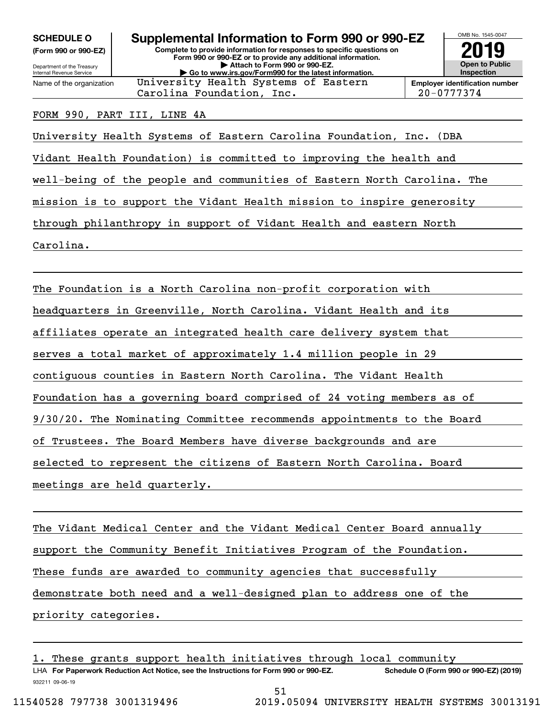**(Form 990 or 990-EZ)**

Department of the Treasury Internal Revenue Service Name of the organization

**Complete to provide information for responses to specific questions on Form 990 or 990-EZ or to provide any additional information. | Attach to Form 990 or 990-EZ. | Go to www.irs.gov/Form990 for the latest information. SCHEDULE O Supplemental Information to Form 990 or 990-EZ** University Health Systems of Eastern



#### FORM 990, PART III, LINE 4A

University Health Systems of Eastern Carolina Foundation, Inc. (DBA

Vidant Health Foundation) is committed to improving the health and

well-being of the people and communities of Eastern North Carolina. The

mission is to support the Vidant Health mission to inspire generosity

through philanthropy in support of Vidant Health and eastern North

Carolina.

The Foundation is a North Carolina non-profit corporation with headquarters in Greenville, North Carolina. Vidant Health and its affiliates operate an integrated health care delivery system that serves a total market of approximately 1.4 million people in 29 contiguous counties in Eastern North Carolina. The Vidant Health Foundation has a governing board comprised of 24 voting members as of 9/30/20. The Nominating Committee recommends appointments to the Board of Trustees. The Board Members have diverse backgrounds and are selected to represent the citizens of Eastern North Carolina. Board meetings are held quarterly.

The Vidant Medical Center and the Vidant Medical Center Board annually support the Community Benefit Initiatives Program of the Foundation. These funds are awarded to community agencies that successfully demonstrate both need and a well-designed plan to address one of the priority categories.

LHA For Paperwork Reduction Act Notice, see the Instructions for Form 990 or 990-EZ. Schedule O (Form 990 or 990-EZ) (2019) These grants support health initiatives through local community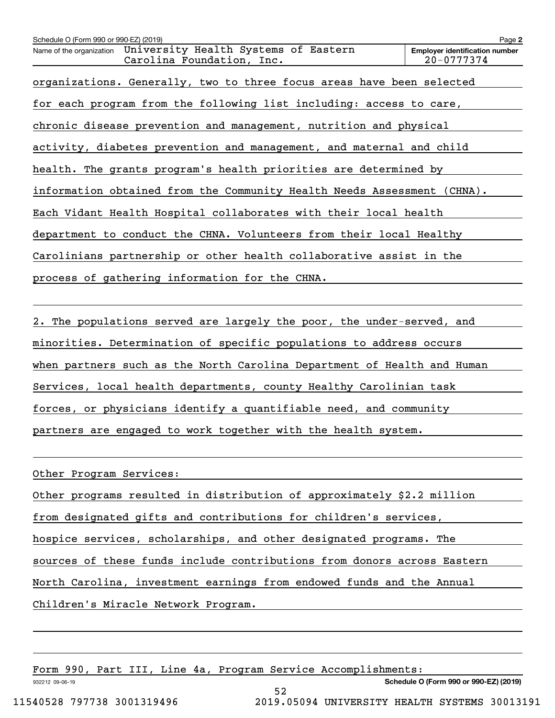| Schedule O (Form 990 or 990-EZ) (2019)                                                        | Page 2                                              |
|-----------------------------------------------------------------------------------------------|-----------------------------------------------------|
| University Health Systems of Eastern<br>Name of the organization<br>Carolina Foundation, Inc. | <b>Employer identification number</b><br>20-0777374 |
| organizations. Generally, two to three focus areas have been selected                         |                                                     |
| for each program from the following list including: access to care,                           |                                                     |
| chronic disease prevention and management, nutrition and physical                             |                                                     |
| activity, diabetes prevention and management, and maternal and child                          |                                                     |
| health. The grants program's health priorities are determined by                              |                                                     |
| information obtained from the Community Health Needs Assessment (CHNA).                       |                                                     |
| Each Vidant Health Hospital collaborates with their local health                              |                                                     |
| department to conduct the CHNA. Volunteers from their local Healthy                           |                                                     |
| Carolinians partnership or other health collaborative assist in the                           |                                                     |
| process of gathering information for the CHNA.                                                |                                                     |
|                                                                                               |                                                     |

2. The populations served are largely the poor, the under-served, and minorities. Determination of specific populations to address occurs when partners such as the North Carolina Department of Health and Human Services, local health departments, county Healthy Carolinian task forces, or physicians identify a quantifiable need, and community partners are engaged to work together with the health system.

Other Program Services:

Other programs resulted in distribution of approximately \$2.2 million

from designated gifts and contributions for children's services,

hospice services, scholarships, and other designated programs. The

sources of these funds include contributions from donors across Eastern

52

North Carolina, investment earnings from endowed funds and the Annual

Children's Miracle Network Program.

Form 990, Part III, Line 4a, Program Service Accomplishments:

**Schedule O (Form 990 or 990-EZ) (2019)**

932212 09-06-19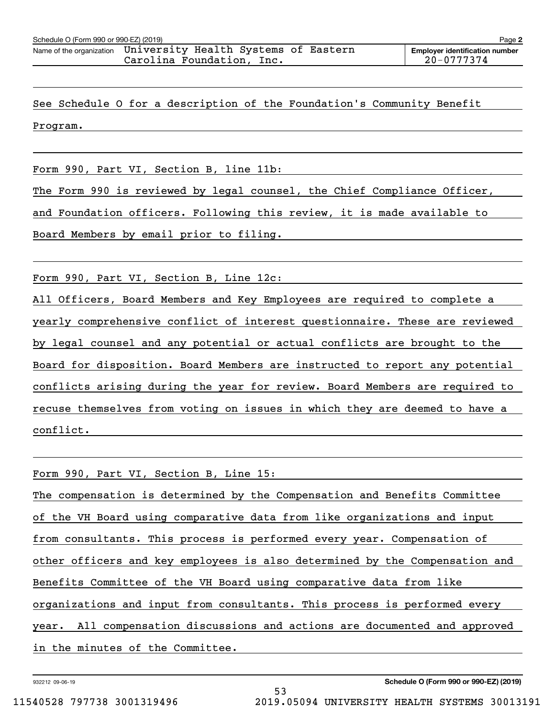See Schedule O for a description of the Foundation's Community Benefit Program.

Form 990, Part VI, Section B, line 11b:

The Form 990 is reviewed by legal counsel, the Chief Compliance Officer,

and Foundation officers. Following this review, it is made available to

Board Members by email prior to filing.

Form 990, Part VI, Section B, Line 12c:

All Officers, Board Members and Key Employees are required to complete a yearly comprehensive conflict of interest questionnaire. These are reviewed by legal counsel and any potential or actual conflicts are brought to the Board for disposition. Board Members are instructed to report any potential conflicts arising during the year for review. Board Members are required to recuse themselves from voting on issues in which they are deemed to have a conflict.

Form 990, Part VI, Section B, Line 15: The compensation is determined by the Compensation and Benefits Committee of the VH Board using comparative data from like organizations and input from consultants. This process is performed every year. Compensation of other officers and key employees is also determined by the Compensation and Benefits Committee of the VH Board using comparative data from like organizations and input from consultants. This process is performed every year. All compensation discussions and actions are documented and approved in the minutes of the Committee.

53

932212 09-06-19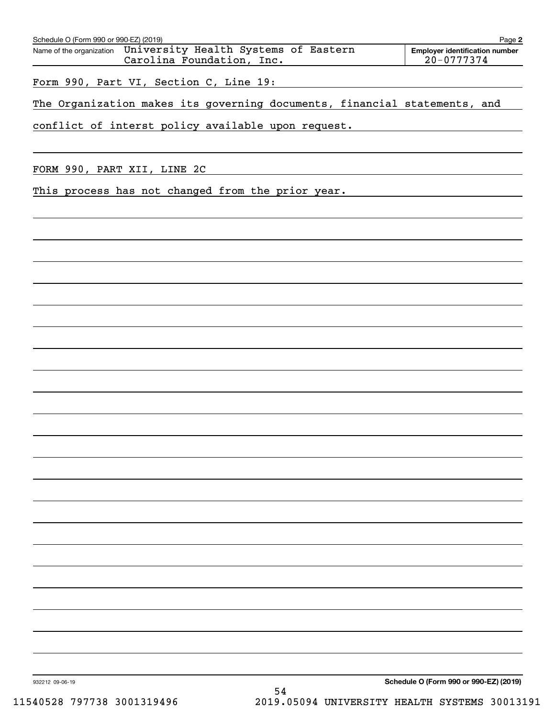| Schedule O (Form 990 or 990-EZ) (2019)                                                     | Page 2                                                  |
|--------------------------------------------------------------------------------------------|---------------------------------------------------------|
| Name of the organization University Health Systems of Eastern<br>Carolina Foundation, Inc. | <b>Employer identification number</b><br>$20 - 0777374$ |
| Form 990, Part VI, Section C, Line 19:                                                     |                                                         |
| The Organization makes its governing documents, financial statements, and                  |                                                         |
| conflict of interst policy available upon request.                                         |                                                         |
|                                                                                            |                                                         |
| FORM 990, PART XII, LINE 2C                                                                |                                                         |
| This process has not changed from the prior year.                                          |                                                         |
|                                                                                            |                                                         |
|                                                                                            |                                                         |
|                                                                                            |                                                         |
|                                                                                            |                                                         |
|                                                                                            |                                                         |
|                                                                                            |                                                         |
|                                                                                            |                                                         |
|                                                                                            |                                                         |
|                                                                                            |                                                         |
|                                                                                            |                                                         |
|                                                                                            |                                                         |
|                                                                                            |                                                         |
|                                                                                            |                                                         |
|                                                                                            |                                                         |
|                                                                                            |                                                         |
|                                                                                            |                                                         |
|                                                                                            |                                                         |
|                                                                                            |                                                         |
|                                                                                            |                                                         |
|                                                                                            |                                                         |